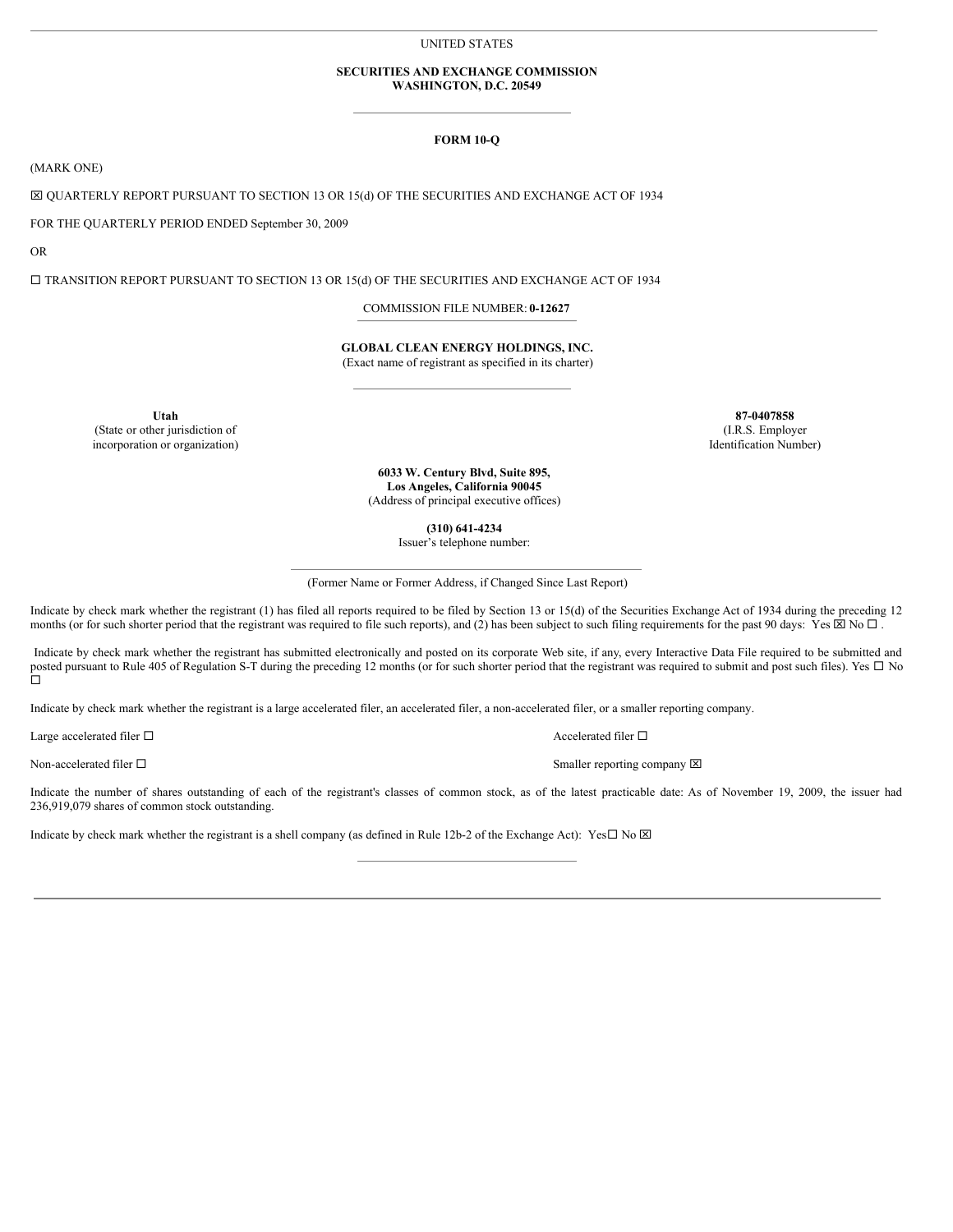## UNITED STATES

### **SECURITIES AND EXCHANGE COMMISSION WASHINGTON, D.C. 20549**

## **FORM 10-Q**

(MARK ONE)

x QUARTERLY REPORT PURSUANT TO SECTION 13 OR 15(d) OF THE SECURITIES AND EXCHANGE ACT OF 1934

FOR THE QUARTERLY PERIOD ENDED September 30, 2009

OR

 $\Box$  TRANSITION REPORT PURSUANT TO SECTION 13 OR 15(d) OF THE SECURITIES AND EXCHANGE ACT OF 1934

COMMISSION FILE NUMBER: **0-12627**

**GLOBAL CLEAN ENERGY HOLDINGS, INC.** (Exact name of registrant as specified in its charter)

(State or other jurisdiction of incorporation or organization)

**Utah 87-0407858** (I.R.S. Employer Identification Number)

> **6033 W. Century Blvd, Suite 895, Los Angeles, California 90045** (Address of principal executive offices)

> > **(310) 641-4234**

Issuer's telephone number:

(Former Name or Former Address, if Changed Since Last Report)

Indicate by check mark whether the registrant (1) has filed all reports required to be filed by Section 13 or 15(d) of the Securities Exchange Act of 1934 during the preceding 12 months (or for such shorter period that the registrant was required to file such reports), and (2) has been subject to such filing requirements for the past 90 days: Yes  $\overline{2}$  No  $\overline{1}$ .

Indicate by check mark whether the registrant has submitted electronically and posted on its corporate Web site, if any, every Interactive Data File required to be submitted and posted pursuant to Rule 405 of Regulation S-T during the preceding 12 months (or for such shorter period that the registrant was required to submit and post such files). Yes  $\Box$  No  $\Box$ 

Indicate by check mark whether the registrant is a large accelerated filer, an accelerated filer, a non-accelerated filer, or a smaller reporting company.

Large accelerated filer  $\square$  Accelerated filer  $\square$ 

Non-accelerated filer  $\square$  Smaller reporting company  $\square$ 

Indicate the number of shares outstanding of each of the registrant's classes of common stock, as of the latest practicable date: As of November 19, 2009, the issuer had 236,919,079 shares of common stock outstanding.

Indicate by check mark whether the registrant is a shell company (as defined in Rule 12b-2 of the Exchange Act): Yes $\Box$  No  $\boxtimes$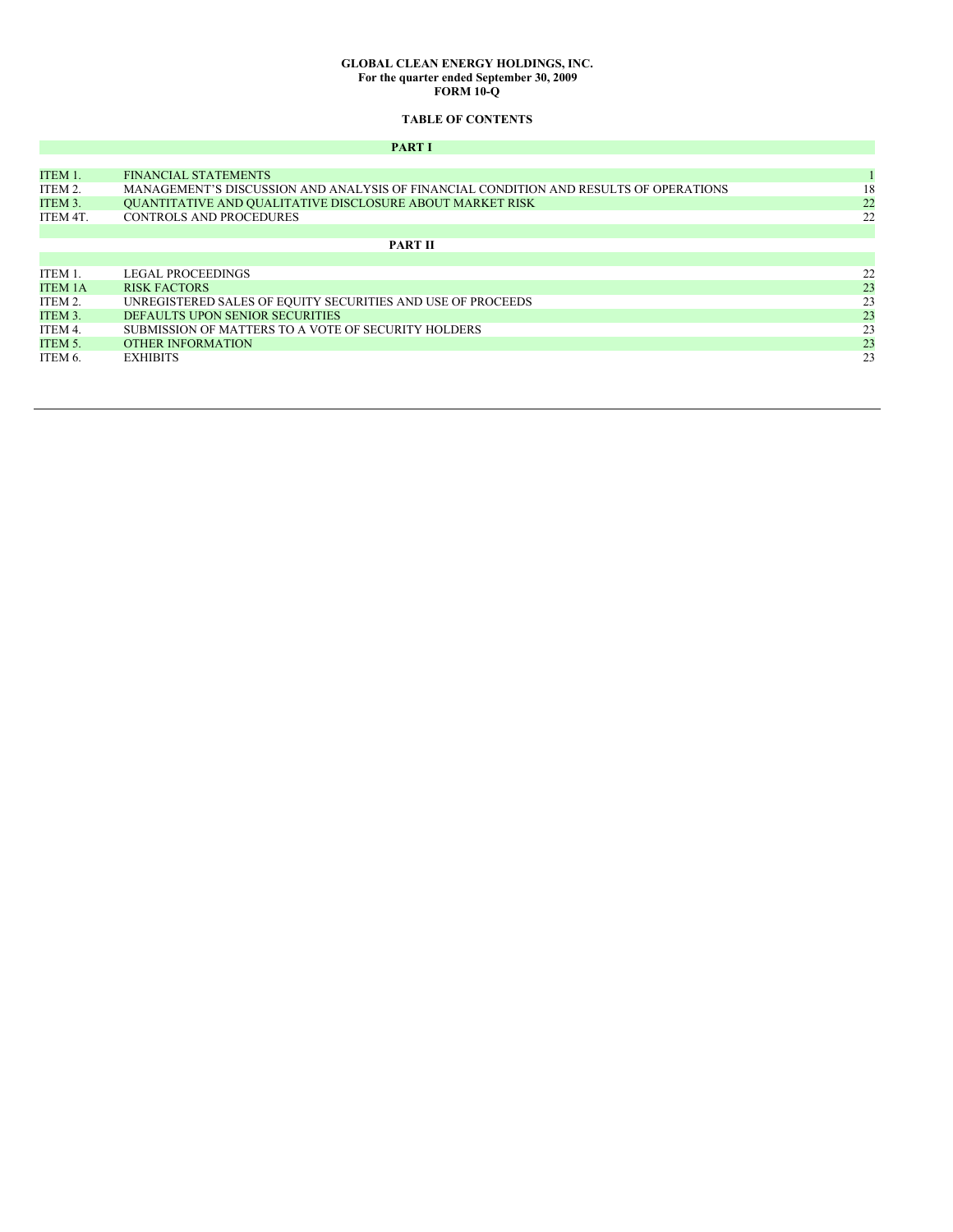## **GLOBAL CLEAN ENERGY HOLDINGS, INC. For the quarter ended September 30, 2009 FORM 10-Q**

# **TABLE OF CONTENTS**

|                | <b>PART I</b>                                                                         |    |
|----------------|---------------------------------------------------------------------------------------|----|
|                |                                                                                       |    |
| ITEM 1.        | <b>FINANCIAL STATEMENTS</b>                                                           |    |
| ITEM 2.        | MANAGEMENT'S DISCUSSION AND ANALYSIS OF FINANCIAL CONDITION AND RESULTS OF OPERATIONS | 18 |
| ITEM 3.        | <b>OUANTITATIVE AND OUALITATIVE DISCLOSURE ABOUT MARKET RISK</b>                      | 22 |
| ITEM 4T.       | <b>CONTROLS AND PROCEDURES</b>                                                        | 22 |
|                |                                                                                       |    |
|                | <b>PART II</b>                                                                        |    |
|                |                                                                                       |    |
| ITEM 1.        | <b>LEGAL PROCEEDINGS</b>                                                              | 22 |
| <b>ITEM 1A</b> | <b>RISK FACTORS</b>                                                                   | 23 |
| ITEM 2.        | UNREGISTERED SALES OF EQUITY SECURITIES AND USE OF PROCEEDS                           | 23 |
| ITEM 3.        | DEFAULTS UPON SENIOR SECURITIES                                                       | 23 |
| ITEM 4.        | SUBMISSION OF MATTERS TO A VOTE OF SECURITY HOLDERS                                   | 23 |
| ITEM 5.        | <b>OTHER INFORMATION</b>                                                              | 23 |
| ITEM 6.        | <b>EXHIBITS</b>                                                                       | 23 |
|                |                                                                                       |    |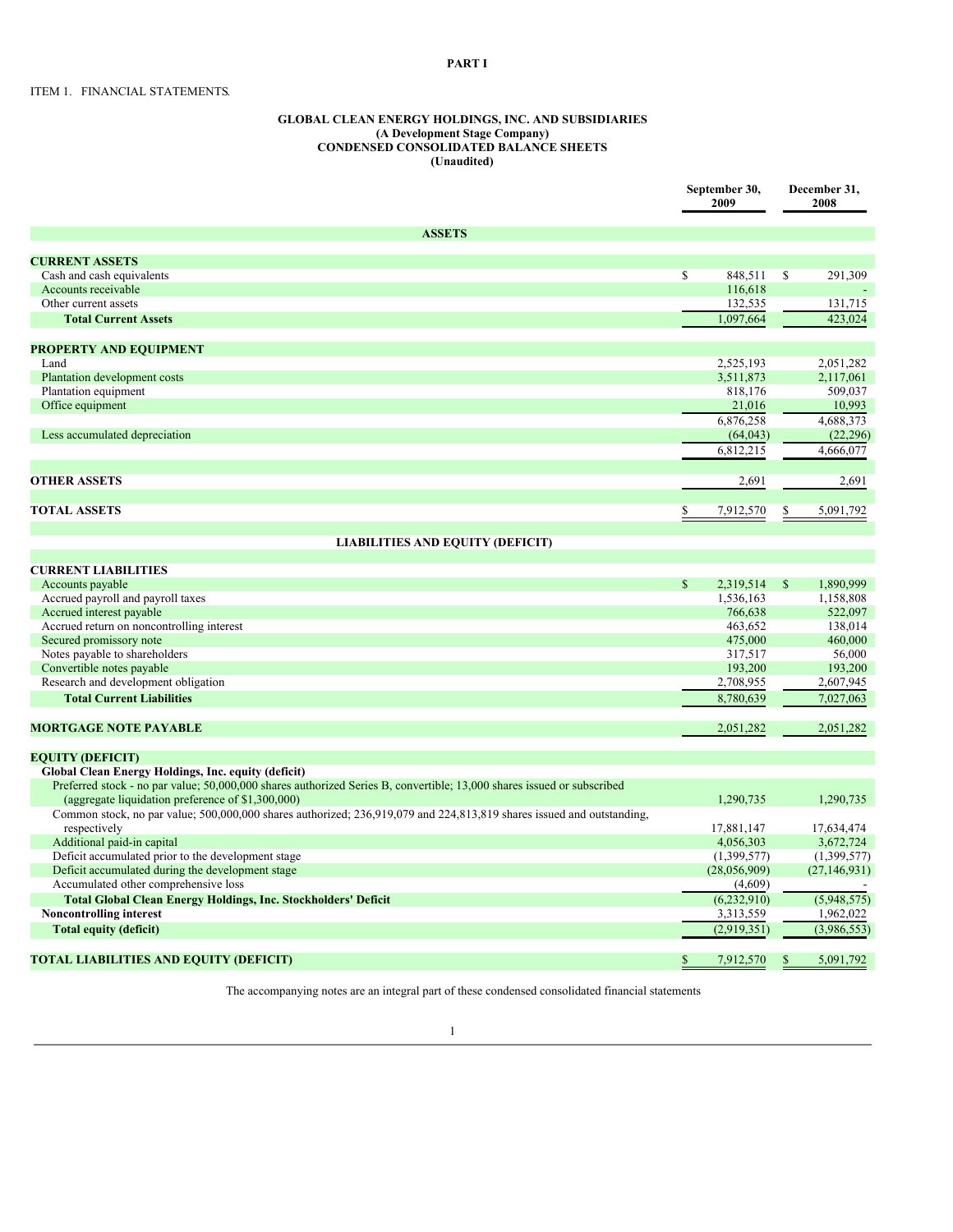## **PART I**

#### **GLOBAL CLEAN ENERGY HOLDINGS, INC. AND SUBSIDIARIES (A Development Stage Company) CONDENSED CONSOLIDATED BALANCE SHEETS (Unaudited)**

|                                                                                                                                                                               |              | September 30,<br>2009 |    | December 31,<br>2008 |
|-------------------------------------------------------------------------------------------------------------------------------------------------------------------------------|--------------|-----------------------|----|----------------------|
| <b>ASSETS</b>                                                                                                                                                                 |              |                       |    |                      |
|                                                                                                                                                                               |              |                       |    |                      |
| <b>CURRENT ASSETS</b>                                                                                                                                                         |              |                       |    |                      |
| Cash and cash equivalents                                                                                                                                                     | \$           | 848,511               | \$ | 291,309              |
| Accounts receivable                                                                                                                                                           |              | 116,618<br>132,535    |    |                      |
| Other current assets                                                                                                                                                          |              |                       |    | 131,715<br>423,024   |
| <b>Total Current Assets</b>                                                                                                                                                   |              | 1,097,664             |    |                      |
| <b>PROPERTY AND EQUIPMENT</b>                                                                                                                                                 |              |                       |    |                      |
| Land                                                                                                                                                                          |              | 2,525,193             |    | 2,051,282            |
| Plantation development costs                                                                                                                                                  |              | 3,511,873             |    | 2,117,061            |
| Plantation equipment                                                                                                                                                          |              | 818,176               |    | 509,037              |
| Office equipment                                                                                                                                                              |              | 21,016                |    | 10,993               |
|                                                                                                                                                                               |              | 6,876,258             |    | 4,688,373            |
| Less accumulated depreciation                                                                                                                                                 |              | (64, 043)             |    | (22, 296)            |
|                                                                                                                                                                               |              | 6,812,215             |    | 4,666,077            |
|                                                                                                                                                                               |              |                       |    |                      |
| <b>OTHER ASSETS</b>                                                                                                                                                           |              | 2,691                 |    | 2,691                |
|                                                                                                                                                                               |              |                       |    |                      |
| <b>TOTAL ASSETS</b>                                                                                                                                                           | \$           | 7,912,570             | \$ | 5,091,792            |
|                                                                                                                                                                               |              |                       |    |                      |
| <b>LIABILITIES AND EQUITY (DEFICIT)</b>                                                                                                                                       |              |                       |    |                      |
| <b>CURRENT LIABILITIES</b>                                                                                                                                                    |              |                       |    |                      |
| Accounts payable                                                                                                                                                              | $\mathbb{S}$ | 2,319,514             | \$ | 1,890,999            |
| Accrued payroll and payroll taxes                                                                                                                                             |              | 1,536,163             |    | 1,158,808            |
| Accrued interest payable                                                                                                                                                      |              | 766,638               |    | 522,097              |
| Accrued return on noncontrolling interest                                                                                                                                     |              | 463,652               |    | 138,014              |
| Secured promissory note                                                                                                                                                       |              | 475,000               |    | 460,000              |
| Notes payable to shareholders                                                                                                                                                 |              | 317,517               |    | 56,000               |
| Convertible notes payable                                                                                                                                                     |              | 193,200               |    | 193,200              |
| Research and development obligation                                                                                                                                           |              | 2,708,955             |    | 2,607,945            |
| <b>Total Current Liabilities</b>                                                                                                                                              |              | 8,780,639             |    | 7,027,063            |
|                                                                                                                                                                               |              |                       |    |                      |
| <b>MORTGAGE NOTE PAYABLE</b>                                                                                                                                                  |              | 2,051,282             |    | 2,051,282            |
|                                                                                                                                                                               |              |                       |    |                      |
| <b>EQUITY (DEFICIT)</b>                                                                                                                                                       |              |                       |    |                      |
| Global Clean Energy Holdings, Inc. equity (deficit)<br>Preferred stock - no par value; 50,000,000 shares authorized Series B, convertible; 13,000 shares issued or subscribed |              |                       |    |                      |
| (aggregate liquidation preference of \$1,300,000)                                                                                                                             |              | 1,290,735             |    | 1,290,735            |
| Common stock, no par value; 500,000,000 shares authorized; 236,919,079 and 224,813,819 shares issued and outstanding,                                                         |              |                       |    |                      |
| respectively                                                                                                                                                                  |              | 17,881,147            |    | 17,634,474           |
| Additional paid-in capital                                                                                                                                                    |              | 4,056,303             |    | 3,672,724            |
| Deficit accumulated prior to the development stage                                                                                                                            |              | (1,399,577)           |    | (1,399,577)          |
| Deficit accumulated during the development stage                                                                                                                              |              | (28,056,909)          |    | (27, 146, 931)       |
| Accumulated other comprehensive loss                                                                                                                                          |              | (4,609)               |    |                      |
| <b>Total Global Clean Energy Holdings, Inc. Stockholders' Deficit</b>                                                                                                         |              | (6,232,910)           |    | (5,948,575)          |
| <b>Noncontrolling interest</b>                                                                                                                                                |              | 3,313,559             |    | 1,962,022            |
| <b>Total equity (deficit)</b>                                                                                                                                                 |              | (2,919,351)           |    | (3,986,553)          |
|                                                                                                                                                                               |              |                       |    |                      |
| <b>TOTAL LIABILITIES AND EQUITY (DEFICIT)</b>                                                                                                                                 | $\mathbb{S}$ | 7,912,570             | \$ | 5,091,792            |
|                                                                                                                                                                               |              |                       |    |                      |

The accompanying notes are an integral part of these condensed consolidated financial statements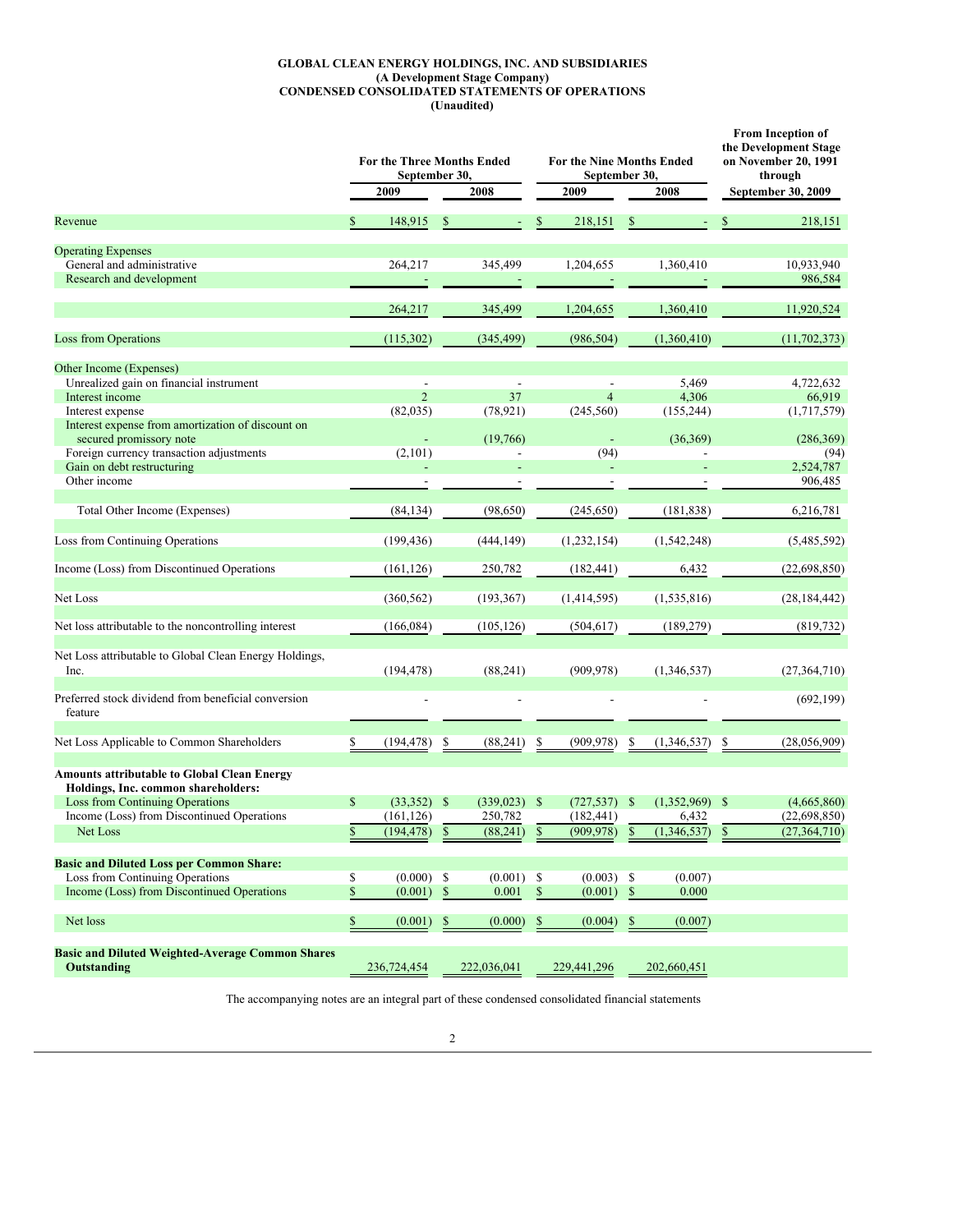## **GLOBAL CLEAN ENERGY HOLDINGS, INC. AND SUBSIDIARIES (A Development Stage Company) CONDENSED CONSOLIDATED STATEMENTS OF OPERATIONS (Unaudited)**

|                                                                                      |              | For the Three Months Ended<br>September 30, |      | <b>From Inception of</b><br>the Development Stage<br>on November 20, 1991<br>For the Nine Months Ended<br>September 30, |              |                          |    |                      |               |                               |
|--------------------------------------------------------------------------------------|--------------|---------------------------------------------|------|-------------------------------------------------------------------------------------------------------------------------|--------------|--------------------------|----|----------------------|---------------|-------------------------------|
|                                                                                      |              | 2009                                        | 2008 |                                                                                                                         |              | 2009                     |    | 2008                 |               | through<br>September 30, 2009 |
| Revenue                                                                              | \$           | 148,915                                     | \$   |                                                                                                                         | \$           | 218,151                  | \$ |                      | \$            | 218,151                       |
| <b>Operating Expenses</b>                                                            |              |                                             |      |                                                                                                                         |              |                          |    |                      |               |                               |
| General and administrative                                                           |              | 264,217                                     |      | 345,499                                                                                                                 |              | 1,204,655                |    | 1,360,410            |               | 10,933,940                    |
| Research and development                                                             |              |                                             |      |                                                                                                                         |              |                          |    |                      |               | 986,584                       |
|                                                                                      |              | 264,217                                     |      | 345,499                                                                                                                 |              | 1,204,655                |    | 1,360,410            |               | 11,920,524                    |
| <b>Loss from Operations</b>                                                          |              | (115,302)                                   |      | (345, 499)                                                                                                              |              | (986, 504)               |    | (1,360,410)          |               | (11, 702, 373)                |
| Other Income (Expenses)                                                              |              |                                             |      |                                                                                                                         |              |                          |    |                      |               |                               |
| Unrealized gain on financial instrument                                              |              |                                             |      |                                                                                                                         |              |                          |    | 5,469                |               | 4,722,632                     |
| Interest income                                                                      |              | $\overline{2}$                              |      | 37                                                                                                                      |              | $\overline{4}$           |    | 4,306                |               | 66,919                        |
| Interest expense                                                                     |              | (82,035)                                    |      | (78, 921)                                                                                                               |              | (245, 560)               |    | (155, 244)           |               | (1,717,579)                   |
| Interest expense from amortization of discount on<br>secured promissory note         |              |                                             |      | (19,766)                                                                                                                |              |                          |    | (36,369)             |               | (286, 369)                    |
| Foreign currency transaction adjustments                                             |              | (2,101)                                     |      |                                                                                                                         |              | (94)                     |    |                      |               | (94)                          |
| Gain on debt restructuring                                                           |              |                                             |      |                                                                                                                         |              | ÷,                       |    |                      |               | 2,524,787                     |
| Other income                                                                         |              |                                             |      |                                                                                                                         |              |                          |    |                      |               | 906,485                       |
| Total Other Income (Expenses)                                                        |              | (84, 134)                                   |      | (98, 650)                                                                                                               |              | (245, 650)               |    | (181, 838)           |               | 6,216,781                     |
| Loss from Continuing Operations                                                      |              | (199, 436)                                  |      | (444, 149)                                                                                                              |              | (1, 232, 154)            |    | (1, 542, 248)        |               | (5,485,592)                   |
|                                                                                      |              |                                             |      |                                                                                                                         |              |                          |    |                      |               |                               |
| Income (Loss) from Discontinued Operations                                           |              | (161, 126)                                  |      | 250,782                                                                                                                 |              | (182, 441)               |    | 6,432                |               | (22, 698, 850)                |
| Net Loss                                                                             |              | (360, 562)                                  |      | (193, 367)                                                                                                              |              | (1,414,595)              |    | (1, 535, 816)        |               | (28, 184, 442)                |
| Net loss attributable to the noncontrolling interest                                 |              | (166, 084)                                  |      | (105, 126)                                                                                                              |              | (504, 617)               |    | (189, 279)           |               | (819, 732)                    |
| Net Loss attributable to Global Clean Energy Holdings,                               |              |                                             |      |                                                                                                                         |              |                          |    |                      |               |                               |
| Inc.                                                                                 |              | (194, 478)                                  |      | (88, 241)                                                                                                               |              | (909, 978)               |    | (1,346,537)          |               | (27, 364, 710)                |
| Preferred stock dividend from beneficial conversion                                  |              |                                             |      |                                                                                                                         |              |                          |    |                      |               | (692, 199)                    |
| feature                                                                              |              |                                             |      |                                                                                                                         |              |                          |    |                      |               |                               |
| Net Loss Applicable to Common Shareholders                                           | \$           | (194, 478)                                  | \$   | (88, 241)                                                                                                               | \$           | (909, 978)               | \$ | (1,346,537)          | \$            | (28,056,909)                  |
| <b>Amounts attributable to Global Clean Energy</b>                                   |              |                                             |      |                                                                                                                         |              |                          |    |                      |               |                               |
| Holdings, Inc. common shareholders:                                                  |              |                                             |      |                                                                                                                         |              |                          |    |                      |               |                               |
| <b>Loss from Continuing Operations</b><br>Income (Loss) from Discontinued Operations | $\mathbb{S}$ | $(33,352)$ \$<br>(161, 126)                 |      | $(339,023)$ \$<br>250,782                                                                                               |              | (727, 537)<br>(182, 441) | \$ | (1,352,969)<br>6,432 | <sup>\$</sup> | (4,665,860)<br>(22, 698, 850) |
| Net Loss                                                                             | \$           | (194, 478)                                  | \$   | (88, 241)                                                                                                               | \$           | (909, 978)               | \$ | (1,346,537)          | \$            | (27, 364, 710)                |
|                                                                                      |              |                                             |      |                                                                                                                         |              |                          |    |                      |               |                               |
| <b>Basic and Diluted Loss per Common Share:</b>                                      |              |                                             |      |                                                                                                                         |              |                          |    |                      |               |                               |
| Loss from Continuing Operations                                                      | \$           | $(0.000)$ \$                                |      | (0.001)                                                                                                                 | $\mathbb{S}$ | (0.003)                  | -S | (0.007)              |               |                               |
| Income (Loss) from Discontinued Operations                                           | \$           | (0.001)                                     | \$   | 0.001                                                                                                                   | $\mathbb{S}$ | (0.001)                  | \$ | 0.000                |               |                               |
| Net loss                                                                             | \$           | (0.001)                                     | \$   | (0.000)                                                                                                                 | \$           | (0.004)                  | \$ | (0.007)              |               |                               |
| <b>Basic and Diluted Weighted-Average Common Shares</b>                              |              |                                             |      |                                                                                                                         |              |                          |    |                      |               |                               |
| Outstanding                                                                          |              | 236,724,454                                 |      | 222,036,041                                                                                                             |              | 229,441,296              |    | 202,660,451          |               |                               |

The accompanying notes are an integral part of these condensed consolidated financial statements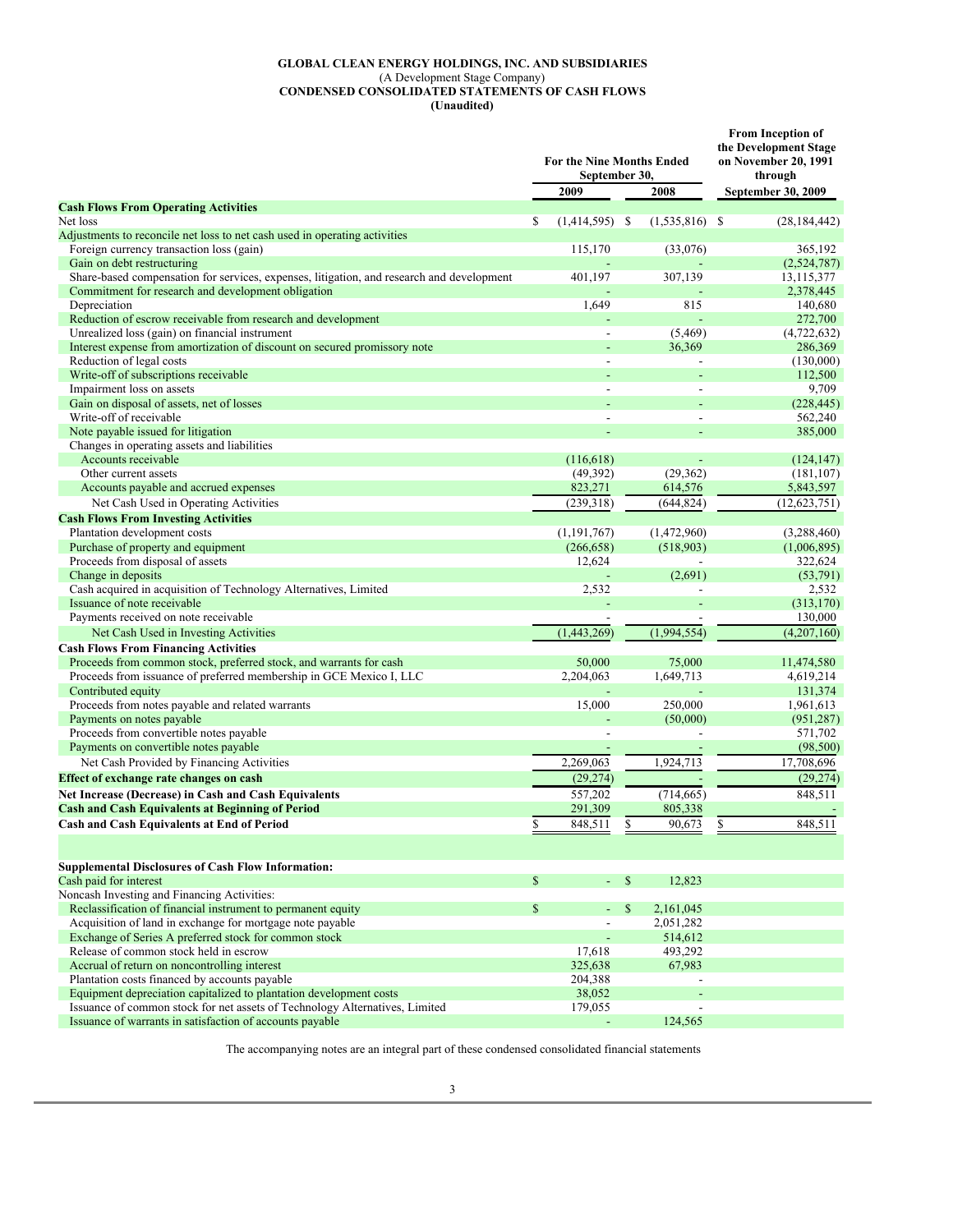### **GLOBAL CLEAN ENERGY HOLDINGS, INC. AND SUBSIDIARIES** (A Development Stage Company) **CONDENSED CONSOLIDATED STATEMENTS OF CASH FLOWS (Unaudited)**

|                                                                                           | <b>For the Nine Months Ended</b><br>September 30, |                          |              | From Inception of<br>the Development Stage<br>on November 20, 1991<br>through |    |                    |
|-------------------------------------------------------------------------------------------|---------------------------------------------------|--------------------------|--------------|-------------------------------------------------------------------------------|----|--------------------|
|                                                                                           |                                                   | 2009                     |              | 2008                                                                          |    | September 30, 2009 |
| <b>Cash Flows From Operating Activities</b>                                               |                                                   |                          |              |                                                                               |    |                    |
| Net loss                                                                                  | \$                                                | (1,414,595)              | -S           | $(1,535,816)$ \$                                                              |    | (28, 184, 442)     |
| Adjustments to reconcile net loss to net cash used in operating activities                |                                                   |                          |              |                                                                               |    |                    |
| Foreign currency transaction loss (gain)                                                  |                                                   | 115,170                  |              | (33,076)                                                                      |    | 365,192            |
| Gain on debt restructuring                                                                |                                                   |                          |              |                                                                               |    | (2,524,787)        |
| Share-based compensation for services, expenses, litigation, and research and development |                                                   | 401,197                  |              | 307,139                                                                       |    | 13, 115, 377       |
| Commitment for research and development obligation                                        |                                                   |                          |              |                                                                               |    | 2,378,445          |
| Depreciation                                                                              |                                                   | 1,649                    |              | 815                                                                           |    | 140,680            |
| Reduction of escrow receivable from research and development                              |                                                   |                          |              |                                                                               |    | 272,700            |
| Unrealized loss (gain) on financial instrument                                            |                                                   | ÷,                       |              | (5, 469)                                                                      |    | (4,722,632)        |
| Interest expense from amortization of discount on secured promissory note                 |                                                   |                          |              | 36,369                                                                        |    | 286,369            |
| Reduction of legal costs                                                                  |                                                   | $\blacksquare$           |              |                                                                               |    | (130,000)          |
| Write-off of subscriptions receivable                                                     |                                                   |                          |              |                                                                               |    | 112,500            |
| Impairment loss on assets                                                                 |                                                   |                          |              | $\overline{a}$                                                                |    | 9,709              |
| Gain on disposal of assets, net of losses                                                 |                                                   |                          |              |                                                                               |    | (228, 445)         |
| Write-off of receivable                                                                   |                                                   | $\overline{\phantom{a}}$ |              | $\overline{a}$                                                                |    | 562,240            |
| Note payable issued for litigation                                                        |                                                   |                          |              |                                                                               |    | 385,000            |
| Changes in operating assets and liabilities                                               |                                                   |                          |              |                                                                               |    |                    |
| Accounts receivable                                                                       |                                                   | (116, 618)               |              |                                                                               |    | (124, 147)         |
| Other current assets                                                                      |                                                   | (49, 392)                |              | (29, 362)                                                                     |    | (181, 107)         |
| Accounts payable and accrued expenses                                                     |                                                   | 823,271                  |              | 614,576                                                                       |    | 5,843,597          |
| Net Cash Used in Operating Activities                                                     |                                                   | (239, 318)               |              | (644, 824)                                                                    |    | (12, 623, 751)     |
| <b>Cash Flows From Investing Activities</b>                                               |                                                   |                          |              |                                                                               |    |                    |
| Plantation development costs                                                              |                                                   | (1, 191, 767)            |              | (1,472,960)                                                                   |    | (3,288,460)        |
| Purchase of property and equipment                                                        |                                                   | (266, 658)               |              | (518,903)                                                                     |    | (1,006,895)        |
| Proceeds from disposal of assets                                                          |                                                   | 12,624                   |              |                                                                               |    | 322,624            |
| Change in deposits                                                                        |                                                   |                          |              | (2,691)                                                                       |    | (53, 791)          |
| Cash acquired in acquisition of Technology Alternatives, Limited                          |                                                   | 2,532                    |              |                                                                               |    | 2,532              |
| Issuance of note receivable                                                               |                                                   |                          |              |                                                                               |    | (313,170)          |
| Payments received on note receivable                                                      |                                                   |                          |              |                                                                               |    | 130,000            |
| Net Cash Used in Investing Activities                                                     |                                                   | (1,443,269)              |              | (1,994,554)                                                                   |    | (4,207,160)        |
| <b>Cash Flows From Financing Activities</b>                                               |                                                   |                          |              |                                                                               |    |                    |
| Proceeds from common stock, preferred stock, and warrants for cash                        |                                                   | 50,000                   |              | 75,000                                                                        |    | 11,474,580         |
| Proceeds from issuance of preferred membership in GCE Mexico I, LLC                       |                                                   | 2,204,063                |              | 1,649,713                                                                     |    | 4,619,214          |
| Contributed equity                                                                        |                                                   |                          |              |                                                                               |    | 131,374            |
| Proceeds from notes payable and related warrants                                          |                                                   | 15,000                   |              | 250,000                                                                       |    | 1,961,613          |
| Payments on notes payable                                                                 |                                                   |                          |              | (50,000)                                                                      |    | (951, 287)         |
| Proceeds from convertible notes payable                                                   |                                                   |                          |              |                                                                               |    | 571,702            |
| Payments on convertible notes payable                                                     |                                                   |                          |              |                                                                               |    | (98, 500)          |
| Net Cash Provided by Financing Activities                                                 |                                                   | 2,269,063                |              | 1,924,713                                                                     |    | 17,708,696         |
| <b>Effect of exchange rate changes on cash</b>                                            |                                                   | (29, 274)                |              |                                                                               |    | (29, 274)          |
| Net Increase (Decrease) in Cash and Cash Equivalents                                      |                                                   | 557,202                  |              | (714, 665)                                                                    |    | 848,511            |
| <b>Cash and Cash Equivalents at Beginning of Period</b>                                   |                                                   | 291,309                  |              | 805,338                                                                       |    |                    |
| Cash and Cash Equivalents at End of Period                                                | \$                                                | 848.511                  | S            | 90.673                                                                        | \$ | 848.511            |
|                                                                                           |                                                   |                          |              |                                                                               |    |                    |
| <b>Supplemental Disclosures of Cash Flow Information:</b>                                 |                                                   |                          |              |                                                                               |    |                    |
| Cash paid for interest                                                                    | $\mathsf{\$}$                                     |                          | $-$ \$       | 12,823                                                                        |    |                    |
| Noncash Investing and Financing Activities:                                               |                                                   |                          |              |                                                                               |    |                    |
| Reclassification of financial instrument to permanent equity                              | $\mathsf{\$}$                                     | $\omega_{\rm c}$         | $\mathbb{S}$ | 2,161,045                                                                     |    |                    |
| Acquisition of land in exchange for mortgage note payable                                 |                                                   | $\blacksquare$           |              | 2,051,282                                                                     |    |                    |
| Exchange of Series A preferred stock for common stock                                     |                                                   |                          |              | 514,612                                                                       |    |                    |
| Release of common stock held in escrow                                                    |                                                   | 17,618                   |              | 493,292                                                                       |    |                    |
| Accrual of return on noncontrolling interest                                              |                                                   | 325,638                  |              | 67,983                                                                        |    |                    |
| Plantation costs financed by accounts payable                                             |                                                   | 204,388                  |              | $\blacksquare$                                                                |    |                    |
| Equipment depreciation capitalized to plantation development costs                        |                                                   | 38,052                   |              |                                                                               |    |                    |
| Issuance of common stock for net assets of Technology Alternatives, Limited               |                                                   | 179,055                  |              |                                                                               |    |                    |
| Issuance of warrants in satisfaction of accounts payable                                  |                                                   |                          |              | 124,565                                                                       |    |                    |

The accompanying notes are an integral part of these condensed consolidated financial statements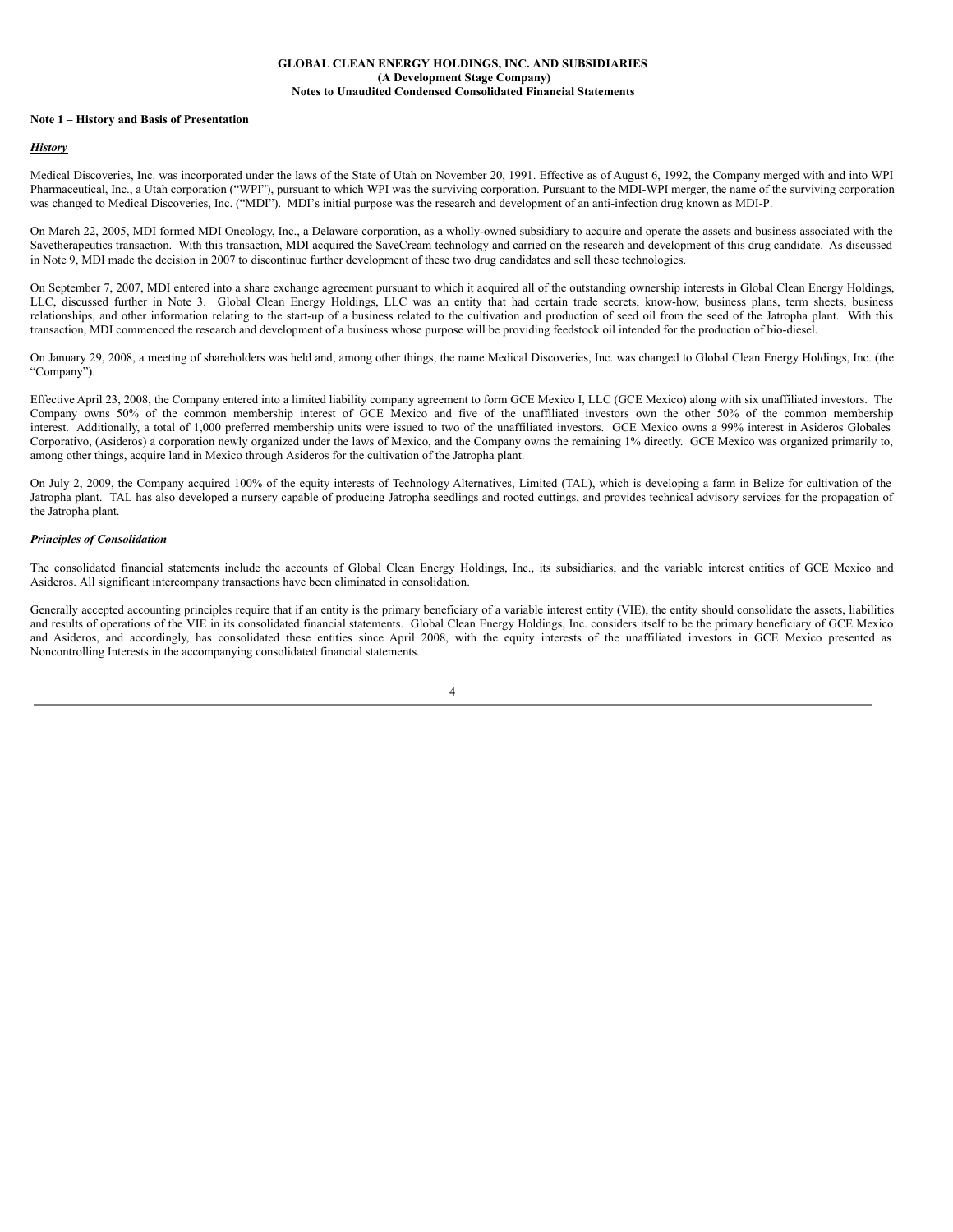## **Note 1 – History and Basis of Presentation**

## *History*

Medical Discoveries, Inc. was incorporated under the laws of the State of Utah on November 20, 1991. Effective as of August 6, 1992, the Company merged with and into WPI Pharmaceutical, Inc., a Utah corporation ("WPI"), pursuant to which WPI was the surviving corporation. Pursuant to the MDI-WPI merger, the name of the surviving corporation was changed to Medical Discoveries, Inc. ("MDI"). MDI's initial purpose was the research and development of an anti-infection drug known as MDI-P.

On March 22, 2005, MDI formed MDI Oncology, Inc., a Delaware corporation, as a wholly-owned subsidiary to acquire and operate the assets and business associated with the Savetherapeutics transaction. With this transaction, MDI acquired the SaveCream technology and carried on the research and development of this drug candidate. As discussed in Note 9, MDI made the decision in 2007 to discontinue further development of these two drug candidates and sell these technologies.

On September 7, 2007, MDI entered into a share exchange agreement pursuant to which it acquired all of the outstanding ownership interests in Global Clean Energy Holdings, LLC, discussed further in Note 3. Global Clean Energy Holdings, LLC was an entity that had certain trade secrets, know-how, business plans, term sheets, business relationships, and other information relating to the start-up of a business related to the cultivation and production of seed oil from the seed of the Jatropha plant. With this transaction, MDI commenced the research and development of a business whose purpose will be providing feedstock oil intended for the production of bio-diesel.

On January 29, 2008, a meeting of shareholders was held and, among other things, the name Medical Discoveries, Inc. was changed to Global Clean Energy Holdings, Inc. (the "Company").

Effective April 23, 2008, the Company entered into a limited liability company agreement to form GCE Mexico I, LLC (GCE Mexico) along with six unaffiliated investors. The Company owns 50% of the common membership interest of GCE Mexico and five of the unaffiliated investors own the other 50% of the common membership interest. Additionally, a total of 1,000 preferred membership units were issued to two of the unaffiliated investors. GCE Mexico owns a 99% interest in Asideros Globales Corporativo, (Asideros) a corporation newly organized under the laws of Mexico, and the Company owns the remaining 1% directly. GCE Mexico was organized primarily to, among other things, acquire land in Mexico through Asideros for the cultivation of the Jatropha plant.

On July 2, 2009, the Company acquired 100% of the equity interests of Technology Alternatives, Limited (TAL), which is developing a farm in Belize for cultivation of the Jatropha plant. TAL has also developed a nursery capable of producing Jatropha seedlings and rooted cuttings, and provides technical advisory services for the propagation of the Jatropha plant.

#### *Principles of Consolidation*

The consolidated financial statements include the accounts of Global Clean Energy Holdings, Inc., its subsidiaries, and the variable interest entities of GCE Mexico and Asideros. All significant intercompany transactions have been eliminated in consolidation.

Generally accepted accounting principles require that if an entity is the primary beneficiary of a variable interest entity (VIE), the entity should consolidate the assets, liabilities and results of operations of the VIE in its consolidated financial statements. Global Clean Energy Holdings, Inc. considers itself to be the primary beneficiary of GCE Mexico and Asideros, and accordingly, has consolidated these entities since April 2008, with the equity interests of the unaffiliated investors in GCE Mexico presented as Noncontrolling Interests in the accompanying consolidated financial statements.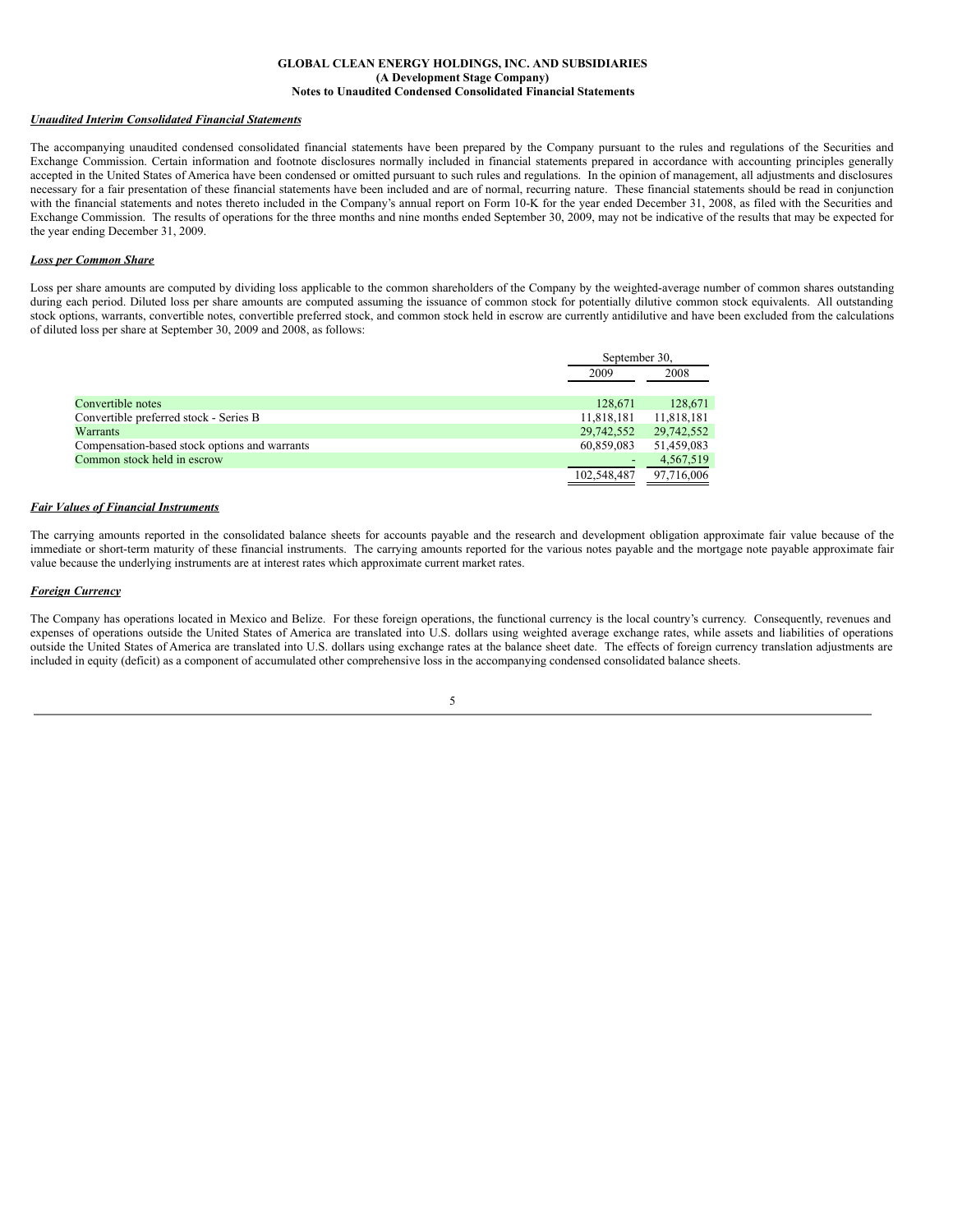## *Unaudited Interim Consolidated Financial Statements*

The accompanying unaudited condensed consolidated financial statements have been prepared by the Company pursuant to the rules and regulations of the Securities and Exchange Commission. Certain information and footnote disclosures normally included in financial statements prepared in accordance with accounting principles generally accepted in the United States of America have been condensed or omitted pursuant to such rules and regulations. In the opinion of management, all adjustments and disclosures necessary for a fair presentation of these financial statements have been included and are of normal, recurring nature. These financial statements should be read in conjunction with the financial statements and notes thereto included in the Company's annual report on Form 10-K for the year ended December 31, 2008, as filed with the Securities and Exchange Commission. The results of operations for the three months and nine months ended September 30, 2009, may not be indicative of the results that may be expected for the year ending December 31, 2009.

## *Loss per Common Share*

Loss per share amounts are computed by dividing loss applicable to the common shareholders of the Company by the weighted-average number of common shares outstanding during each period. Diluted loss per share amounts are computed assuming the issuance of common stock for potentially dilutive common stock equivalents. All outstanding stock options, warrants, convertible notes, convertible preferred stock, and common stock held in escrow are currently antidilutive and have been excluded from the calculations of diluted loss per share at September 30, 2009 and 2008, as follows:

|                                               | September 30. |            |
|-----------------------------------------------|---------------|------------|
|                                               | 2009          | 2008       |
|                                               |               |            |
| Convertible notes                             | 128,671       | 128,671    |
| Convertible preferred stock - Series B        | 11,818,181    | 11,818,181 |
| Warrants                                      | 29,742,552    | 29,742,552 |
| Compensation-based stock options and warrants | 60,859,083    | 51,459,083 |
| Common stock held in escrow                   |               | 4,567,519  |
|                                               | 102.548.487   | 97.716,006 |

## *Fair Values of Financial Instruments*

The carrying amounts reported in the consolidated balance sheets for accounts payable and the research and development obligation approximate fair value because of the immediate or short-term maturity of these financial instruments. The carrying amounts reported for the various notes payable and the mortgage note payable approximate fair value because the underlying instruments are at interest rates which approximate current market rates.

### *Foreign Currency*

The Company has operations located in Mexico and Belize. For these foreign operations, the functional currency is the local country's currency. Consequently, revenues and expenses of operations outside the United States of America are translated into U.S. dollars using weighted average exchange rates, while assets and liabilities of operations outside the United States of America are translated into U.S. dollars using exchange rates at the balance sheet date. The effects of foreign currency translation adjustments are included in equity (deficit) as a component of accumulated other comprehensive loss in the accompanying condensed consolidated balance sheets.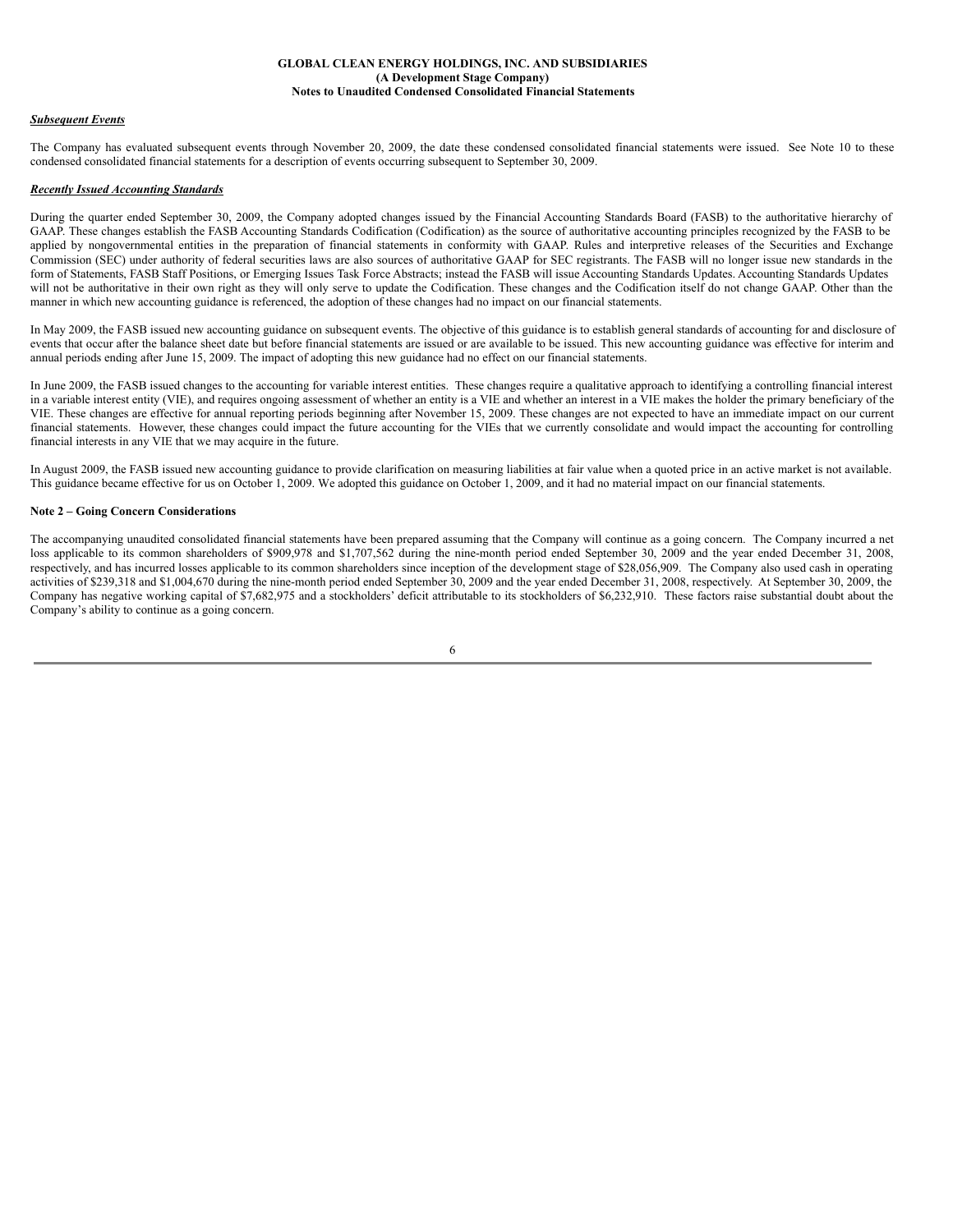## *Subsequent Events*

The Company has evaluated subsequent events through November 20, 2009, the date these condensed consolidated financial statements were issued. See Note 10 to these condensed consolidated financial statements for a description of events occurring subsequent to September 30, 2009.

#### *Recently Issued Accounting Standards*

During the quarter ended September 30, 2009, the Company adopted changes issued by the Financial Accounting Standards Board (FASB) to the authoritative hierarchy of GAAP. These changes establish the FASB Accounting Standards Codification (Codification) as the source of authoritative accounting principles recognized by the FASB to be applied by nongovernmental entities in the preparation of financial statements in conformity with GAAP. Rules and interpretive releases of the Securities and Exchange Commission (SEC) under authority of federal securities laws are also sources of authoritative GAAP for SEC registrants. The FASB will no longer issue new standards in the form of Statements, FASB Staff Positions, or Emerging Issues Task Force Abstracts; instead the FASB will issue Accounting Standards Updates. Accounting Standards Updates will not be authoritative in their own right as they will only serve to update the Codification. These changes and the Codification itself do not change GAAP. Other than the manner in which new accounting guidance is referenced, the adoption of these changes had no impact on our financial statements.

In May 2009, the FASB issued new accounting guidance on subsequent events. The objective of this guidance is to establish general standards of accounting for and disclosure of events that occur after the balance sheet date but before financial statements are issued or are available to be issued. This new accounting guidance was effective for interim and annual periods ending after June 15, 2009. The impact of adopting this new guidance had no effect on our financial statements.

In June 2009, the FASB issued changes to the accounting for variable interest entities. These changes require a qualitative approach to identifying a controlling financial interest in a variable interest entity (VIE), and requires ongoing assessment of whether an entity is a VIE and whether an interest in a VIE makes the holder the primary beneficiary of the VIE. These changes are effective for annual reporting periods beginning after November 15, 2009. These changes are not expected to have an immediate impact on our current financial statements. However, these changes could impact the future accounting for the VIEs that we currently consolidate and would impact the accounting for controlling financial interests in any VIE that we may acquire in the future.

In August 2009, the FASB issued new accounting guidance to provide clarification on measuring liabilities at fair value when a quoted price in an active market is not available. This guidance became effective for us on October 1, 2009. We adopted this guidance on October 1, 2009, and it had no material impact on our financial statements.

#### **Note 2 – Going Concern Considerations**

The accompanying unaudited consolidated financial statements have been prepared assuming that the Company will continue as a going concern. The Company incurred a net loss applicable to its common shareholders of \$909,978 and \$1,707,562 during the nine-month period ended September 30, 2009 and the year ended December 31, 2008, respectively, and has incurred losses applicable to its common shareholders since inception of the development stage of \$28,056,909. The Company also used cash in operating activities of \$239,318 and \$1,004,670 during the nine-month period ended September 30, 2009 and the year ended December 31, 2008, respectively. At September 30, 2009, the Company has negative working capital of \$7,682,975 and a stockholders' deficit attributable to its stockholders of \$6,232,910. These factors raise substantial doubt about the Company's ability to continue as a going concern.

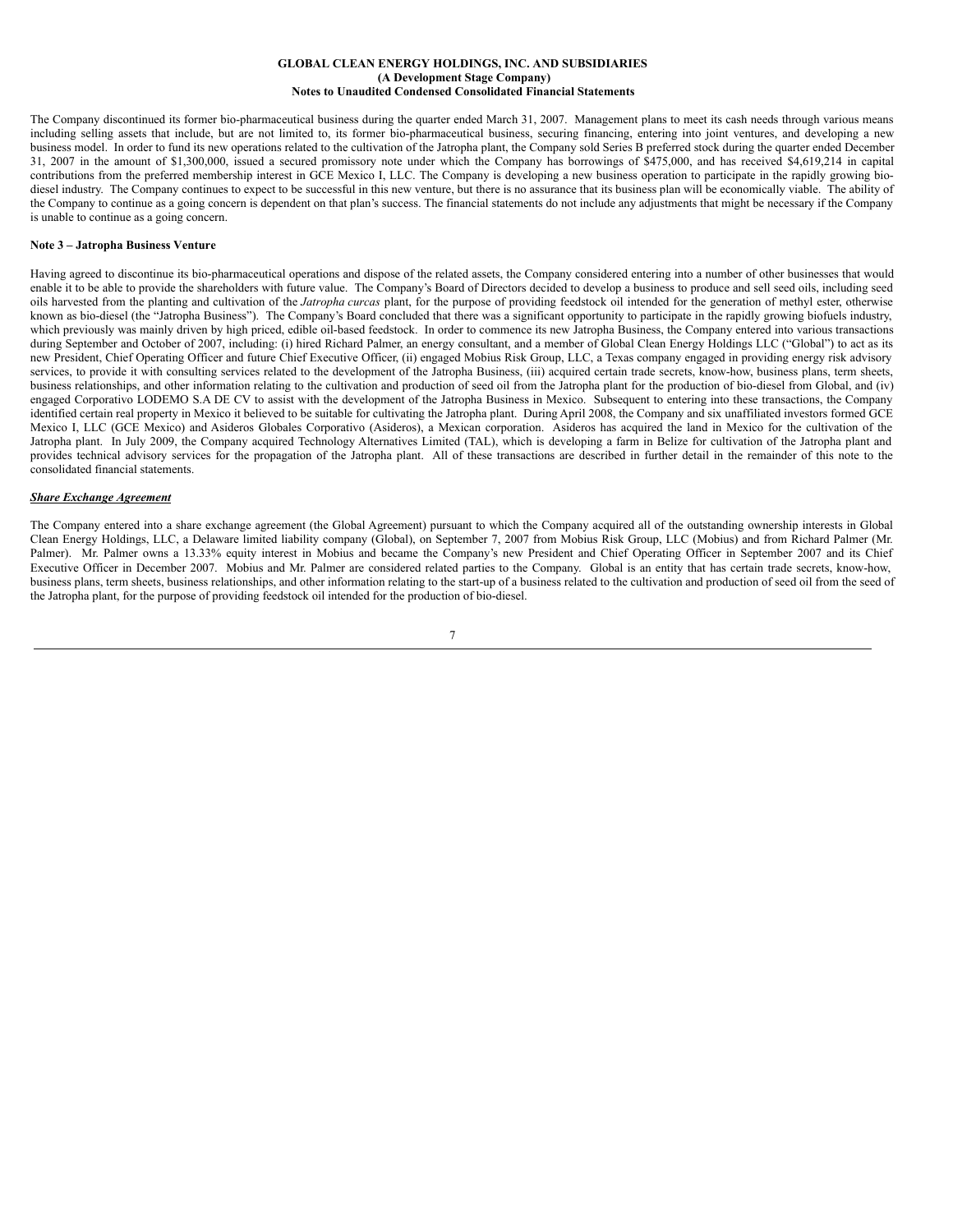The Company discontinued its former bio-pharmaceutical business during the quarter ended March 31, 2007. Management plans to meet its cash needs through various means including selling assets that include, but are not limited to, its former bio-pharmaceutical business, securing financing, entering into joint ventures, and developing a new business model. In order to fund its new operations related to the cultivation of the Jatropha plant, the Company sold Series B preferred stock during the quarter ended December 31, 2007 in the amount of \$1,300,000, issued a secured promissory note under which the Company has borrowings of \$475,000, and has received \$4,619,214 in capital contributions from the preferred membership interest in GCE Mexico I, LLC. The Company is developing a new business operation to participate in the rapidly growing biodiesel industry. The Company continues to expect to be successful in this new venture, but there is no assurance that its business plan will be economically viable. The ability of the Company to continue as a going concern is dependent on that plan's success. The financial statements do not include any adjustments that might be necessary if the Company is unable to continue as a going concern.

## **Note 3 – Jatropha Business Venture**

Having agreed to discontinue its bio-pharmaceutical operations and dispose of the related assets, the Company considered entering into a number of other businesses that would enable it to be able to provide the shareholders with future value. The Company's Board of Directors decided to develop a business to produce and sell seed oils, including seed oils harvested from the planting and cultivation of the *Jatropha curcas* plant, for the purpose of providing feedstock oil intended for the generation of methyl ester, otherwise known as bio-diesel (the "Jatropha Business"). The Company's Board concluded that there was a significant opportunity to participate in the rapidly growing biofuels industry, which previously was mainly driven by high priced, edible oil-based feedstock. In order to commence its new Jatropha Business, the Company entered into various transactions during September and October of 2007, including: (i) hired Richard Palmer, an energy consultant, and a member of Global Clean Energy Holdings LLC ("Global") to act as its new President, Chief Operating Officer and future Chief Executive Officer, (ii) engaged Mobius Risk Group, LLC, a Texas company engaged in providing energy risk advisory services, to provide it with consulting services related to the development of the Jatropha Business, (iii) acquired certain trade secrets, know-how, business plans, term sheets, business relationships, and other information relating to the cultivation and production of seed oil from the Jatropha plant for the production of bio-diesel from Global, and (iv) engaged Corporativo LODEMO S.A DE CV to assist with the development of the Jatropha Business in Mexico. Subsequent to entering into these transactions, the Company identified certain real property in Mexico it believed to be suitable for cultivating the Jatropha plant. During April 2008, the Company and six unaffiliated investors formed GCE Mexico I, LLC (GCE Mexico) and Asideros Globales Corporativo (Asideros), a Mexican corporation. Asideros has acquired the land in Mexico for the cultivation of the Jatropha plant. In July 2009, the Company acquired Technology Alternatives Limited (TAL), which is developing a farm in Belize for cultivation of the Jatropha plant and provides technical advisory services for the propagation of the Jatropha plant. All of these transactions are described in further detail in the remainder of this note to the consolidated financial statements.

## *Share Exchange Agreement*

The Company entered into a share exchange agreement (the Global Agreement) pursuant to which the Company acquired all of the outstanding ownership interests in Global Clean Energy Holdings, LLC, a Delaware limited liability company (Global), on September 7, 2007 from Mobius Risk Group, LLC (Mobius) and from Richard Palmer (Mr. Palmer). Mr. Palmer owns a 13.33% equity interest in Mobius and became the Company's new President and Chief Operating Officer in September 2007 and its Chief Executive Officer in December 2007. Mobius and Mr. Palmer are considered related parties to the Company. Global is an entity that has certain trade secrets, know-how, business plans, term sheets, business relationships, and other information relating to the start-up of a business related to the cultivation and production of seed oil from the seed of the Jatropha plant, for the purpose of providing feedstock oil intended for the production of bio-diesel.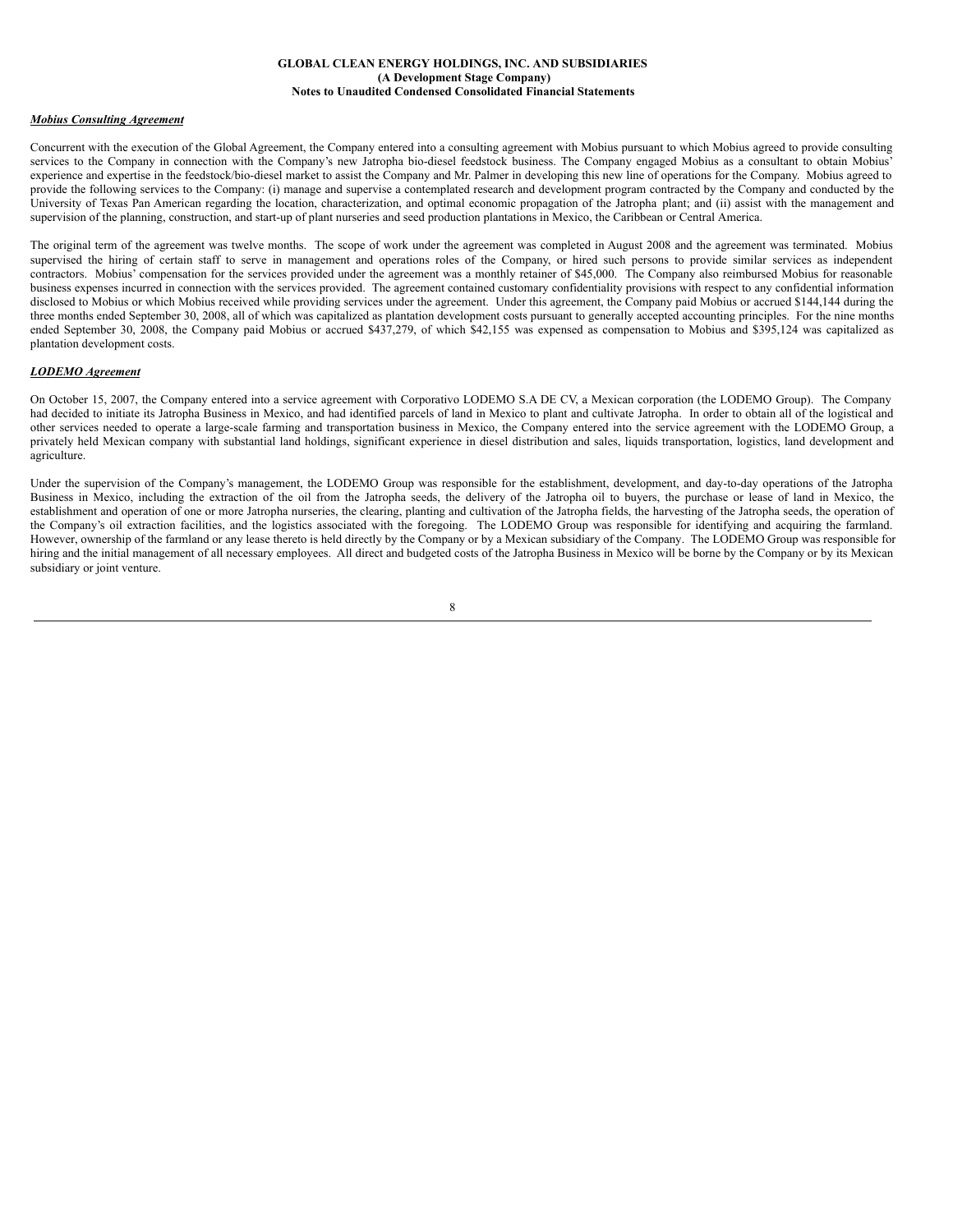## *Mobius Consulting Agreement*

Concurrent with the execution of the Global Agreement, the Company entered into a consulting agreement with Mobius pursuant to which Mobius agreed to provide consulting services to the Company in connection with the Company's new Jatropha bio-diesel feedstock business. The Company engaged Mobius as a consultant to obtain Mobius' experience and expertise in the feedstock/bio-diesel market to assist the Company and Mr. Palmer in developing this new line of operations for the Company. Mobius agreed to provide the following services to the Company: (i) manage and supervise a contemplated research and development program contracted by the Company and conducted by the University of Texas Pan American regarding the location, characterization, and optimal economic propagation of the Jatropha plant; and (ii) assist with the management and supervision of the planning, construction, and start-up of plant nurseries and seed production plantations in Mexico, the Caribbean or Central America.

The original term of the agreement was twelve months. The scope of work under the agreement was completed in August 2008 and the agreement was terminated. Mobius supervised the hiring of certain staff to serve in management and operations roles of the Company, or hired such persons to provide similar services as independent contractors. Mobius' compensation for the services provided under the agreement was a monthly retainer of \$45,000. The Company also reimbursed Mobius for reasonable business expenses incurred in connection with the services provided. The agreement contained customary confidentiality provisions with respect to any confidential information disclosed to Mobius or which Mobius received while providing services under the agreement. Under this agreement, the Company paid Mobius or accrued \$144,144 during the three months ended September 30, 2008, all of which was capitalized as plantation development costs pursuant to generally accepted accounting principles. For the nine months ended September 30, 2008, the Company paid Mobius or accrued \$437,279, of which \$42,155 was expensed as compensation to Mobius and \$395,124 was capitalized as plantation development costs.

#### *LODEMO Agreement*

On October 15, 2007, the Company entered into a service agreement with Corporativo LODEMO S.A DE CV, a Mexican corporation (the LODEMO Group). The Company had decided to initiate its Jatropha Business in Mexico, and had identified parcels of land in Mexico to plant and cultivate Jatropha. In order to obtain all of the logistical and other services needed to operate a large-scale farming and transportation business in Mexico, the Company entered into the service agreement with the LODEMO Group, a privately held Mexican company with substantial land holdings, significant experience in diesel distribution and sales, liquids transportation, logistics, land development and agriculture.

Under the supervision of the Company's management, the LODEMO Group was responsible for the establishment, development, and day-to-day operations of the Jatropha Business in Mexico, including the extraction of the oil from the Jatropha seeds, the delivery of the Jatropha oil to buyers, the purchase or lease of land in Mexico, the establishment and operation of one or more Jatropha nurseries, the clearing, planting and cultivation of the Jatropha fields, the harvesting of the Jatropha seeds, the operation of the Company's oil extraction facilities, and the logistics associated with the foregoing. The LODEMO Group was responsible for identifying and acquiring the farmland. However, ownership of the farmland or any lease thereto is held directly by the Company or by a Mexican subsidiary of the Company. The LODEMO Group was responsible for hiring and the initial management of all necessary employees. All direct and budgeted costs of the Jatropha Business in Mexico will be borne by the Company or by its Mexican subsidiary or joint venture.

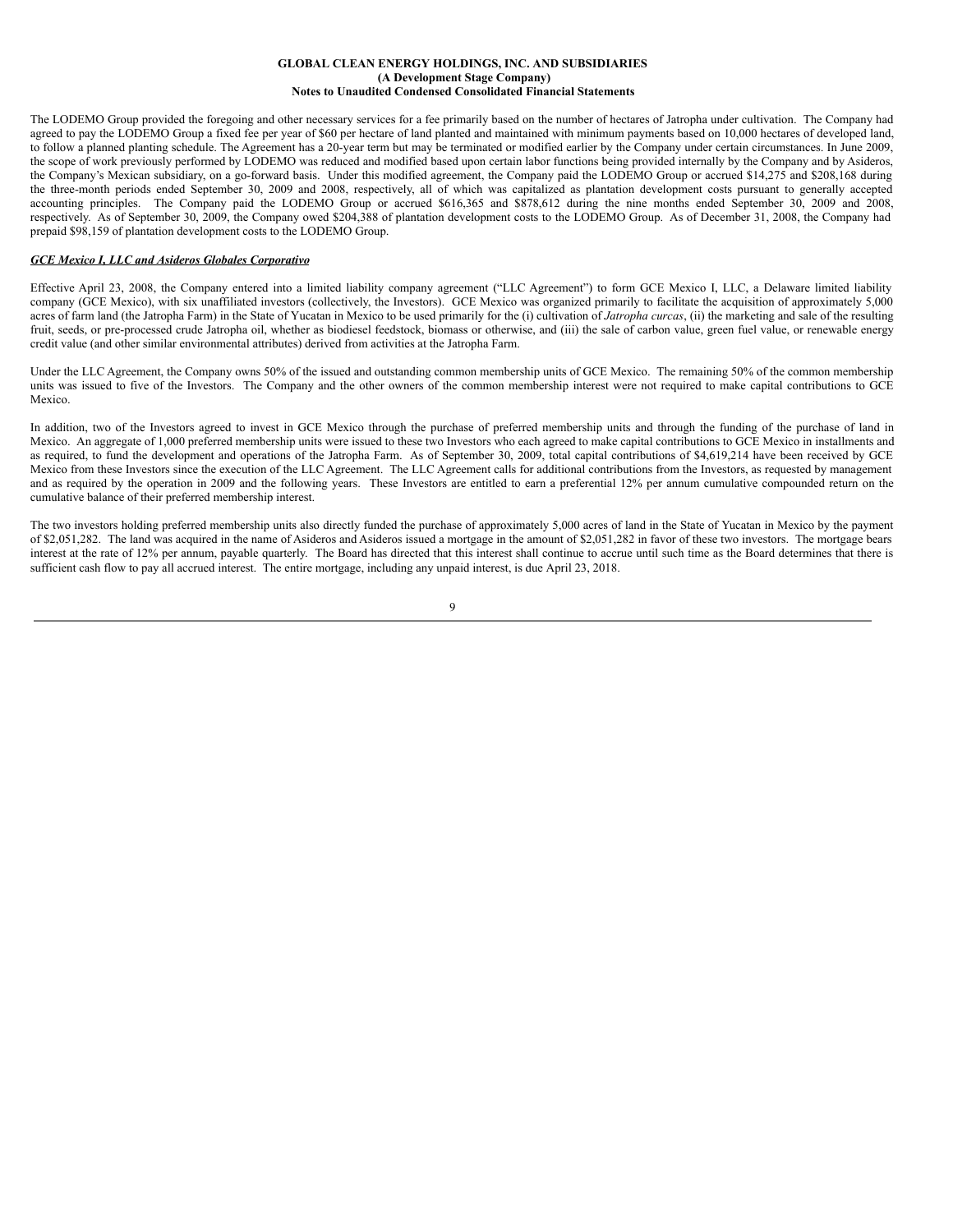The LODEMO Group provided the foregoing and other necessary services for a fee primarily based on the number of hectares of Jatropha under cultivation. The Company had agreed to pay the LODEMO Group a fixed fee per year of \$60 per hectare of land planted and maintained with minimum payments based on 10,000 hectares of developed land, to follow a planned planting schedule. The Agreement has a 20-year term but may be terminated or modified earlier by the Company under certain circumstances. In June 2009, the scope of work previously performed by LODEMO was reduced and modified based upon certain labor functions being provided internally by the Company and by Asideros, the Company's Mexican subsidiary, on a go-forward basis. Under this modified agreement, the Company paid the LODEMO Group or accrued \$14,275 and \$208,168 during the three-month periods ended September 30, 2009 and 2008, respectively, all of which was capitalized as plantation development costs pursuant to generally accepted accounting principles. The Company paid the LODEMO Group or accrued \$616,365 and \$878,612 during the nine months ended September 30, 2009 and 2008, respectively. As of September 30, 2009, the Company owed \$204,388 of plantation development costs to the LODEMO Group. As of December 31, 2008, the Company had prepaid \$98,159 of plantation development costs to the LODEMO Group.

## *GCE Mexico I, LLC and Asideros Globales Corporativo*

Effective April 23, 2008, the Company entered into a limited liability company agreement ("LLC Agreement") to form GCE Mexico I, LLC, a Delaware limited liability company (GCE Mexico), with six unaffiliated investors (collectively, the Investors). GCE Mexico was organized primarily to facilitate the acquisition of approximately 5,000 acres of farm land (the Jatropha Farm) in the State of Yucatan in Mexico to be used primarily for the (i) cultivation of *Jatropha curcas*, (ii) the marketing and sale of the resulting fruit, seeds, or pre-processed crude Jatropha oil, whether as biodiesel feedstock, biomass or otherwise, and (iii) the sale of carbon value, green fuel value, or renewable energy credit value (and other similar environmental attributes) derived from activities at the Jatropha Farm.

Under the LLC Agreement, the Company owns 50% of the issued and outstanding common membership units of GCE Mexico. The remaining 50% of the common membership units was issued to five of the Investors. The Company and the other owners of the common membership interest were not required to make capital contributions to GCE Mexico.

In addition, two of the Investors agreed to invest in GCE Mexico through the purchase of preferred membership units and through the funding of the purchase of land in Mexico. An aggregate of 1,000 preferred membership units were issued to these two Investors who each agreed to make capital contributions to GCE Mexico in installments and as required, to fund the development and operations of the Jatropha Farm. As of September 30, 2009, total capital contributions of \$4,619,214 have been received by GCE Mexico from these Investors since the execution of the LLC Agreement. The LLC Agreement calls for additional contributions from the Investors, as requested by management and as required by the operation in 2009 and the following years. These Investors are entitled to earn a preferential 12% per annum cumulative compounded return on the cumulative balance of their preferred membership interest.

The two investors holding preferred membership units also directly funded the purchase of approximately 5,000 acres of land in the State of Yucatan in Mexico by the payment of \$2,051,282. The land was acquired in the name of Asideros and Asideros issued a mortgage in the amount of \$2,051,282 in favor of these two investors. The mortgage bears interest at the rate of 12% per annum, payable quarterly. The Board has directed that this interest shall continue to accrue until such time as the Board determines that there is sufficient cash flow to pay all accrued interest. The entire mortgage, including any unpaid interest, is due April 23, 2018.

 $\alpha$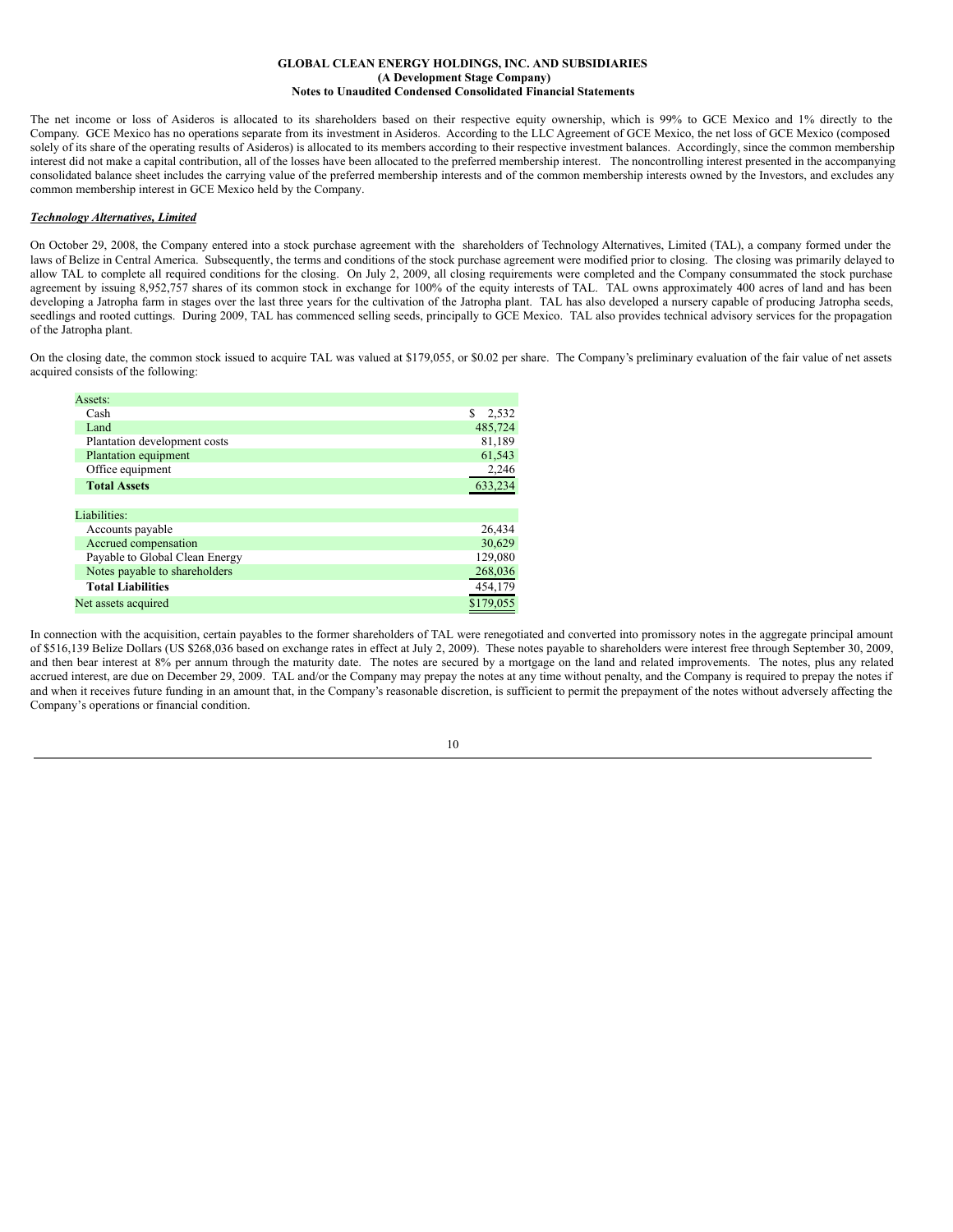The net income or loss of Asideros is allocated to its shareholders based on their respective equity ownership, which is 99% to GCE Mexico and 1% directly to the Company. GCE Mexico has no operations separate from its investment in Asideros. According to the LLC Agreement of GCE Mexico, the net loss of GCE Mexico (composed solely of its share of the operating results of Asideros) is allocated to its members according to their respective investment balances. Accordingly, since the common membership interest did not make a capital contribution, all of the losses have been allocated to the preferred membership interest. The noncontrolling interest presented in the accompanying consolidated balance sheet includes the carrying value of the preferred membership interests and of the common membership interests owned by the Investors, and excludes any common membership interest in GCE Mexico held by the Company.

## *Technology Alternatives, Limited*

On October 29, 2008, the Company entered into a stock purchase agreement with the shareholders of Technology Alternatives, Limited (TAL), a company formed under the laws of Belize in Central America. Subsequently, the terms and conditions of the stock purchase agreement were modified prior to closing. The closing was primarily delayed to allow TAL to complete all required conditions for the closing. On July 2, 2009, all closing requirements were completed and the Company consummated the stock purchase agreement by issuing 8,952,757 shares of its common stock in exchange for 100% of the equity interests of TAL. TAL owns approximately 400 acres of land and has been developing a Jatropha farm in stages over the last three years for the cultivation of the Jatropha plant. TAL has also developed a nursery capable of producing Jatropha seeds, seedlings and rooted cuttings. During 2009, TAL has commenced selling seeds, principally to GCE Mexico. TAL also provides technical advisory services for the propagation of the Jatropha plant.

On the closing date, the common stock issued to acquire TAL was valued at \$179,055, or \$0.02 per share. The Company's preliminary evaluation of the fair value of net assets acquired consists of the following:

| Assets:                        |            |
|--------------------------------|------------|
| Cash                           | S<br>2,532 |
| Land                           | 485,724    |
| Plantation development costs   | 81,189     |
| Plantation equipment           | 61,543     |
| Office equipment               | 2,246      |
| <b>Total Assets</b>            | 633,234    |
|                                |            |
| Liabilities:                   |            |
| Accounts payable               | 26,434     |
| Accrued compensation           | 30,629     |
| Payable to Global Clean Energy | 129,080    |
| Notes payable to shareholders  | 268,036    |
| <b>Total Liabilities</b>       | 454,179    |
| Net assets acquired            | \$179,055  |

In connection with the acquisition, certain payables to the former shareholders of TAL were renegotiated and converted into promissory notes in the aggregate principal amount of \$516,139 Belize Dollars (US \$268,036 based on exchange rates in effect at July 2, 2009). These notes payable to shareholders were interest free through September 30, 2009, and then bear interest at 8% per annum through the maturity date. The notes are secured by a mortgage on the land and related improvements. The notes, plus any related accrued interest, are due on December 29, 2009. TAL and/or the Company may prepay the notes at any time without penalty, and the Company is required to prepay the notes if and when it receives future funding in an amount that, in the Company's reasonable discretion, is sufficient to permit the prepayment of the notes without adversely affecting the Company's operations or financial condition.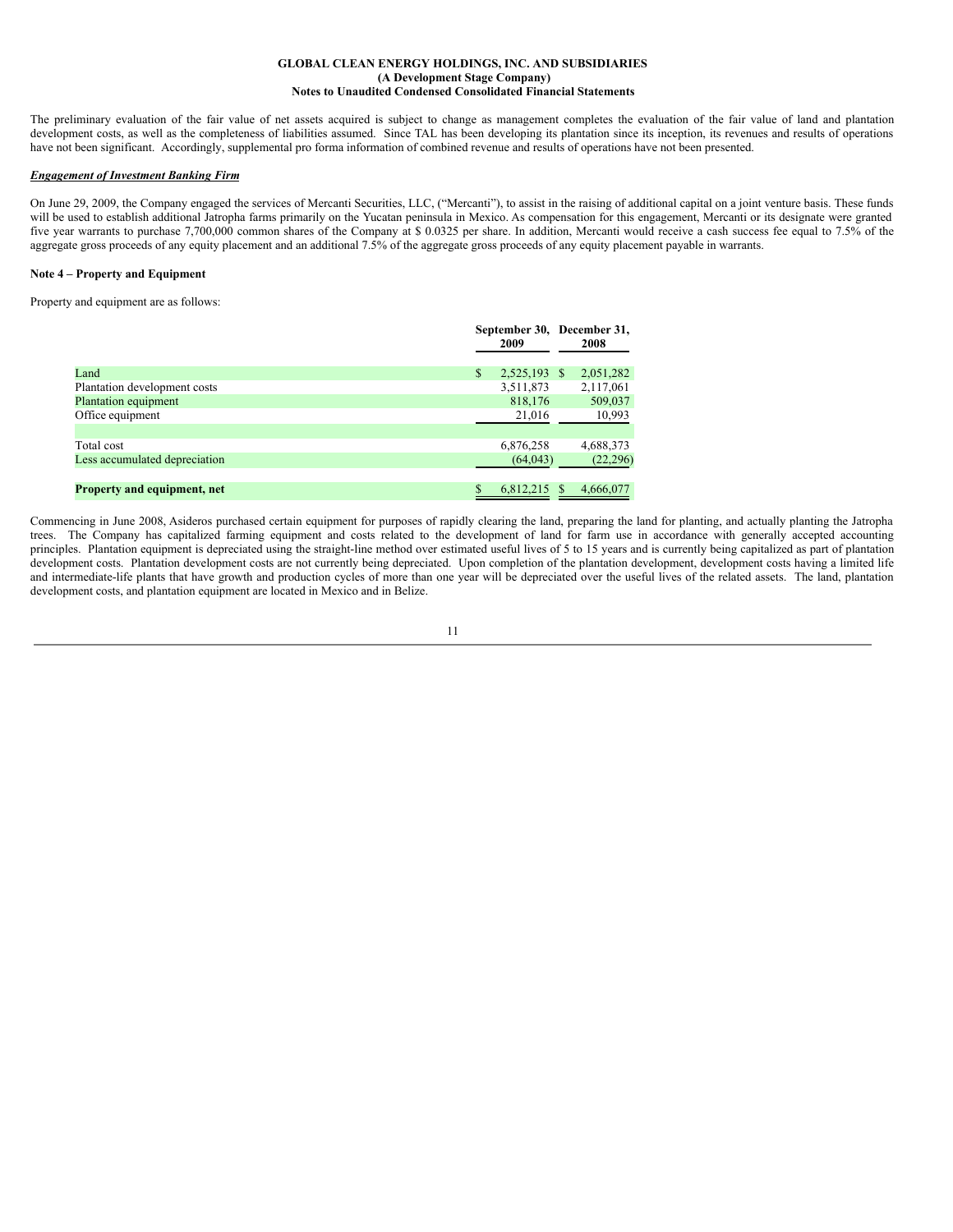The preliminary evaluation of the fair value of net assets acquired is subject to change as management completes the evaluation of the fair value of land and plantation development costs, as well as the completeness of liabilities assumed. Since TAL has been developing its plantation since its inception, its revenues and results of operations have not been significant. Accordingly, supplemental pro forma information of combined revenue and results of operations have not been presented.

### *Engagement of Investment Banking Firm*

On June 29, 2009, the Company engaged the services of Mercanti Securities, LLC, ("Mercanti"), to assist in the raising of additional capital on a joint venture basis. These funds will be used to establish additional Jatropha farms primarily on the Yucatan peninsula in Mexico. As compensation for this engagement, Mercanti or its designate were granted five year warrants to purchase 7,700,000 common shares of the Company at \$ 0.0325 per share. In addition, Mercanti would receive a cash success fee equal to 7.5% of the aggregate gross proceeds of any equity placement and an additional 7.5% of the aggregate gross proceeds of any equity placement payable in warrants.

## **Note 4 – Property and Equipment**

Property and equipment are as follows:

|                                    | 2009              | September 30, December 31,<br>2008 |
|------------------------------------|-------------------|------------------------------------|
| Land                               | 2,525,193 \$<br>S | 2,051,282                          |
| Plantation development costs       | 3,511,873         | 2,117,061                          |
| Plantation equipment               | 818,176           | 509,037                            |
| Office equipment                   | 21,016            | 10,993                             |
| Total cost                         | 6,876,258         | 4,688,373                          |
| Less accumulated depreciation      | (64, 043)         | (22, 296)                          |
| <b>Property and equipment, net</b> | 6.812.215 \$      | 4,666,077                          |

Commencing in June 2008, Asideros purchased certain equipment for purposes of rapidly clearing the land, preparing the land for planting, and actually planting the Jatropha trees. The Company has capitalized farming equipment and costs related to the development of land for farm use in accordance with generally accepted accounting principles. Plantation equipment is depreciated using the straight-line method over estimated useful lives of 5 to 15 years and is currently being capitalized as part of plantation development costs. Plantation development costs are not currently being depreciated. Upon completion of the plantation development, development costs having a limited life and intermediate-life plants that have growth and production cycles of more than one year will be depreciated over the useful lives of the related assets. The land, plantation development costs, and plantation equipment are located in Mexico and in Belize.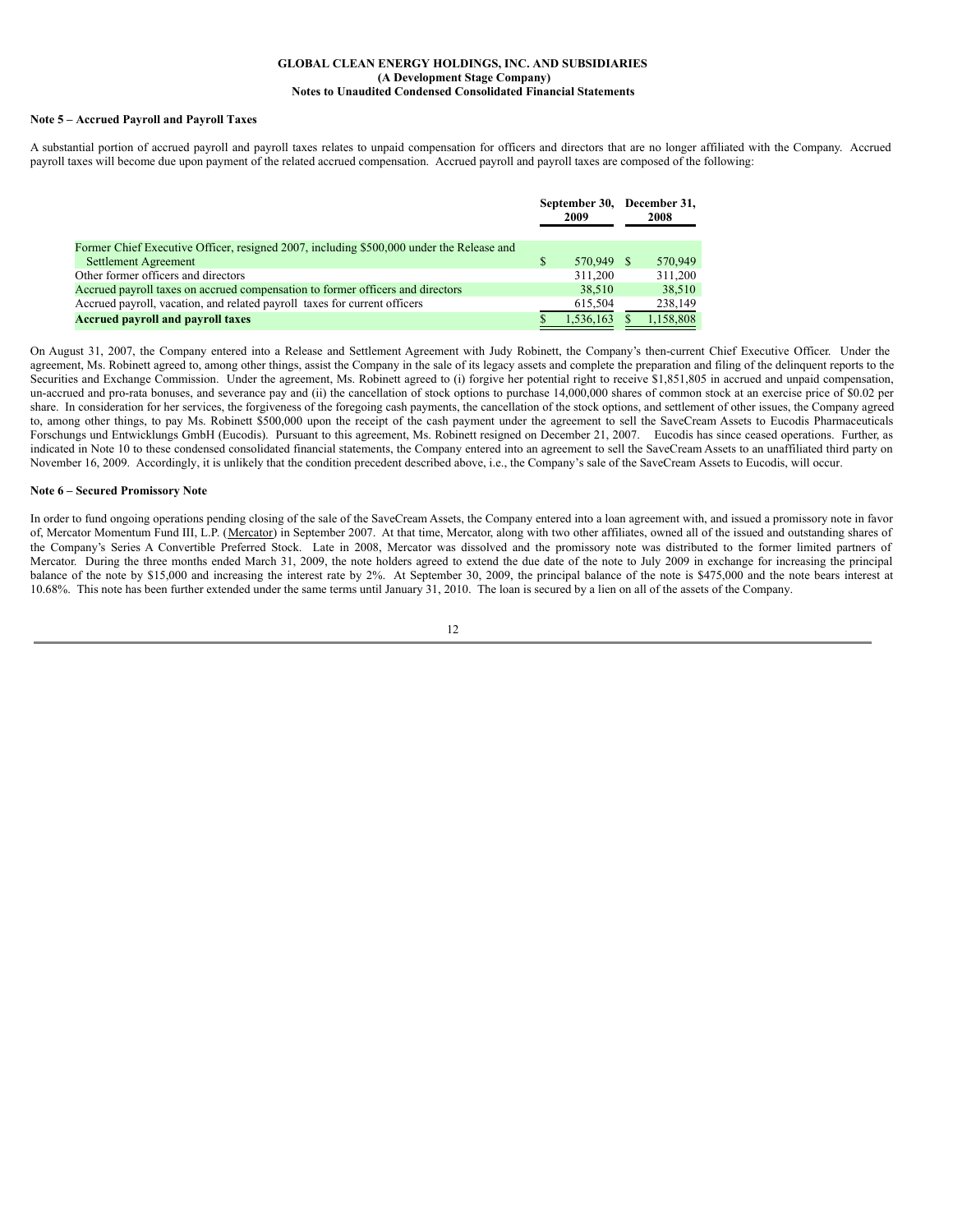## **Note 5 – Accrued Payroll and Payroll Taxes**

A substantial portion of accrued payroll and payroll taxes relates to unpaid compensation for officers and directors that are no longer affiliated with the Company. Accrued payroll taxes will become due upon payment of the related accrued compensation. Accrued payroll and payroll taxes are composed of the following:

|                                                                                          |    | September 30,<br>2009 | December 31,<br>2008 |
|------------------------------------------------------------------------------------------|----|-----------------------|----------------------|
| Former Chief Executive Officer, resigned 2007, including \$500,000 under the Release and |    |                       |                      |
| Settlement Agreement                                                                     | S. | 570.949 \$            | 570,949              |
| Other former officers and directors                                                      |    | 311.200               | 311.200              |
| Accrued payroll taxes on accrued compensation to former officers and directors           |    | 38.510                | 38.510               |
| Accrued payroll, vacation, and related payroll taxes for current officers                |    | 615.504               | 238,149              |
| <b>Accrued payroll and payroll taxes</b>                                                 |    | 1,536,163             | 1.158.808            |

On August 31, 2007, the Company entered into a Release and Settlement Agreement with Judy Robinett, the Company's then-current Chief Executive Officer. Under the agreement, Ms. Robinett agreed to, among other things, assist the Company in the sale of its legacy assets and complete the preparation and filing of the delinquent reports to the Securities and Exchange Commission. Under the agreement, Ms. Robinett agreed to (i) forgive her potential right to receive \$1,851,805 in accrued and unpaid compensation, un-accrued and pro-rata bonuses, and severance pay and (ii) the cancellation of stock options to purchase 14,000,000 shares of common stock at an exercise price of \$0.02 per share. In consideration for her services, the forgiveness of the foregoing cash payments, the cancellation of the stock options, and settlement of other issues, the Company agreed to, among other things, to pay Ms. Robinett \$500,000 upon the receipt of the cash payment under the agreement to sell the SaveCream Assets to Eucodis Pharmaceuticals Forschungs und Entwicklungs GmbH (Eucodis). Pursuant to this agreement, Ms. Robinett resigned on December 21, 2007. Eucodis has since ceased operations. Further, as indicated in Note 10 to these condensed consolidated financial statements, the Company entered into an agreement to sell the SaveCream Assets to an unaffiliated third party on November 16, 2009. Accordingly, it is unlikely that the condition precedent described above, i.e., the Company's sale of the SaveCream Assets to Eucodis, will occur.

#### **Note 6 – Secured Promissory Note**

In order to fund ongoing operations pending closing of the sale of the SaveCream Assets, the Company entered into a loan agreement with, and issued a promissory note in favor of, Mercator Momentum Fund III, L.P. (Mercator) in September 2007. At that time, Mercator, along with two other affiliates, owned all of the issued and outstanding shares of the Company's Series A Convertible Preferred Stock. Late in 2008, Mercator was dissolved and the promissory note was distributed to the former limited partners of Mercator. During the three months ended March 31, 2009, the note holders agreed to extend the due date of the note to July 2009 in exchange for increasing the principal balance of the note by \$15,000 and increasing the interest rate by 2%. At September 30, 2009, the principal balance of the note is \$475,000 and the note bears interest at 10.68%. This note has been further extended under the same terms until January 31, 2010. The loan is secured by a lien on all of the assets of the Company.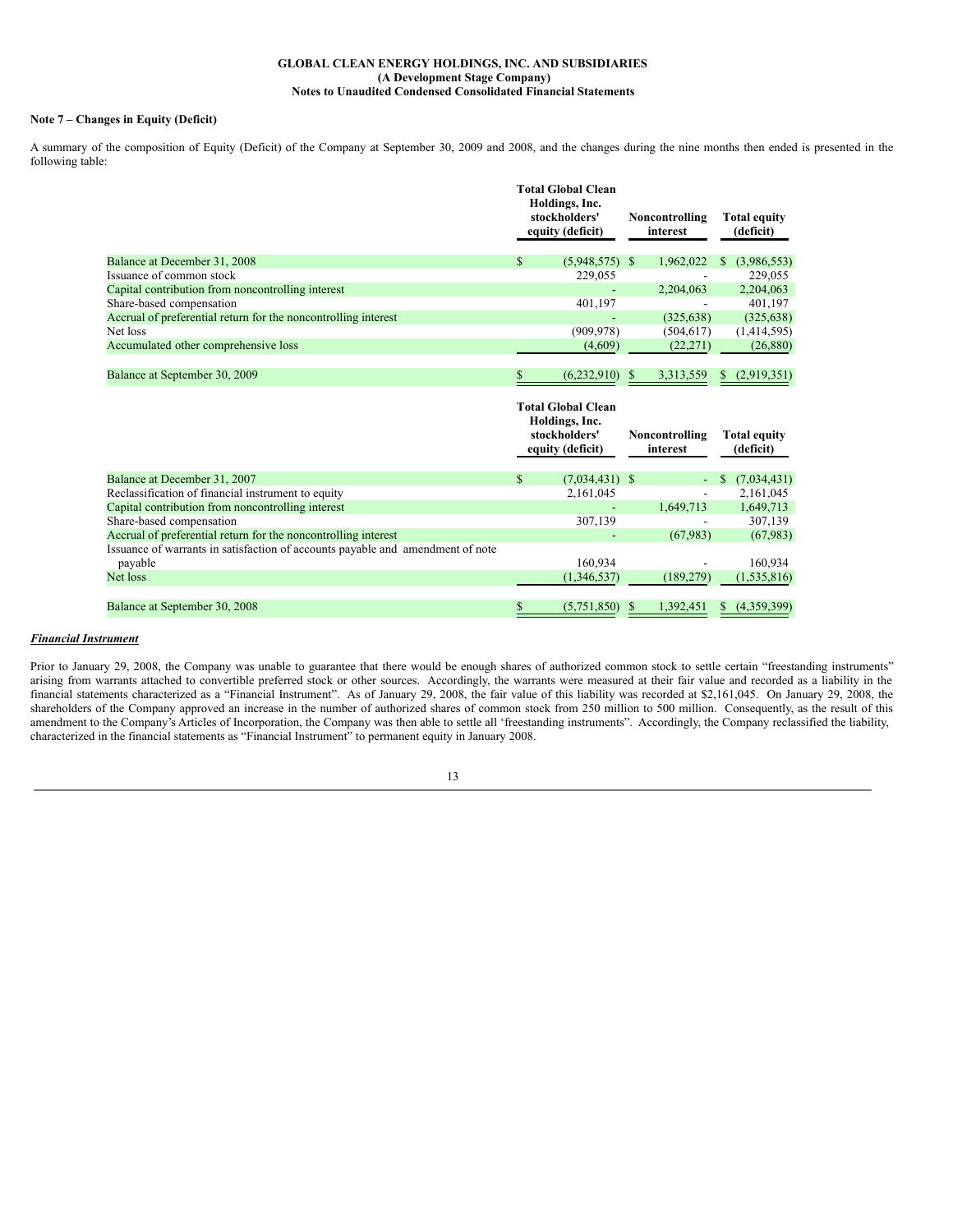## **Note 7 – Changes in Equity (Deficit)**

A summary of the composition of Equity (Deficit) of the Company at September 30, 2009 and 2008, and the changes during the nine months then ended is presented in the following table:

|                                                                                           | <b>Total Global Clean</b><br>Holdings, Inc.<br>stockholders'<br>equity (deficit) |              | Noncontrolling<br>interest |     | <b>Total equity</b><br>(deficit) |
|-------------------------------------------------------------------------------------------|----------------------------------------------------------------------------------|--------------|----------------------------|-----|----------------------------------|
| Balance at December 31, 2008                                                              | \$<br>$(5,948,575)$ \$                                                           |              | 1,962,022                  | \$. | (3,986,553)                      |
| Issuance of common stock                                                                  | 229,055                                                                          |              |                            |     | 229,055                          |
| Capital contribution from noncontrolling interest                                         |                                                                                  |              | 2,204,063                  |     | 2,204,063                        |
| Share-based compensation                                                                  | 401,197                                                                          |              |                            |     | 401,197                          |
| Accrual of preferential return for the noncontrolling interest                            |                                                                                  |              | (325, 638)                 |     | (325, 638)                       |
| Net loss                                                                                  | (909, 978)                                                                       |              | (504, 617)                 |     | (1,414,595)                      |
| Accumulated other comprehensive loss                                                      | (4,609)                                                                          |              | (22, 271)                  |     | (26, 880)                        |
| Balance at September 30, 2009                                                             | (6,232,910)                                                                      | <sup>S</sup> | 3,313,559                  | S.  | (2,919,351)                      |
|                                                                                           | <b>Total Global Clean</b><br>Holdings, Inc.<br>stockholders'<br>equity (deficit) |              | Noncontrolling<br>interest |     | <b>Total equity</b><br>(deficit) |
| Balance at December 31, 2007                                                              | \$<br>$(7,034,431)$ \$                                                           |              |                            | \$  | (7,034,431)                      |
| Reclassification of financial instrument to equity                                        | 2,161,045                                                                        |              |                            |     | 2,161,045                        |
| Capital contribution from noncontrolling interest                                         |                                                                                  |              | 1,649,713                  |     | 1,649,713                        |
| Share-based compensation                                                                  | 307,139                                                                          |              |                            |     | 307,139                          |
| Accrual of preferential return for the noncontrolling interest                            |                                                                                  |              | (67, 983)                  |     | (67, 983)                        |
| Issuance of warrants in satisfaction of accounts payable and amendment of note<br>payable | 160,934                                                                          |              |                            |     | 160,934                          |
| Net loss                                                                                  | (1,346,537)                                                                      |              | (189, 279)                 |     | (1, 535, 816)                    |
| Balance at September 30, 2008                                                             | \$<br>$(5,751,850)$ \$                                                           |              | 1,392,451                  | \$  | (4,359,399)                      |

## *Financial Instrument*

Prior to January 29, 2008, the Company was unable to guarantee that there would be enough shares of authorized common stock to settle certain "freestanding instruments" arising from warrants attached to convertible preferred stock or other sources. Accordingly, the warrants were measured at their fair value and recorded as a liability in the financial statements characterized as a "Financial Instrument". As of January 29, 2008, the fair value of this liability was recorded at \$2,161,045. On January 29, 2008, the shareholders of the Company approved an increase in the number of authorized shares of common stock from 250 million to 500 million. Consequently, as the result of this amendment to the Company's Articles of Incorporation, the Company was then able to settle all 'freestanding instruments". Accordingly, the Company reclassified the liability, characterized in the financial statements as "Financial Instrument" to permanent equity in January 2008.

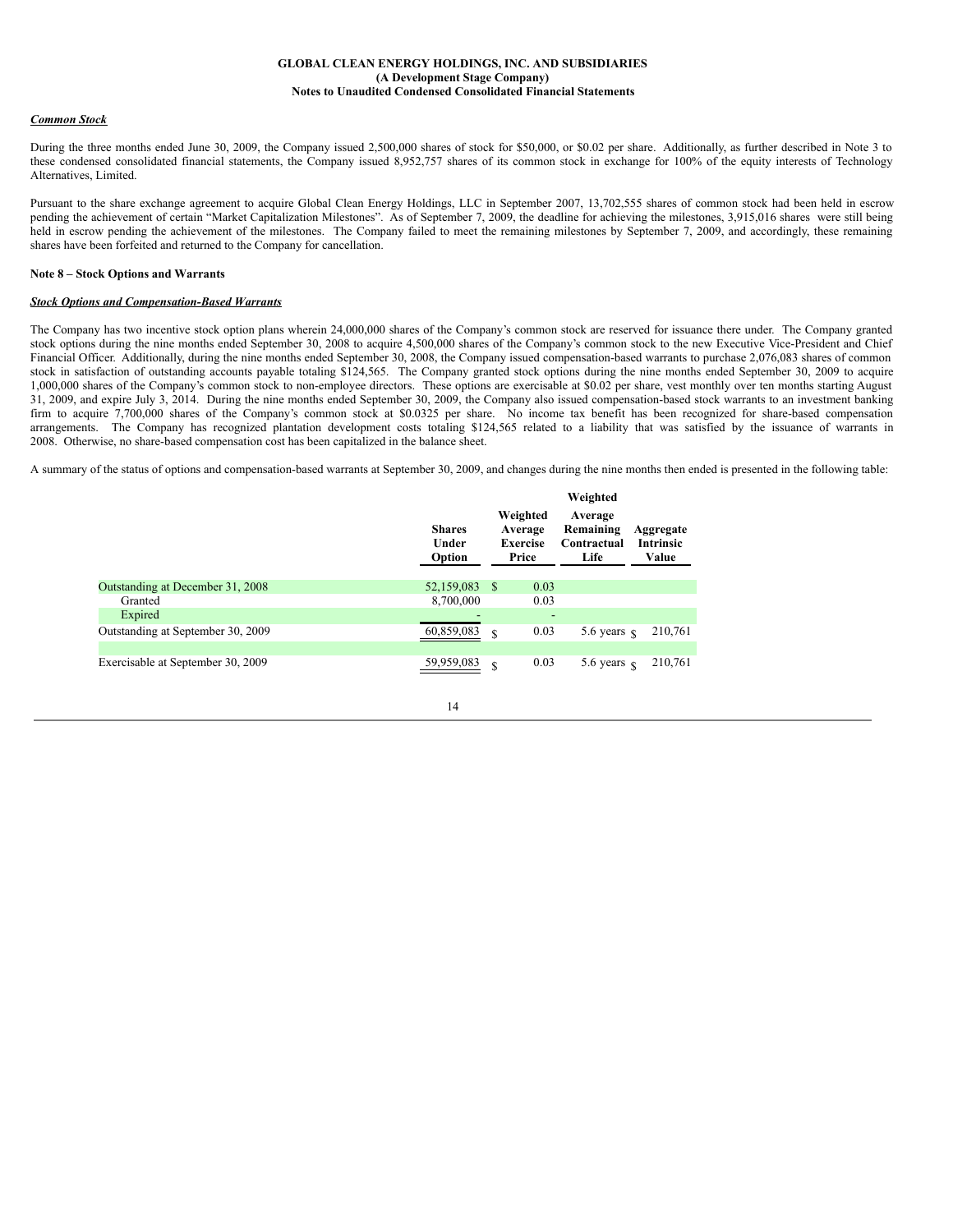## *Common Stock*

During the three months ended June 30, 2009, the Company issued 2,500,000 shares of stock for \$50,000, or \$0.02 per share. Additionally, as further described in Note 3 to these condensed consolidated financial statements, the Company issued 8,952,757 shares of its common stock in exchange for 100% of the equity interests of Technology Alternatives, Limited.

Pursuant to the share exchange agreement to acquire Global Clean Energy Holdings, LLC in September 2007, 13,702,555 shares of common stock had been held in escrow pending the achievement of certain "Market Capitalization Milestones". As of September 7, 2009, the deadline for achieving the milestones, 3,915,016 shares were still being held in escrow pending the achievement of the milestones. The Company failed to meet the remaining milestones by September 7, 2009, and accordingly, these remaining shares have been forfeited and returned to the Company for cancellation.

## **Note 8 – Stock Options and Warrants**

## *Stock Options and Compensation-Based Warrants*

The Company has two incentive stock option plans wherein 24,000,000 shares of the Company's common stock are reserved for issuance there under. The Company granted stock options during the nine months ended September 30, 2008 to acquire 4,500,000 shares of the Company's common stock to the new Executive Vice-President and Chief Financial Officer. Additionally, during the nine months ended September 30, 2008, the Company issued compensation-based warrants to purchase 2,076,083 shares of common stock in satisfaction of outstanding accounts payable totaling \$124,565. The Company granted stock options during the nine months ended September 30, 2009 to acquire 1,000,000 shares of the Company's common stock to non-employee directors. These options are exercisable at \$0.02 per share, vest monthly over ten months starting August 31, 2009, and expire July 3, 2014. During the nine months ended September 30, 2009, the Company also issued compensation-based stock warrants to an investment banking firm to acquire 7,700,000 shares of the Company's common stock at \$0.0325 per share. No income tax benefit has been recognized for share-based compensation arrangements. The Company has recognized plantation development costs totaling \$124,565 related to a liability that was satisfied by the issuance of warrants in 2008. Otherwise, no share-based compensation cost has been capitalized in the balance sheet.

A summary of the status of options and compensation-based warrants at September 30, 2009, and changes during the nine months then ended is presented in the following table:

|                                   |                                  |                                          | Weighted                                    |                                        |
|-----------------------------------|----------------------------------|------------------------------------------|---------------------------------------------|----------------------------------------|
|                                   | <b>Shares</b><br>Under<br>Option | Weighted<br>Average<br>Exercise<br>Price | Average<br>Remaining<br>Contractual<br>Life | Aggregate<br><b>Intrinsic</b><br>Value |
| Outstanding at December 31, 2008  | 52,159,083                       | 0.03<br>-S                               |                                             |                                        |
| Granted                           | 8,700,000                        | 0.03                                     |                                             |                                        |
| Expired                           |                                  |                                          |                                             |                                        |
| Outstanding at September 30, 2009 | 60,859,083                       | 0.03<br>$\mathcal{S}$                    | 5.6 years $\zeta$                           | 210,761                                |
|                                   |                                  |                                          |                                             |                                        |
| Exercisable at September 30, 2009 | 59,959,083                       | 0.03<br>$\mathcal{S}$                    | 5.6 years $\frac{1}{5}$                     | 210,761                                |

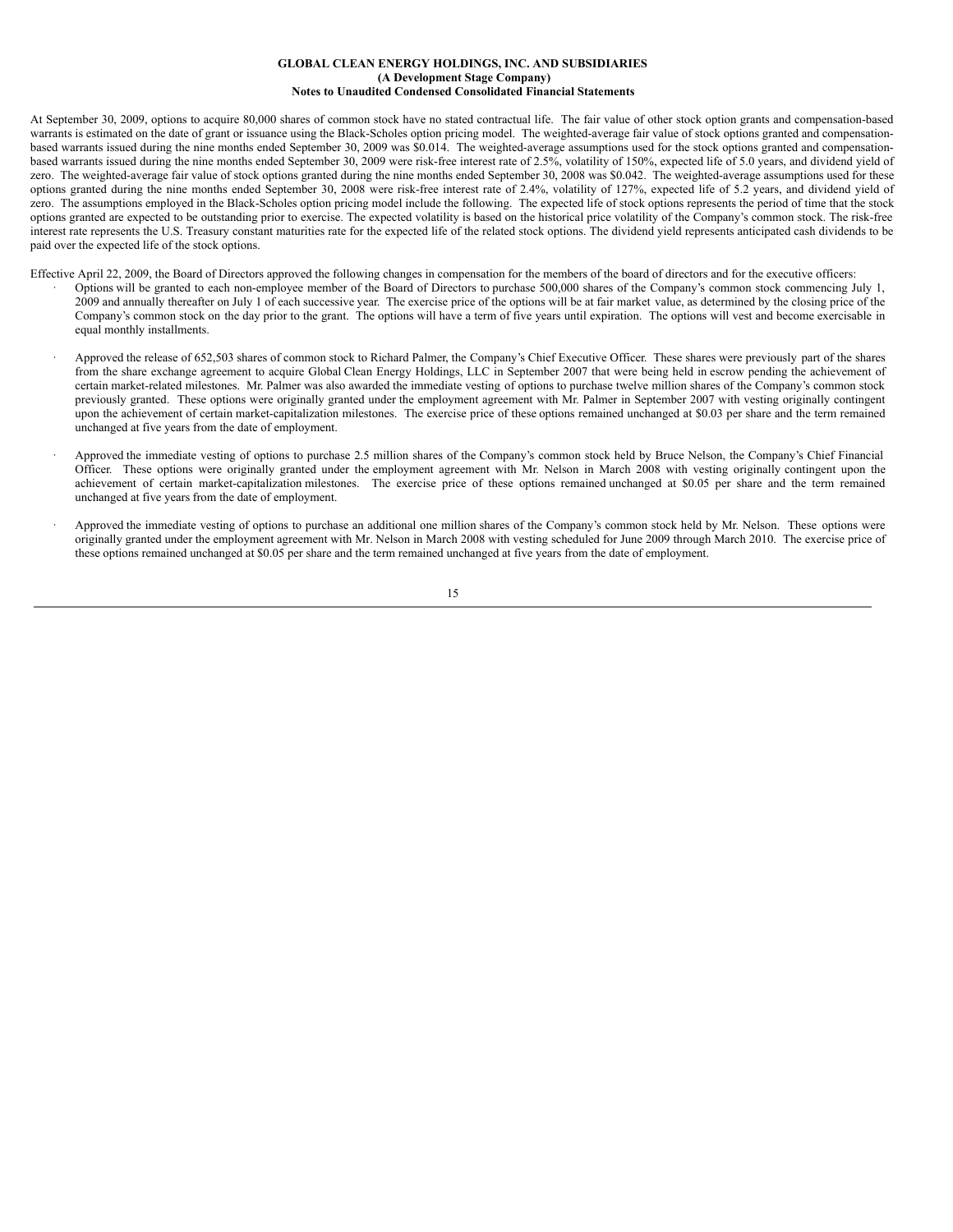At September 30, 2009, options to acquire 80,000 shares of common stock have no stated contractual life. The fair value of other stock option grants and compensation-based warrants is estimated on the date of grant or issuance using the Black-Scholes option pricing model. The weighted-average fair value of stock options granted and compensationbased warrants issued during the nine months ended September 30, 2009 was \$0.014. The weighted-average assumptions used for the stock options granted and compensationbased warrants issued during the nine months ended September 30, 2009 were risk-free interest rate of 2.5%, volatility of 150%, expected life of 5.0 years, and dividend yield of zero. The weighted-average fair value of stock options granted during the nine months ended September 30, 2008 was \$0.042. The weighted-average assumptions used for these options granted during the nine months ended September 30, 2008 were risk-free interest rate of 2.4%, volatility of 127%, expected life of 5.2 years, and dividend yield of zero. The assumptions employed in the Black-Scholes option pricing model include the following. The expected life of stock options represents the period of time that the stock options granted are expected to be outstanding prior to exercise. The expected volatility is based on the historical price volatility of the Company's common stock. The risk-free interest rate represents the U.S. Treasury constant maturities rate for the expected life of the related stock options. The dividend yield represents anticipated cash dividends to be paid over the expected life of the stock options.

Effective April 22, 2009, the Board of Directors approved the following changes in compensation for the members of the board of directors and for the executive officers:

- · Options will be granted to each non-employee member of the Board of Directors to purchase 500,000 shares of the Company's common stock commencing July 1, 2009 and annually thereafter on July 1 of each successive year. The exercise price of the options will be at fair market value, as determined by the closing price of the Company's common stock on the day prior to the grant. The options will have a term of five years until expiration. The options will vest and become exercisable in equal monthly installments.
- Approved the release of 652,503 shares of common stock to Richard Palmer, the Company's Chief Executive Officer. These shares were previously part of the shares from the share exchange agreement to acquire Global Clean Energy Holdings, LLC in September 2007 that were being held in escrow pending the achievement of certain market-related milestones. Mr. Palmer was also awarded the immediate vesting of options to purchase twelve million shares of the Company's common stock previously granted. These options were originally granted under the employment agreement with Mr. Palmer in September 2007 with vesting originally contingent upon the achievement of certain market-capitalization milestones. The exercise price of these options remained unchanged at \$0.03 per share and the term remained unchanged at five years from the date of employment.
- · Approved the immediate vesting of options to purchase 2.5 million shares of the Company's common stock held by Bruce Nelson, the Company's Chief Financial Officer. These options were originally granted under the employment agreement with Mr. Nelson in March 2008 with vesting originally contingent upon the achievement of certain market-capitalization milestones. The exercise price of these options remained unchanged at \$0.05 per share and the term remained unchanged at five years from the date of employment.
- Approved the immediate vesting of options to purchase an additional one million shares of the Company's common stock held by Mr. Nelson. These options were originally granted under the employment agreement with Mr. Nelson in March 2008 with vesting scheduled for June 2009 through March 2010. The exercise price of these options remained unchanged at \$0.05 per share and the term remained unchanged at five years from the date of employment.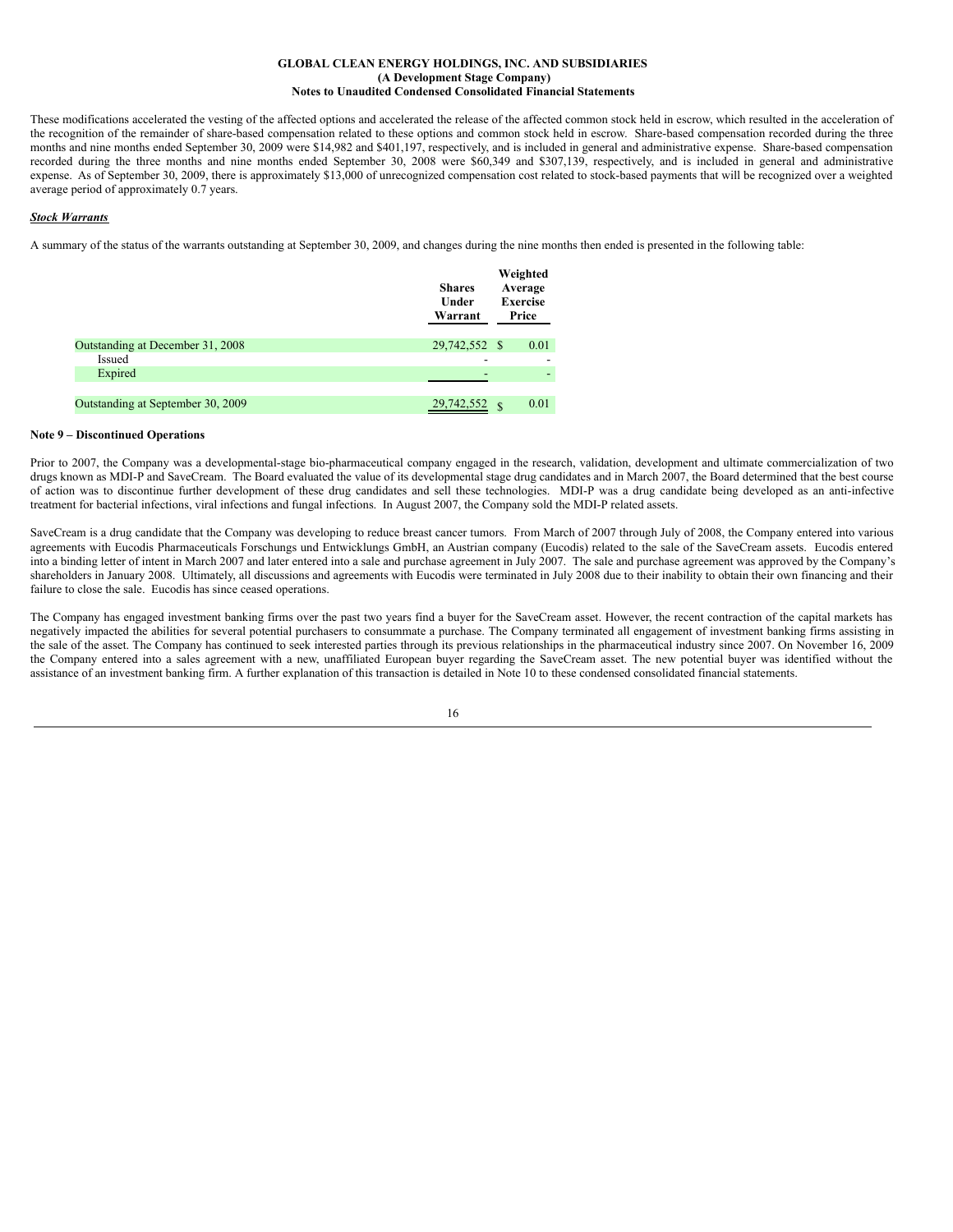These modifications accelerated the vesting of the affected options and accelerated the release of the affected common stock held in escrow, which resulted in the acceleration of the recognition of the remainder of share-based compensation related to these options and common stock held in escrow. Share-based compensation recorded during the three months and nine months ended September 30, 2009 were \$14,982 and \$401,197, respectively, and is included in general and administrative expense. Share-based compensation recorded during the three months and nine months ended September 30, 2008 were \$60,349 and \$307,139, respectively, and is included in general and administrative expense. As of September 30, 2009, there is approximately \$13,000 of unrecognized compensation cost related to stock-based payments that will be recognized over a weighted average period of approximately 0.7 years.

## *Stock Warrants*

A summary of the status of the warrants outstanding at September 30, 2009, and changes during the nine months then ended is presented in the following table:

|                                   | <b>Shares</b><br>Under<br>Warrant | Weighted<br>Average<br><b>Exercise</b><br>Price |
|-----------------------------------|-----------------------------------|-------------------------------------------------|
| Outstanding at December 31, 2008  | 29,742,552 \$                     | 0.01                                            |
| Issued                            |                                   |                                                 |
| Expired                           |                                   |                                                 |
|                                   |                                   |                                                 |
| Outstanding at September 30, 2009 | 29,742,552                        | 0.01<br>$\mathcal{S}$                           |

### **Note 9 – Discontinued Operations**

Prior to 2007, the Company was a developmental-stage bio-pharmaceutical company engaged in the research, validation, development and ultimate commercialization of two drugs known as MDI-P and SaveCream. The Board evaluated the value of its developmental stage drug candidates and in March 2007, the Board determined that the best course of action was to discontinue further development of these drug candidates and sell these technologies. MDI-P was a drug candidate being developed as an anti-infective treatment for bacterial infections, viral infections and fungal infections. In August 2007, the Company sold the MDI-P related assets.

SaveCream is a drug candidate that the Company was developing to reduce breast cancer tumors. From March of 2007 through July of 2008, the Company entered into various agreements with Eucodis Pharmaceuticals Forschungs und Entwicklungs GmbH, an Austrian company (Eucodis) related to the sale of the SaveCream assets. Eucodis entered into a binding letter of intent in March 2007 and later entered into a sale and purchase agreement in July 2007. The sale and purchase agreement was approved by the Company's shareholders in January 2008. Ultimately, all discussions and agreements with Eucodis were terminated in July 2008 due to their inability to obtain their own financing and their failure to close the sale. Eucodis has since ceased operations.

The Company has engaged investment banking firms over the past two years find a buyer for the SaveCream asset. However, the recent contraction of the capital markets has negatively impacted the abilities for several potential purchasers to consummate a purchase. The Company terminated all engagement of investment banking firms assisting in the sale of the asset. The Company has continued to seek interested parties through its previous relationships in the pharmaceutical industry since 2007. On November 16, 2009 the Company entered into a sales agreement with a new, unaffiliated European buyer regarding the SaveCream asset. The new potential buyer was identified without the assistance of an investment banking firm. A further explanation of this transaction is detailed in Note 10 to these condensed consolidated financial statements.

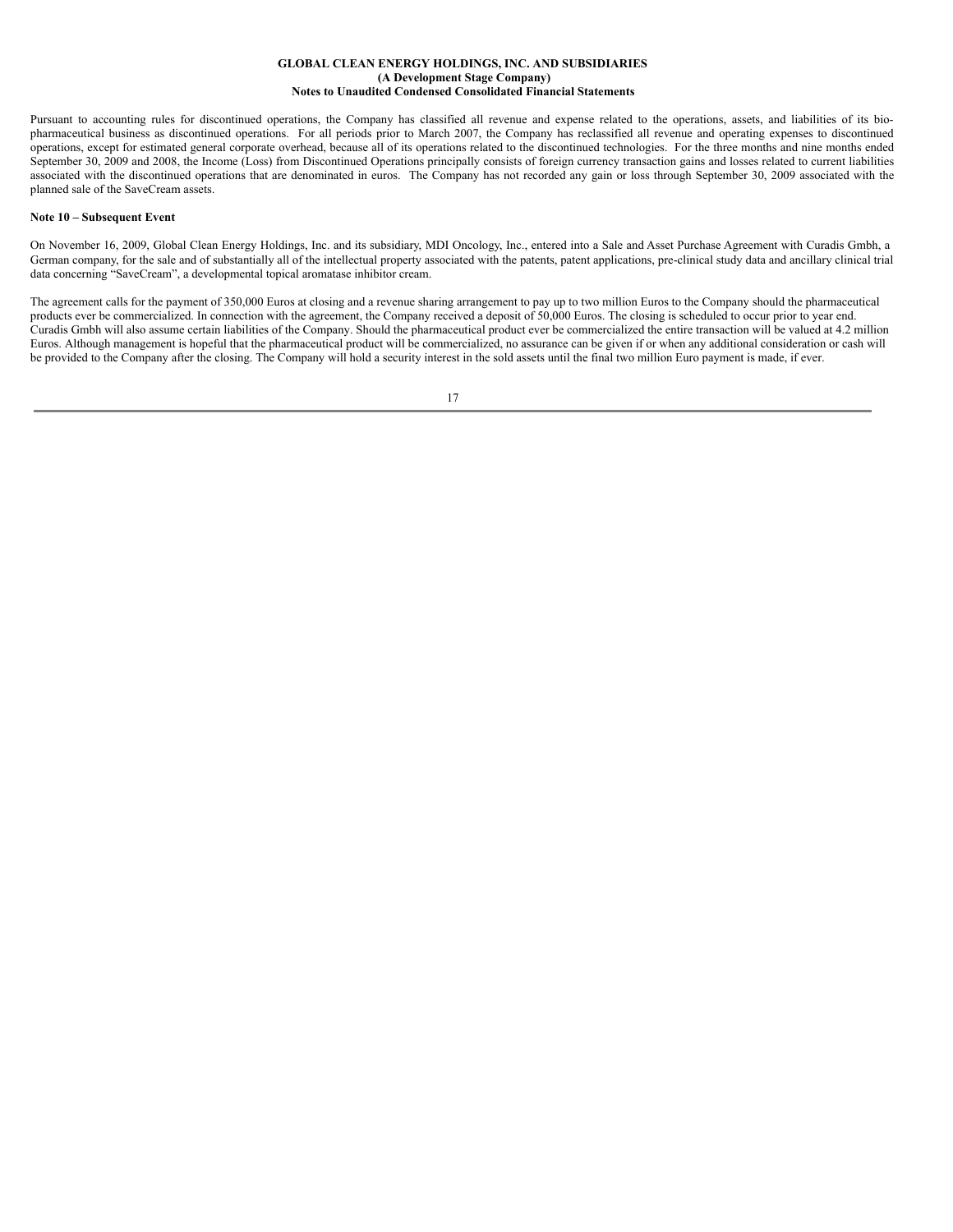Pursuant to accounting rules for discontinued operations, the Company has classified all revenue and expense related to the operations, assets, and liabilities of its biopharmaceutical business as discontinued operations. For all periods prior to March 2007, the Company has reclassified all revenue and operating expenses to discontinued operations, except for estimated general corporate overhead, because all of its operations related to the discontinued technologies. For the three months and nine months ended September 30, 2009 and 2008, the Income (Loss) from Discontinued Operations principally consists of foreign currency transaction gains and losses related to current liabilities associated with the discontinued operations that are denominated in euros. The Company has not recorded any gain or loss through September 30, 2009 associated with the planned sale of the SaveCream assets.

## **Note 10 – Subsequent Event**

On November 16, 2009, Global Clean Energy Holdings, Inc. and its subsidiary, MDI Oncology, Inc., entered into a Sale and Asset Purchase Agreement with Curadis Gmbh, a German company, for the sale and of substantially all of the intellectual property associated with the patents, patent applications, pre-clinical study data and ancillary clinical trial data concerning "SaveCream", a developmental topical aromatase inhibitor cream.

The agreement calls for the payment of 350,000 Euros at closing and a revenue sharing arrangement to pay up to two million Euros to the Company should the pharmaceutical products ever be commercialized. In connection with the agreement, the Company received a deposit of 50,000 Euros. The closing is scheduled to occur prior to year end. Curadis Gmbh will also assume certain liabilities of the Company. Should the pharmaceutical product ever be commercialized the entire transaction will be valued at 4.2 million Euros. Although management is hopeful that the pharmaceutical product will be commercialized, no assurance can be given if or when any additional consideration or cash will be provided to the Company after the closing. The Company will hold a security interest in the sold assets until the final two million Euro payment is made, if ever.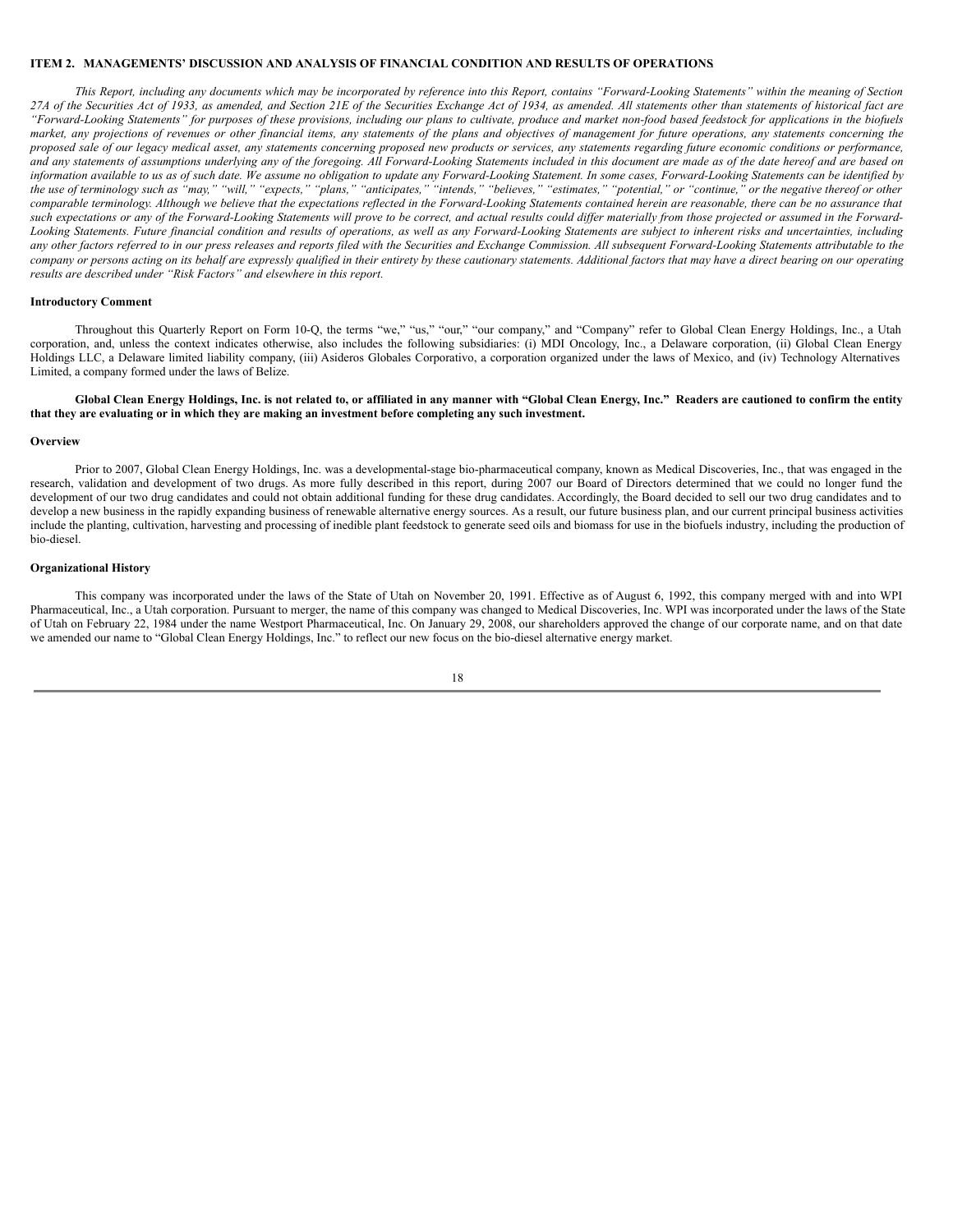#### **ITEM 2. MANAGEMENTS' DISCUSSION AND ANALYSIS OF FINANCIAL CONDITION AND RESULTS OF OPERATIONS**.

This Report, including any documents which may be incorporated by reference into this Report, contains "Forward-Looking Statements" within the meaning of Section 27A of the Securities Act of 1933, as amended, and Section 21E of the Securities Exchange Act of 1934, as amended. All statements other than statements of historical fact are "Forward-Looking Statements" for purposes of these provisions, including our plans to cultivate, produce and market non-food based feedstock for applications in the biofuels market, any projections of revenues or other financial items, any statements of the plans and objectives of management for future operations, any statements concerning the proposed sale of our legacy medical asset, any statements concerning proposed new products or services, any statements regarding future economic conditions or performance, and any statements of assumptions underlying any of the foregoing. All Forward-Looking Statements included in this document are made as of the date hereof and are based on information available to us as of such date. We assume no obligation to update any Forward-Looking Statement. In some cases, Forward-Looking Statements can be identified by the use of terminology such as "may," "will," "expects," "plans," "anticipates," "intends," "believes," "estimates," "potential," or "continue," or the negative thereof or other comparable terminology. Although we believe that the expectations reflected in the Forward-Looking Statements contained herein are reasonable, there can be no assurance that such expectations or any of the Forward-Looking Statements will prove to be correct, and actual results could differ materially from those projected or assumed in the Forward-Looking Statements. Future financial condition and results of operations, as well as any Forward-Looking Statements are subject to inherent risks and uncertainties, including any other factors referred to in our press releases and reports filed with the Securities and Exchange Commission. All subsequent Forward-Looking Statements attributable to the company or persons acting on its behalf are expressly qualified in their entirety by these cautionary statements. Additional factors that may have a direct bearing on our operating *results are described under "Risk Factors" and elsewhere in this report.*

#### **Introductory Comment**

Throughout this Quarterly Report on Form 10-Q, the terms "we," "us," "our," "our company," and "Company" refer to Global Clean Energy Holdings, Inc., a Utah corporation, and, unless the context indicates otherwise, also includes the following subsidiaries: (i) MDI Oncology, Inc., a Delaware corporation, (ii) Global Clean Energy Holdings LLC, a Delaware limited liability company, (iii) Asideros Globales Corporativo, a corporation organized under the laws of Mexico, and (iv) Technology Alternatives Limited, a company formed under the laws of Belize.

### Global Clean Energy Holdings, Inc. is not related to, or affiliated in any manner with "Global Clean Energy, Inc." Readers are cautioned to confirm the entity **that they are evaluating or in which they are making an investment before completing any such investment.**

#### **Overview**

Prior to 2007, Global Clean Energy Holdings, Inc. was a developmental-stage bio-pharmaceutical company, known as Medical Discoveries, Inc., that was engaged in the research, validation and development of two drugs. As more fully described in this report, during 2007 our Board of Directors determined that we could no longer fund the development of our two drug candidates and could not obtain additional funding for these drug candidates. Accordingly, the Board decided to sell our two drug candidates and to develop a new business in the rapidly expanding business of renewable alternative energy sources. As a result, our future business plan, and our current principal business activities include the planting, cultivation, harvesting and processing of inedible plant feedstock to generate seed oils and biomass for use in the biofuels industry, including the production of bio-diesel.

#### **Organizational History**

This company was incorporated under the laws of the State of Utah on November 20, 1991. Effective as of August 6, 1992, this company merged with and into WPI Pharmaceutical, Inc., a Utah corporation. Pursuant to merger, the name of this company was changed to Medical Discoveries, Inc. WPI was incorporated under the laws of the State of Utah on February 22, 1984 under the name Westport Pharmaceutical, Inc. On January 29, 2008, our shareholders approved the change of our corporate name, and on that date we amended our name to "Global Clean Energy Holdings, Inc." to reflect our new focus on the bio-diesel alternative energy market.

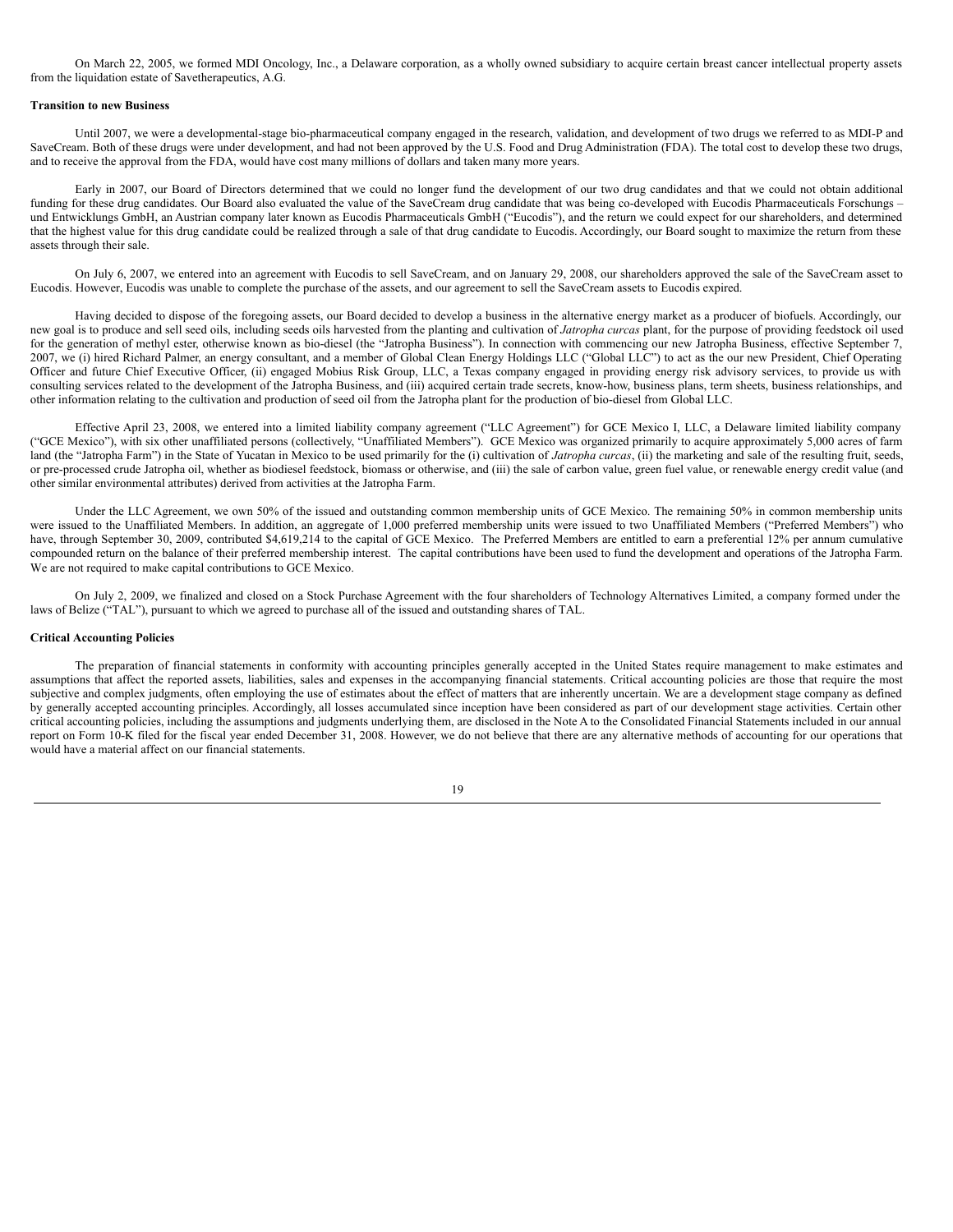On March 22, 2005, we formed MDI Oncology, Inc., a Delaware corporation, as a wholly owned subsidiary to acquire certain breast cancer intellectual property assets from the liquidation estate of Savetherapeutics, A.G.

#### **Transition to new Business**

Until 2007, we were a developmental-stage bio-pharmaceutical company engaged in the research, validation, and development of two drugs we referred to as MDI-P and SaveCream. Both of these drugs were under development, and had not been approved by the U.S. Food and Drug Administration (FDA). The total cost to develop these two drugs, and to receive the approval from the FDA, would have cost many millions of dollars and taken many more years.

Early in 2007, our Board of Directors determined that we could no longer fund the development of our two drug candidates and that we could not obtain additional funding for these drug candidates. Our Board also evaluated the value of the SaveCream drug candidate that was being co-developed with Eucodis Pharmaceuticals Forschungs – und Entwicklungs GmbH, an Austrian company later known as Eucodis Pharmaceuticals GmbH ("Eucodis"), and the return we could expect for our shareholders, and determined that the highest value for this drug candidate could be realized through a sale of that drug candidate to Eucodis. Accordingly, our Board sought to maximize the return from these assets through their sale.

On July 6, 2007, we entered into an agreement with Eucodis to sell SaveCream, and on January 29, 2008, our shareholders approved the sale of the SaveCream asset to Eucodis. However, Eucodis was unable to complete the purchase of the assets, and our agreement to sell the SaveCream assets to Eucodis expired.

Having decided to dispose of the foregoing assets, our Board decided to develop a business in the alternative energy market as a producer of biofuels. Accordingly, our new goal is to produce and sell seed oils, including seeds oils harvested from the planting and cultivation of *Jatropha curcas* plant, for the purpose of providing feedstock oil used for the generation of methyl ester, otherwise known as bio-diesel (the "Jatropha Business"). In connection with commencing our new Jatropha Business, effective September 7, 2007, we (i) hired Richard Palmer, an energy consultant, and a member of Global Clean Energy Holdings LLC ("Global LLC") to act as the our new President, Chief Operating Officer and future Chief Executive Officer, (ii) engaged Mobius Risk Group, LLC, a Texas company engaged in providing energy risk advisory services, to provide us with consulting services related to the development of the Jatropha Business, and (iii) acquired certain trade secrets, know-how, business plans, term sheets, business relationships, and other information relating to the cultivation and production of seed oil from the Jatropha plant for the production of bio-diesel from Global LLC.

Effective April 23, 2008, we entered into a limited liability company agreement ("LLC Agreement") for GCE Mexico I, LLC, a Delaware limited liability company ("GCE Mexico"), with six other unaffiliated persons (collectively, "Unaffiliated Members"). GCE Mexico was organized primarily to acquire approximately 5,000 acres of farm land (the "Jatropha Farm") in the State of Yucatan in Mexico to be used primarily for the (i) cultivation of *Jatropha curcas*, (ii) the marketing and sale of the resulting fruit, seeds, or pre-processed crude Jatropha oil, whether as biodiesel feedstock, biomass or otherwise, and (iii) the sale of carbon value, green fuel value, or renewable energy credit value (and other similar environmental attributes) derived from activities at the Jatropha Farm.

Under the LLC Agreement, we own 50% of the issued and outstanding common membership units of GCE Mexico. The remaining 50% in common membership units were issued to the Unaffiliated Members. In addition, an aggregate of 1,000 preferred membership units were issued to two Unaffiliated Members ("Preferred Members") who have, through September 30, 2009, contributed \$4,619,214 to the capital of GCE Mexico. The Preferred Members are entitled to earn a preferential 12% per annum cumulative compounded return on the balance of their preferred membership interest. The capital contributions have been used to fund the development and operations of the Jatropha Farm. We are not required to make capital contributions to GCE Mexico.

On July 2, 2009, we finalized and closed on a Stock Purchase Agreement with the four shareholders of Technology Alternatives Limited, a company formed under the laws of Belize ("TAL"), pursuant to which we agreed to purchase all of the issued and outstanding shares of TAL.

## **Critical Accounting Policies**

The preparation of financial statements in conformity with accounting principles generally accepted in the United States require management to make estimates and assumptions that affect the reported assets, liabilities, sales and expenses in the accompanying financial statements. Critical accounting policies are those that require the most subjective and complex judgments, often employing the use of estimates about the effect of matters that are inherently uncertain. We are a development stage company as defined by generally accepted accounting principles. Accordingly, all losses accumulated since inception have been considered as part of our development stage activities. Certain other critical accounting policies, including the assumptions and judgments underlying them, are disclosed in the Note A to the Consolidated Financial Statements included in our annual report on Form 10-K filed for the fiscal year ended December 31, 2008. However, we do not believe that there are any alternative methods of accounting for our operations that would have a material affect on our financial statements.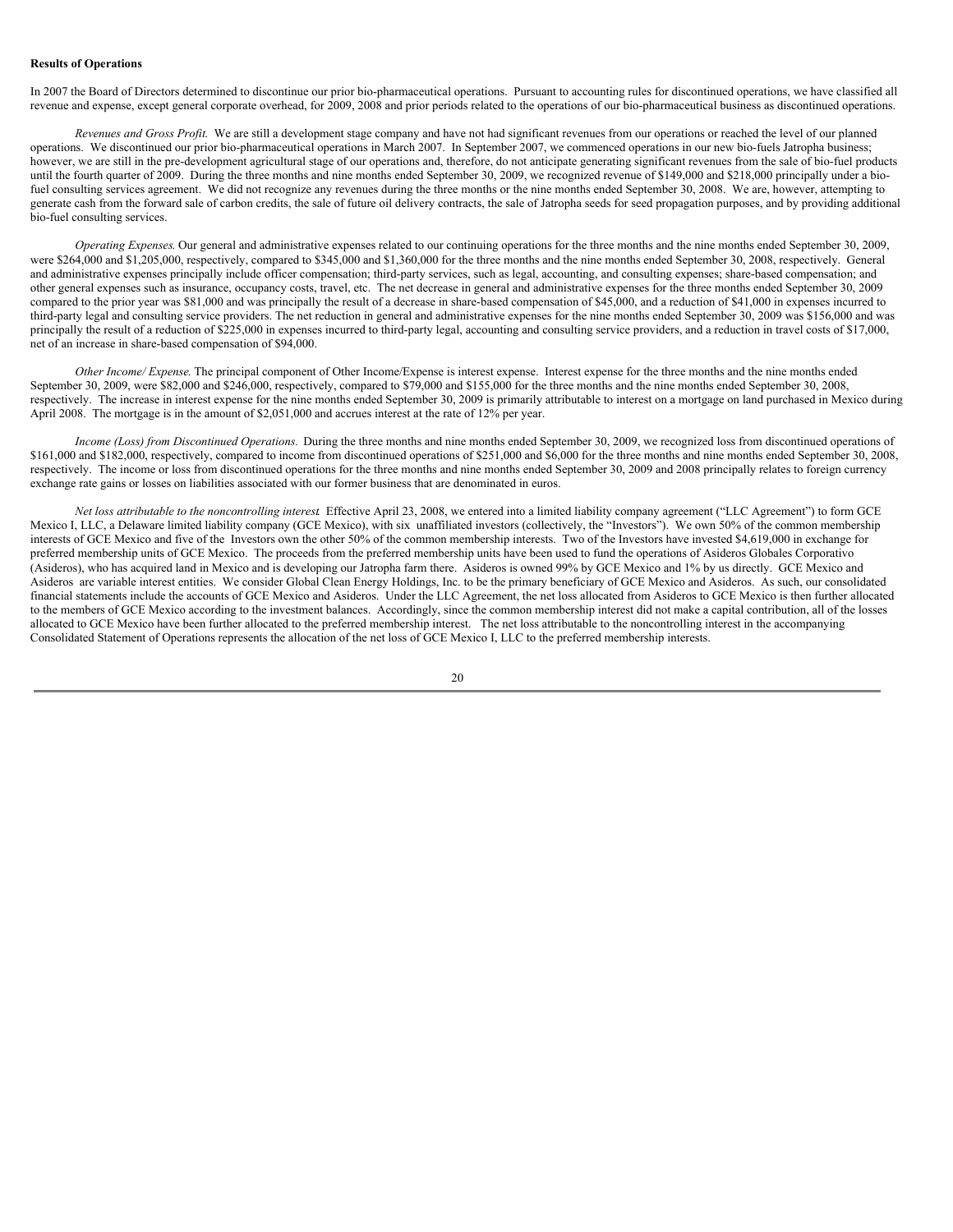#### **Results of Operations**

In 2007 the Board of Directors determined to discontinue our prior bio-pharmaceutical operations. Pursuant to accounting rules for discontinued operations, we have classified all revenue and expense, except general corporate overhead, for 2009, 2008 and prior periods related to the operations of our bio-pharmaceutical business as discontinued operations.

*Revenues and Gross Profit*. We are still a development stage company and have not had significant revenues from our operations or reached the level of our planned operations. We discontinued our prior bio-pharmaceutical operations in March 2007. In September 2007, we commenced operations in our new bio-fuels Jatropha business; however, we are still in the pre-development agricultural stage of our operations and, therefore, do not anticipate generating significant revenues from the sale of bio-fuel products until the fourth quarter of 2009. During the three months and nine months ended September 30, 2009, we recognized revenue of \$149,000 and \$218,000 principally under a biofuel consulting services agreement. We did not recognize any revenues during the three months or the nine months ended September 30, 2008. We are, however, attempting to generate cash from the forward sale of carbon credits, the sale of future oil delivery contracts, the sale of Jatropha seeds for seed propagation purposes, and by providing additional bio-fuel consulting services.

*Operating Expenses*. Our general and administrative expenses related to our continuing operations for the three months and the nine months ended September 30, 2009, were \$264,000 and \$1,205,000, respectively, compared to \$345,000 and \$1,360,000 for the three months and the nine months ended September 30, 2008, respectively. General and administrative expenses principally include officer compensation; third-party services, such as legal, accounting, and consulting expenses; share-based compensation; and other general expenses such as insurance, occupancy costs, travel, etc. The net decrease in general and administrative expenses for the three months ended September 30, 2009 compared to the prior year was \$81,000 and was principally the result of a decrease in share-based compensation of \$45,000, and a reduction of \$41,000 in expenses incurred to third-party legal and consulting service providers. The net reduction in general and administrative expenses for the nine months ended September 30, 2009 was \$156,000 and was principally the result of a reduction of \$225,000 in expenses incurred to third-party legal, accounting and consulting service providers, and a reduction in travel costs of \$17,000, net of an increase in share-based compensation of \$94,000.

*Other Income/ Expense*. The principal component of Other Income/Expense is interest expense. Interest expense for the three months and the nine months ended September 30, 2009, were \$82,000 and \$246,000, respectively, compared to \$79,000 and \$155,000 for the three months and the nine months ended September 30, 2008, respectively. The increase in interest expense for the nine months ended September 30, 2009 is primarily attributable to interest on a mortgage on land purchased in Mexico during April 2008. The mortgage is in the amount of \$2,051,000 and accrues interest at the rate of 12% per year.

*Income (Loss) from Discontinued Operations.* During the three months and nine months ended September 30, 2009, we recognized loss from discontinued operations of \$161,000 and \$182,000, respectively, compared to income from discontinued operations of \$251,000 and \$6,000 for the three months and nine months ended September 30, 2008, respectively. The income or loss from discontinued operations for the three months and nine months ended September 30, 2009 and 2008 principally relates to foreign currency exchange rate gains or losses on liabilities associated with our former business that are denominated in euros.

*Net loss attributable to the noncontrolling interest*. Effective April 23, 2008, we entered into a limited liability company agreement ("LLC Agreement") to form GCE Mexico I, LLC, a Delaware limited liability company (GCE Mexico), with six unaffiliated investors (collectively, the "Investors"). We own 50% of the common membership interests of GCE Mexico and five of the Investors own the other 50% of the common membership interests. Two of the Investors have invested \$4,619,000 in exchange for preferred membership units of GCE Mexico. The proceeds from the preferred membership units have been used to fund the operations of Asideros Globales Corporativo (Asideros), who has acquired land in Mexico and is developing our Jatropha farm there. Asideros is owned 99% by GCE Mexico and 1% by us directly. GCE Mexico and Asideros are variable interest entities. We consider Global Clean Energy Holdings, Inc. to be the primary beneficiary of GCE Mexico and Asideros. As such, our consolidated financial statements include the accounts of GCE Mexico and Asideros. Under the LLC Agreement, the net loss allocated from Asideros to GCE Mexico is then further allocated to the members of GCE Mexico according to the investment balances. Accordingly, since the common membership interest did not make a capital contribution, all of the losses allocated to GCE Mexico have been further allocated to the preferred membership interest. The net loss attributable to the noncontrolling interest in the accompanying Consolidated Statement of Operations represents the allocation of the net loss of GCE Mexico I, LLC to the preferred membership interests.

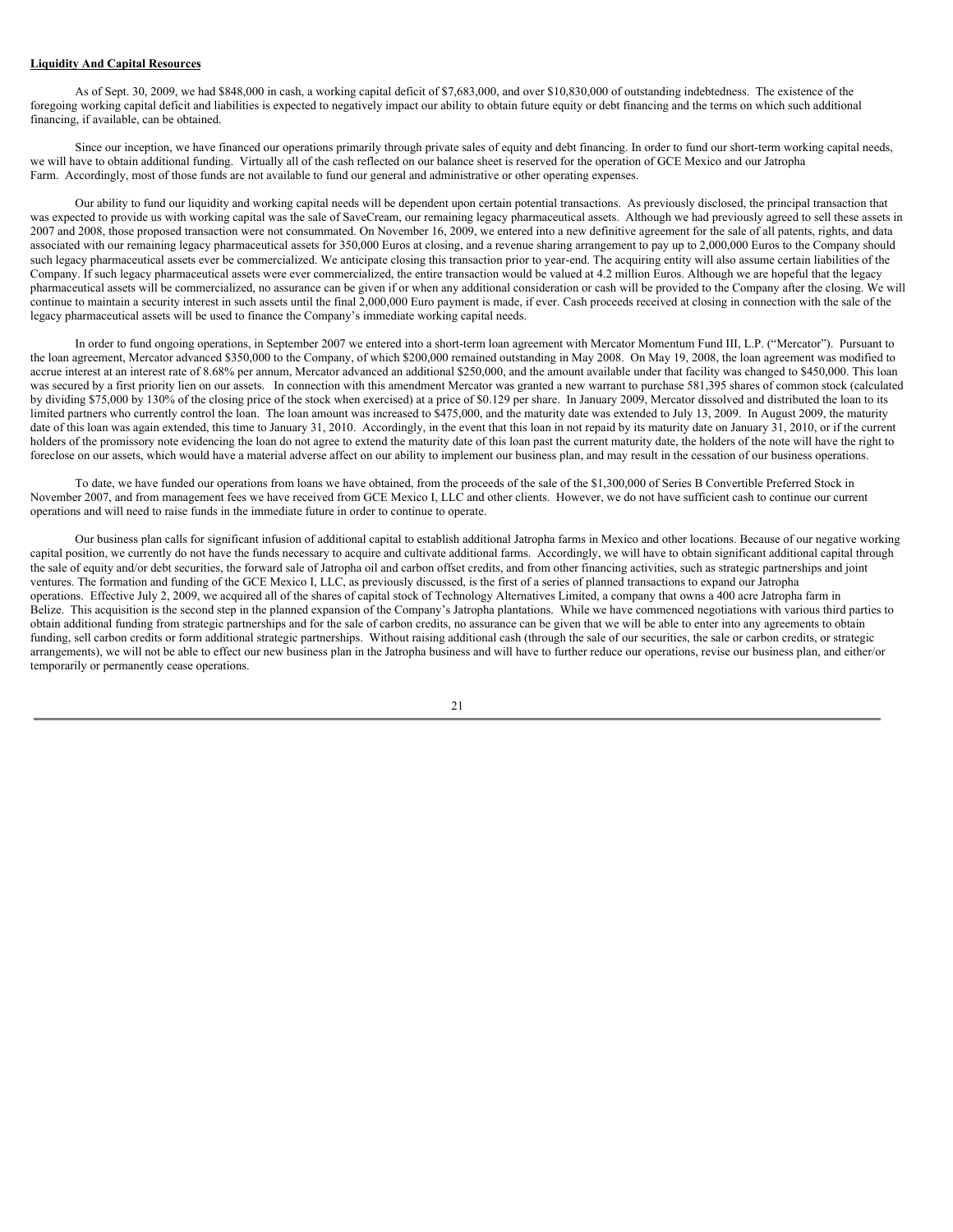#### **Liquidity And Capital Resources**

As of Sept. 30, 2009, we had \$848,000 in cash, a working capital deficit of \$7,683,000, and over \$10,830,000 of outstanding indebtedness. The existence of the foregoing working capital deficit and liabilities is expected to negatively impact our ability to obtain future equity or debt financing and the terms on which such additional financing, if available, can be obtained.

Since our inception, we have financed our operations primarily through private sales of equity and debt financing. In order to fund our short-term working capital needs, we will have to obtain additional funding. Virtually all of the cash reflected on our balance sheet is reserved for the operation of GCE Mexico and our Jatropha Farm. Accordingly, most of those funds are not available to fund our general and administrative or other operating expenses.

Our ability to fund our liquidity and working capital needs will be dependent upon certain potential transactions. As previously disclosed, the principal transaction that was expected to provide us with working capital was the sale of SaveCream, our remaining legacy pharmaceutical assets. Although we had previously agreed to sell these assets in 2007 and 2008, those proposed transaction were not consummated. On November 16, 2009, we entered into a new definitive agreement for the sale of all patents, rights, and data associated with our remaining legacy pharmaceutical assets for 350,000 Euros at closing, and a revenue sharing arrangement to pay up to 2,000,000 Euros to the Company should such legacy pharmaceutical assets ever be commercialized. We anticipate closing this transaction prior to year-end. The acquiring entity will also assume certain liabilities of the Company. If such legacy pharmaceutical assets were ever commercialized, the entire transaction would be valued at 4.2 million Euros. Although we are hopeful that the legacy pharmaceutical assets will be commercialized, no assurance can be given if or when any additional consideration or cash will be provided to the Company after the closing. We will continue to maintain a security interest in such assets until the final 2,000,000 Euro payment is made, if ever. Cash proceeds received at closing in connection with the sale of the legacy pharmaceutical assets will be used to finance the Company's immediate working capital needs.

In order to fund ongoing operations, in September 2007 we entered into a short-term loan agreement with Mercator Momentum Fund III, L.P. ("Mercator"). Pursuant to the loan agreement, Mercator advanced \$350,000 to the Company, of which \$200,000 remained outstanding in May 2008. On May 19, 2008, the loan agreement was modified to accrue interest at an interest rate of 8.68% per annum, Mercator advanced an additional \$250,000, and the amount available under that facility was changed to \$450,000. This loan was secured by a first priority lien on our assets. In connection with this amendment Mercator was granted a new warrant to purchase 581,395 shares of common stock (calculated by dividing \$75,000 by 130% of the closing price of the stock when exercised) at a price of \$0.129 per share. In January 2009, Mercator dissolved and distributed the loan to its limited partners who currently control the loan. The loan amount was increased to \$475,000, and the maturity date was extended to July 13, 2009. In August 2009, the maturity date of this loan was again extended, this time to January 31, 2010. Accordingly, in the event that this loan in not repaid by its maturity date on January 31, 2010, or if the current holders of the promissory note evidencing the loan do not agree to extend the maturity date of this loan past the current maturity date, the holders of the note will have the right to foreclose on our assets, which would have a material adverse affect on our ability to implement our business plan, and may result in the cessation of our business operations.

To date, we have funded our operations from loans we have obtained, from the proceeds of the sale of the \$1,300,000 of Series B Convertible Preferred Stock in November 2007, and from management fees we have received from GCE Mexico I, LLC and other clients. However, we do not have sufficient cash to continue our current operations and will need to raise funds in the immediate future in order to continue to operate.

Our business plan calls for significant infusion of additional capital to establish additional Jatropha farms in Mexico and other locations. Because of our negative working capital position, we currently do not have the funds necessary to acquire and cultivate additional farms. Accordingly, we will have to obtain significant additional capital through the sale of equity and/or debt securities, the forward sale of Jatropha oil and carbon offset credits, and from other financing activities, such as strategic partnerships and joint ventures. The formation and funding of the GCE Mexico I, LLC, as previously discussed, is the first of a series of planned transactions to expand our Jatropha operations. Effective July 2, 2009, we acquired all of the shares of capital stock of Technology Alternatives Limited, a company that owns a 400 acre Jatropha farm in Belize. This acquisition is the second step in the planned expansion of the Company's Jatropha plantations. While we have commenced negotiations with various third parties to obtain additional funding from strategic partnerships and for the sale of carbon credits, no assurance can be given that we will be able to enter into any agreements to obtain funding, sell carbon credits or form additional strategic partnerships. Without raising additional cash (through the sale of our securities, the sale or carbon credits, or strategic arrangements), we will not be able to effect our new business plan in the Jatropha business and will have to further reduce our operations, revise our business plan, and either/or temporarily or permanently cease operations.

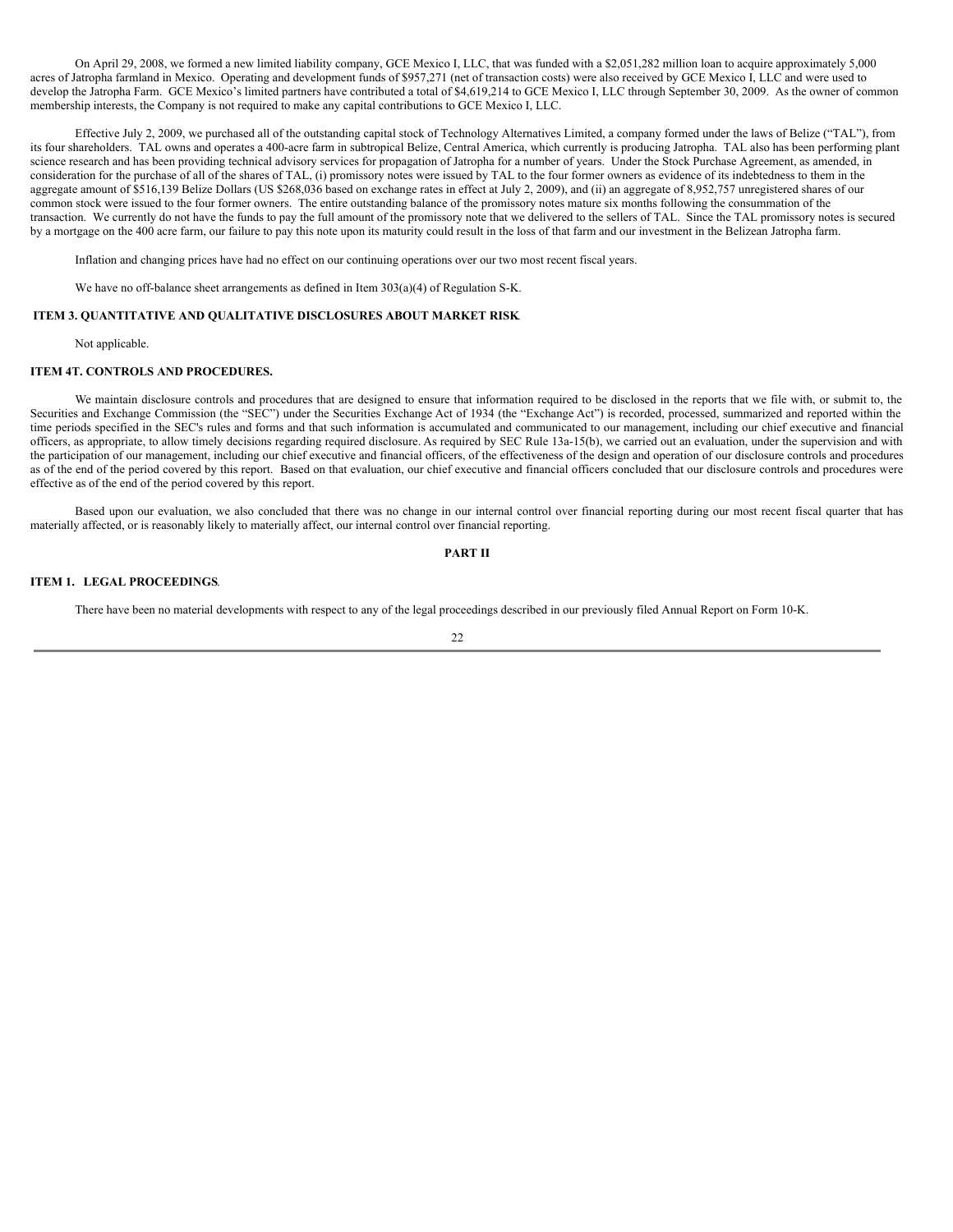On April 29, 2008, we formed a new limited liability company, GCE Mexico I, LLC, that was funded with a \$2,051,282 million loan to acquire approximately 5,000 acres of Jatropha farmland in Mexico. Operating and development funds of \$957,271 (net of transaction costs) were also received by GCE Mexico I, LLC and were used to develop the Jatropha Farm. GCE Mexico's limited partners have contributed a total of \$4,619,214 to GCE Mexico I, LLC through September 30, 2009. As the owner of common membership interests, the Company is not required to make any capital contributions to GCE Mexico I, LLC.

Effective July 2, 2009, we purchased all of the outstanding capital stock of Technology Alternatives Limited, a company formed under the laws of Belize ("TAL"), from its four shareholders. TAL owns and operates a 400-acre farm in subtropical Belize, Central America, which currently is producing Jatropha. TAL also has been performing plant science research and has been providing technical advisory services for propagation of Jatropha for a number of years. Under the Stock Purchase Agreement, as amended, in consideration for the purchase of all of the shares of TAL, (i) promissory notes were issued by TAL to the four former owners as evidence of its indebtedness to them in the aggregate amount of \$516,139 Belize Dollars (US \$268,036 based on exchange rates in effect at July 2, 2009), and (ii) an aggregate of 8,952,757 unregistered shares of our common stock were issued to the four former owners. The entire outstanding balance of the promissory notes mature six months following the consummation of the transaction. We currently do not have the funds to pay the full amount of the promissory note that we delivered to the sellers of TAL. Since the TAL promissory notes is secured by a mortgage on the 400 acre farm, our failure to pay this note upon its maturity could result in the loss of that farm and our investment in the Belizean Jatropha farm.

Inflation and changing prices have had no effect on our continuing operations over our two most recent fiscal years.

We have no off-balance sheet arrangements as defined in Item 303(a)(4) of Regulation S-K.

### **ITEM 3. QUANTITATIVE AND QUALITATIVE DISCLOSURES ABOUT MARKET RISK**.

Not applicable.

#### **ITEM 4T. CONTROLS AND PROCEDURES.**

We maintain disclosure controls and procedures that are designed to ensure that information required to be disclosed in the reports that we file with, or submit to, the Securities and Exchange Commission (the "SEC") under the Securities Exchange Act of 1934 (the "Exchange Act") is recorded, processed, summarized and reported within the time periods specified in the SEC's rules and forms and that such information is accumulated and communicated to our management, including our chief executive and financial officers, as appropriate, to allow timely decisions regarding required disclosure. As required by SEC Rule 13a-15(b), we carried out an evaluation, under the supervision and with the participation of our management, including our chief executive and financial officers, of the effectiveness of the design and operation of our disclosure controls and procedures as of the end of the period covered by this report. Based on that evaluation, our chief executive and financial officers concluded that our disclosure controls and procedures were effective as of the end of the period covered by this report.

Based upon our evaluation, we also concluded that there was no change in our internal control over financial reporting during our most recent fiscal quarter that has materially affected, or is reasonably likely to materially affect, our internal control over financial reporting.

#### **PART II**

## **ITEM 1. LEGAL PROCEEDINGS**.

There have been no material developments with respect to any of the legal proceedings described in our previously filed Annual Report on Form 10-K.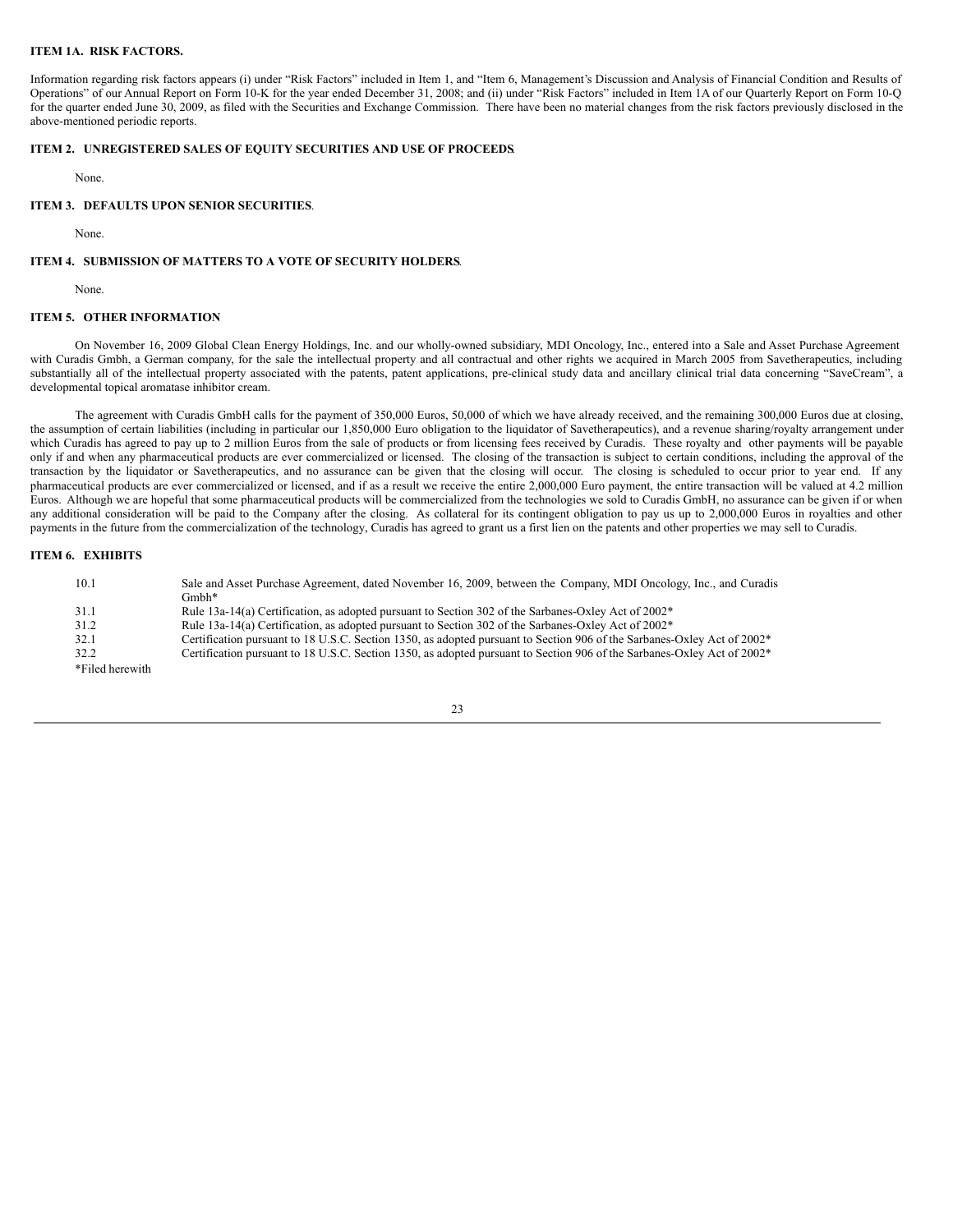## **ITEM 1A. RISK FACTORS.**

Information regarding risk factors appears (i) under "Risk Factors" included in Item 1, and "Item 6, Management's Discussion and Analysis of Financial Condition and Results of Operations" of our Annual Report on Form 10-K for the year ended December 31, 2008; and (ii) under "Risk Factors" included in Item 1A of our Quarterly Report on Form 10-Q for the quarter ended June 30, 2009, as filed with the Securities and Exchange Commission. There have been no material changes from the risk factors previously disclosed in the above-mentioned periodic reports.

## **ITEM 2. UNREGISTERED SALES OF EQUITY SECURITIES AND USE OF PROCEEDS**.

None.

## **ITEM 3. DEFAULTS UPON SENIOR SECURITIES**.

None.

## **ITEM 4. SUBMISSION OF MATTERS TO A VOTE OF SECURITY HOLDERS**.

None.

## **ITEM 5. OTHER INFORMATION**

On November 16, 2009 Global Clean Energy Holdings, Inc. and our wholly-owned subsidiary, MDI Oncology, Inc., entered into a Sale and Asset Purchase Agreement with Curadis Gmbh, a German company, for the sale the intellectual property and all contractual and other rights we acquired in March 2005 from Savetherapeutics, including substantially all of the intellectual property associated with the patents, patent applications, pre-clinical study data and ancillary clinical trial data concerning "SaveCream", a developmental topical aromatase inhibitor cream.

The agreement with Curadis GmbH calls for the payment of 350,000 Euros, 50,000 of which we have already received, and the remaining 300,000 Euros due at closing, the assumption of certain liabilities (including in particular our 1,850,000 Euro obligation to the liquidator of Savetherapeutics), and a revenue sharing/royalty arrangement under which Curadis has agreed to pay up to 2 million Euros from the sale of products or from licensing fees received by Curadis. These royalty and other payments will be payable only if and when any pharmaceutical products are ever commercialized or licensed. The closing of the transaction is subject to certain conditions, including the approval of the transaction by the liquidator or Savetherapeutics, and no assurance can be given that the closing will occur. The closing is scheduled to occur prior to year end. If any pharmaceutical products are ever commercialized or licensed, and if as a result we receive the entire 2,000,000 Euro payment, the entire transaction will be valued at 4.2 million Euros. Although we are hopeful that some pharmaceutical products will be commercialized from the technologies we sold to Curadis GmbH, no assurance can be given if or when any additional consideration will be paid to the Company after the closing. As collateral for its contingent obligation to pay us up to 2,000,000 Euros in royalties and other payments in the future from the commercialization of the technology, Curadis has agreed to grant us a first lien on the patents and other properties we may sell to Curadis.

## **ITEM 6. EXHIBITS**

| 10.1            | Sale and Asset Purchase Agreement, dated November 16, 2009, between the Company, MDI Oncology, Inc., and Curadis        |
|-----------------|-------------------------------------------------------------------------------------------------------------------------|
|                 | Gmbh*                                                                                                                   |
| 31.1            | Rule 13a-14(a) Certification, as adopted pursuant to Section 302 of the Sarbanes-Oxley Act of $2002^*$                  |
| 31.2            | Rule 13a-14(a) Certification, as adopted pursuant to Section 302 of the Sarbanes-Oxley Act of $2002^*$                  |
| 32.1            | Certification pursuant to 18 U.S.C. Section 1350, as adopted pursuant to Section 906 of the Sarbanes-Oxley Act of 2002* |
| 32.2            | Certification pursuant to 18 U.S.C. Section 1350, as adopted pursuant to Section 906 of the Sarbanes-Oxley Act of 2002* |
| *Filed herewith |                                                                                                                         |

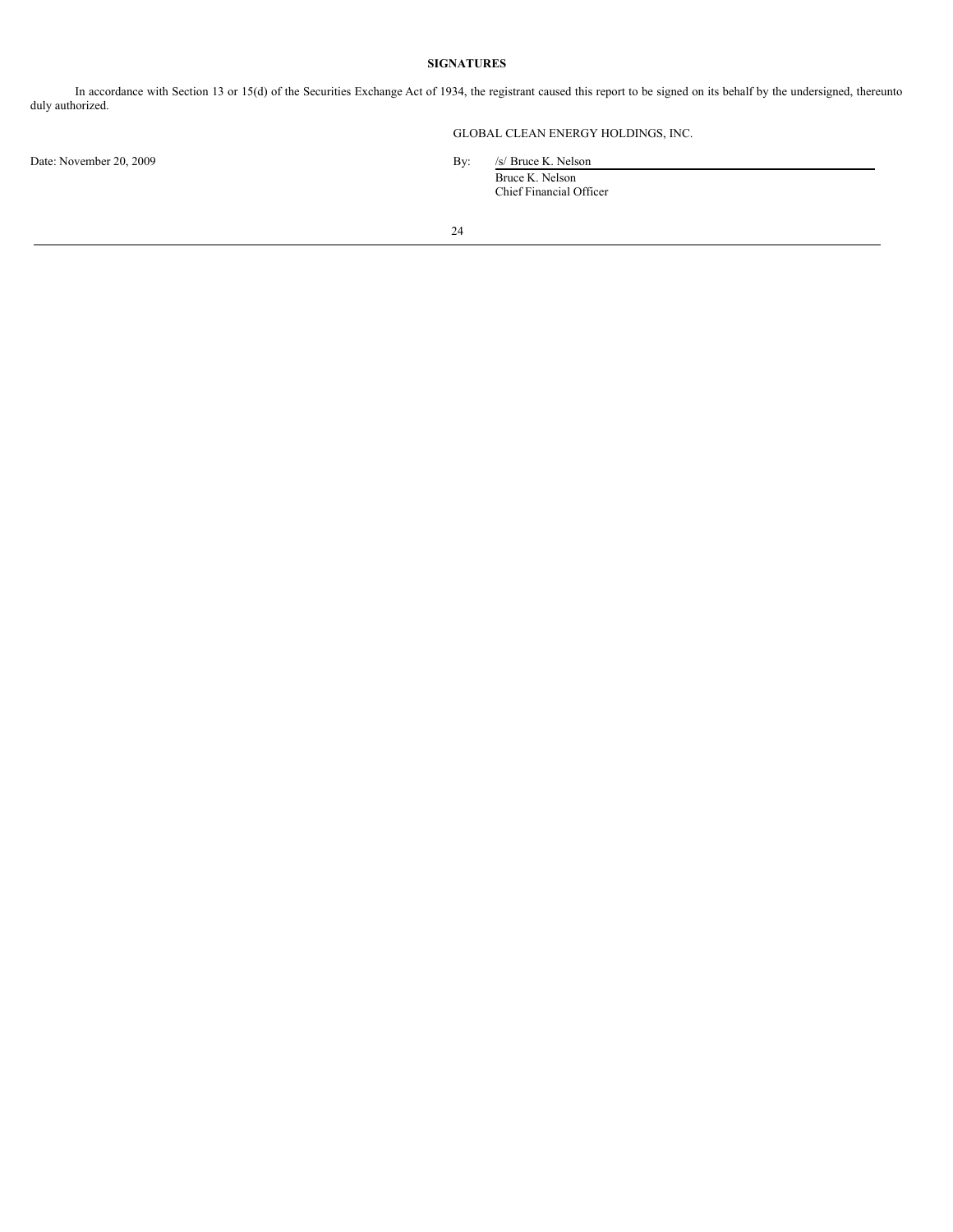# **SIGNATURES**

In accordance with Section 13 or 15(d) of the Securities Exchange Act of 1934, the registrant caused this report to be signed on its behalf by the undersigned, thereunto duly authorized.

GLOBAL CLEAN ENERGY HOLDINGS, INC.

Date: November 20, 2009 By: /s/ Bruce K. Nelson Bruce K. Nelson

Chief Financial Officer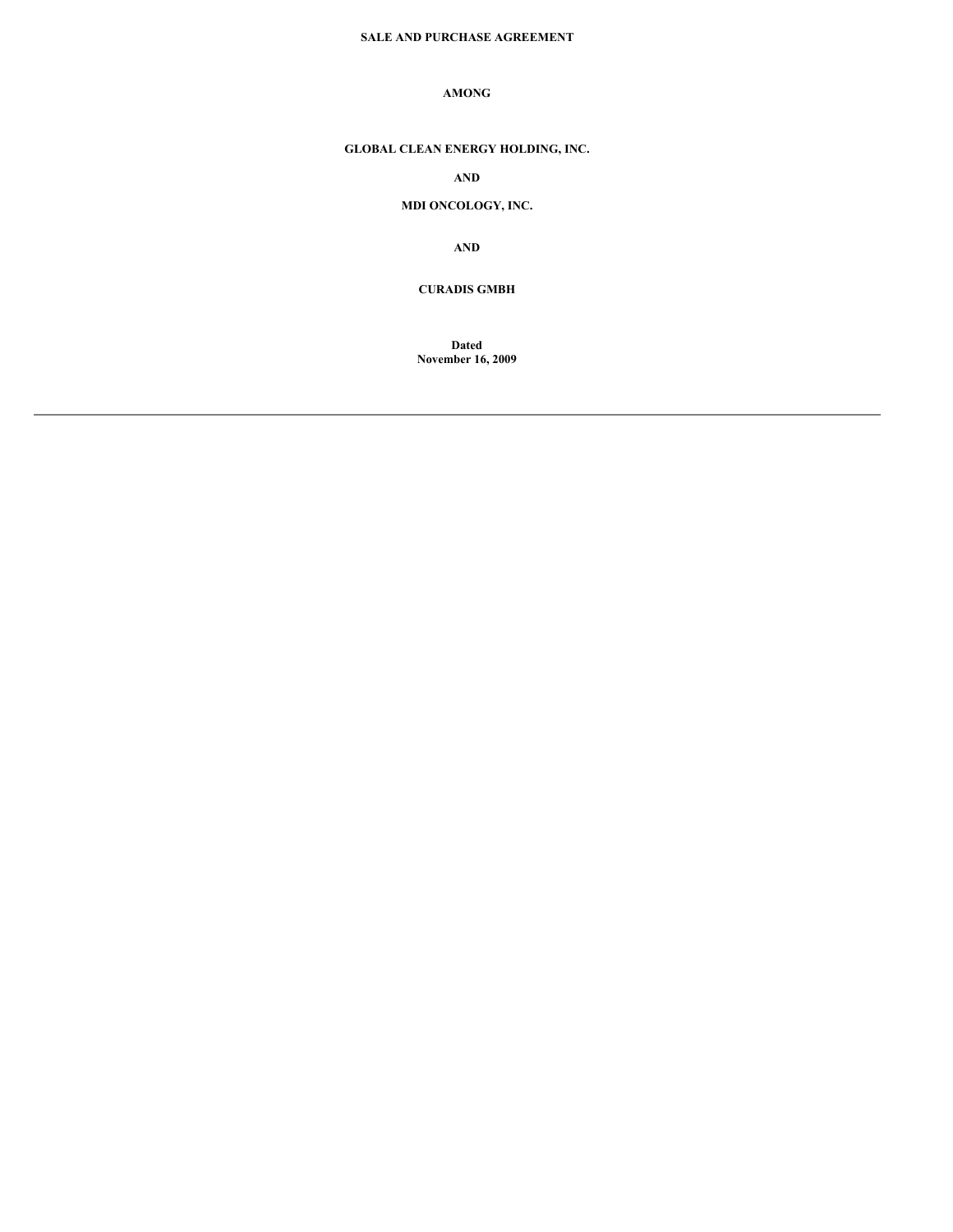## **SALE AND PURCHASE AGREEMENT**

# **AMONG**

# **GLOBAL CLEAN ENERGY HOLDING, INC.**

**AND**

# **MDI ONCOLOGY, INC.**

**AND**

# **CURADIS GMBH**

**Dated November 16, 2009**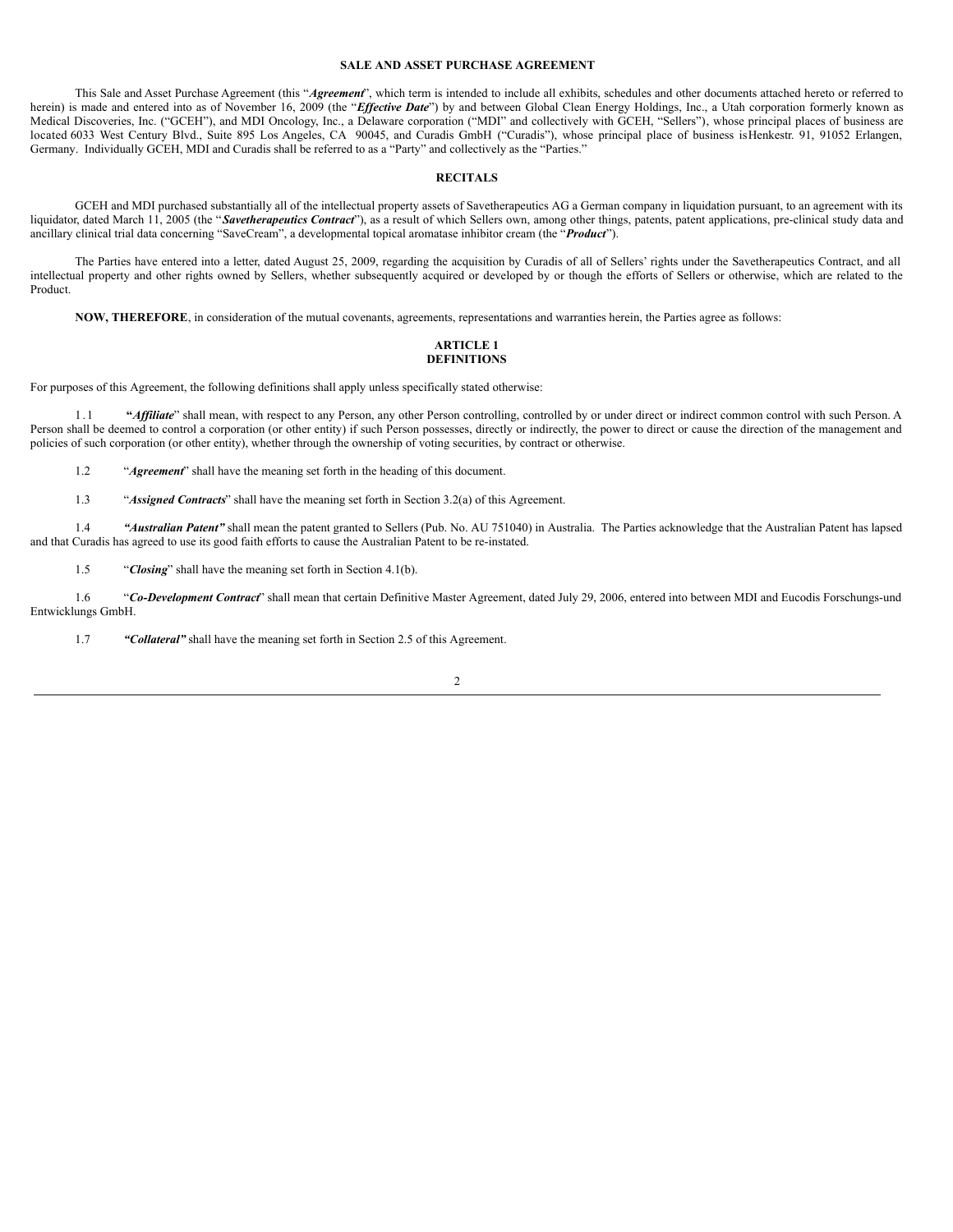#### **SALE AND ASSET PURCHASE AGREEMENT**

This Sale and Asset Purchase Agreement (this "*Agreement*", which term is intended to include all exhibits, schedules and other documents attached hereto or referred to herein) is made and entered into as of November 16, 2009 (the "*Effective Date*") by and between Global Clean Energy Holdings, Inc., a Utah corporation formerly known as Medical Discoveries, Inc. ("GCEH"), and MDI Oncology, Inc., a Delaware corporation ("MDI" and collectively with GCEH, "Sellers"), whose principal places of business are located 6033 West Century Blvd., Suite 895 Los Angeles, CA 90045, and Curadis GmbH ("Curadis"), whose principal place of business isHenkestr. 91, 91052 Erlangen, Germany. Individually GCEH, MDI and Curadis shall be referred to as a "Party" and collectively as the "Parties."

## **RECITALS**

GCEH and MDI purchased substantially all of the intellectual property assets of Savetherapeutics AG a German company in liquidation pursuant, to an agreement with its liquidator, dated March 11, 2005 (the "*Savetherapeutics Contract*"), as a result of which Sellers own, among other things, patents, patent applications, pre-clinical study data and ancillary clinical trial data concerning "SaveCream", a developmental topical aromatase inhibitor cream (the "*Product*").

The Parties have entered into a letter, dated August 25, 2009, regarding the acquisition by Curadis of all of Sellers' rights under the Savetherapeutics Contract, and all intellectual property and other rights owned by Sellers, whether subsequently acquired or developed by or though the efforts of Sellers or otherwise, which are related to the Product.

**NOW, THEREFORE**, in consideration of the mutual covenants, agreements, representations and warranties herein, the Parties agree as follows:

## **ARTICLE 1 DEFINITIONS**

For purposes of this Agreement, the following definitions shall apply unless specifically stated otherwise:

1.1 **"***Af iliate*" shall mean, with respect to any Person, any other Person controlling, controlled by or under direct or indirect common control with such Person. A Person shall be deemed to control a corporation (or other entity) if such Person possesses, directly or indirectly, the power to direct or cause the direction of the management and policies of such corporation (or other entity), whether through the ownership of voting securities, by contract or otherwise.

1.2 "*Agreement*" shall have the meaning set forth in the heading of this document.

1.3 "*Assigned Contracts*" shall have the meaning set forth in Section 3.2(a) of this Agreement.

1.4 *"Australian Patent"* shall mean the patent granted to Sellers (Pub. No. AU 751040) in Australia. The Parties acknowledge that the Australian Patent has lapsed and that Curadis has agreed to use its good faith efforts to cause the Australian Patent to be re-instated.

1.5 "*Closing*" shall have the meaning set forth in Section 4.1(b).

1.6 "*Co-Development Contract*" shall mean that certain Definitive Master Agreement, dated July 29, 2006, entered into between MDI and Eucodis Forschungs-und Entwicklungs GmbH.

1.7 *"Collateral"* shall have the meaning set forth in Section 2.5 of this Agreement.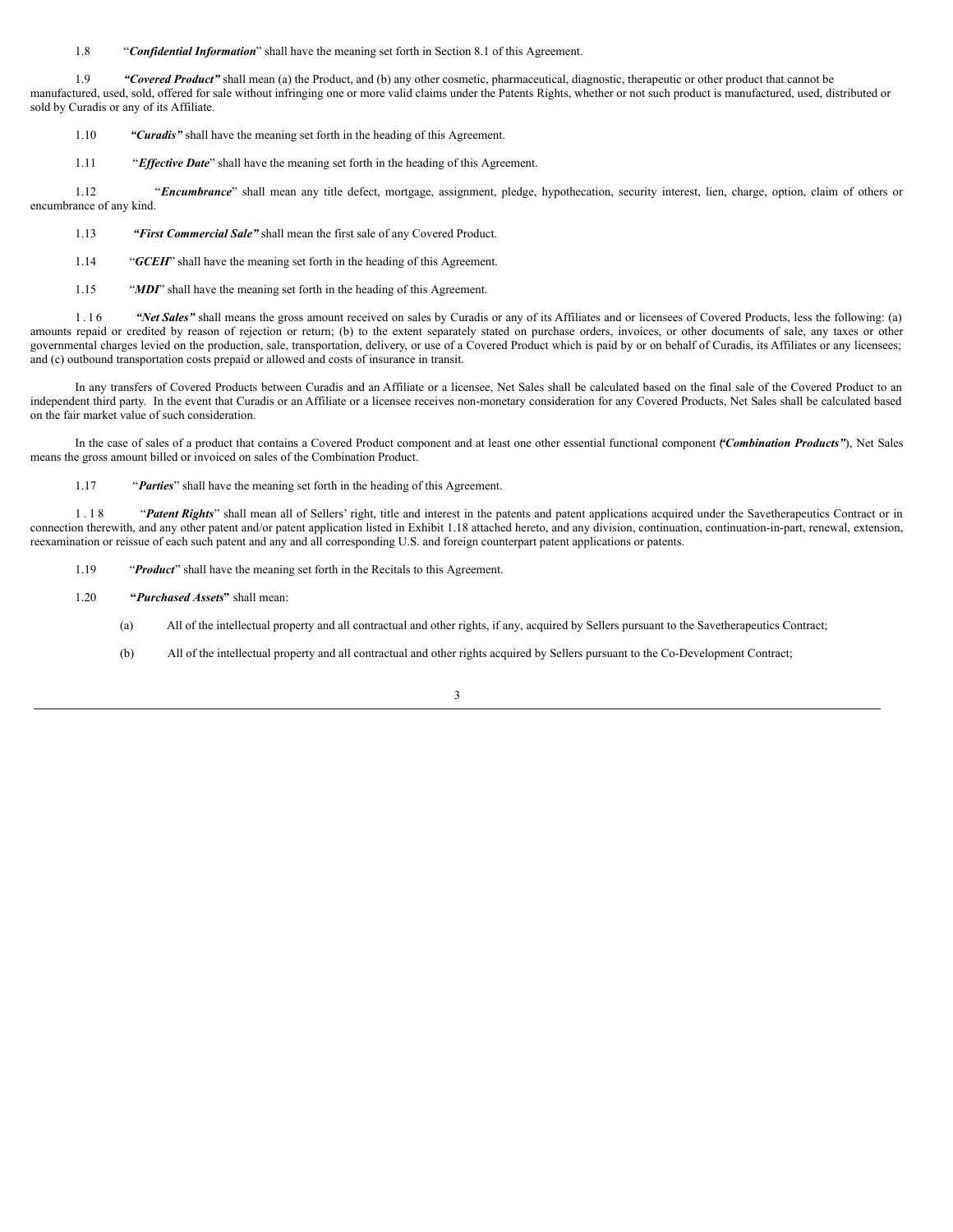1.8 "*Confidential Information*" shall have the meaning set forth in Section 8.1 of this Agreement.

1.9 *"Covered Product"* shall mean (a) the Product, and (b) any other cosmetic, pharmaceutical, diagnostic, therapeutic or other product that cannot be manufactured, used, sold, offered for sale without infringing one or more valid claims under the Patents Rights, whether or not such product is manufactured, used, distributed or sold by Curadis or any of its Affiliate.

1.10 *"Curadis"* shall have the meaning set forth in the heading of this Agreement.

1.11 "*Effective Date*" shall have the meaning set forth in the heading of this Agreement.

1.12 "*Encumbrance*" shall mean any title defect, mortgage, assignment, pledge, hypothecation, security interest, lien, charge, option, claim of others or encumbrance of any kind.

1.13 *"First Commercial Sale"* shall mean the first sale of any Covered Product.

1.14 "*GCEH*" shall have the meaning set forth in the heading of this Agreement.

1.15 "*MDI*" shall have the meaning set forth in the heading of this Agreement.

1.16 *"Net Sales"* shall means the gross amount received on sales by Curadis or any of its Affiliates and or licensees of Covered Products, less the following: (a) amounts repaid or credited by reason of rejection or return; (b) to the extent separately stated on purchase orders, invoices, or other documents of sale, any taxes or other governmental charges levied on the production, sale, transportation, delivery, or use of a Covered Product which is paid by or on behalf of Curadis, its Affiliates or any licensees; and (c) outbound transportation costs prepaid or allowed and costs of insurance in transit.

In any transfers of Covered Products between Curadis and an Affiliate or a licensee, Net Sales shall be calculated based on the final sale of the Covered Product to an independent third party. In the event that Curadis or an Affiliate or a licensee receives non-monetary consideration for any Covered Products, Net Sales shall be calculated based on the fair market value of such consideration.

In the case of sales of a product that contains a Covered Product component and at least one other essential functional component *"*(*Combination Products"*), Net Sales means the gross amount billed or invoiced on sales of the Combination Product.

1.17 "*Parties*" shall have the meaning set forth in the heading of this Agreement.

1.18 "Patent Rights" shall mean all of Sellers' right, title and interest in the patents and patent applications acquired under the Savetherapeutics Contract or in connection therewith, and any other patent and/or patent application listed in Exhibit 1.18 attached hereto, and any division, continuation, continuation-in-part, renewal, extension, reexamination or reissue of each such patent and any and all corresponding U.S. and foreign counterpart patent applications or patents.

1.19 "*Product*" shall have the meaning set forth in the Recitals to this Agreement.

1.20 **"***Purchased Assets***"** shall mean:

(a) All of the intellectual property and all contractual and other rights, if any, acquired by Sellers pursuant to the Savetherapeutics Contract;

(b) All of the intellectual property and all contractual and other rights acquired by Sellers pursuant to the Co-Development Contract;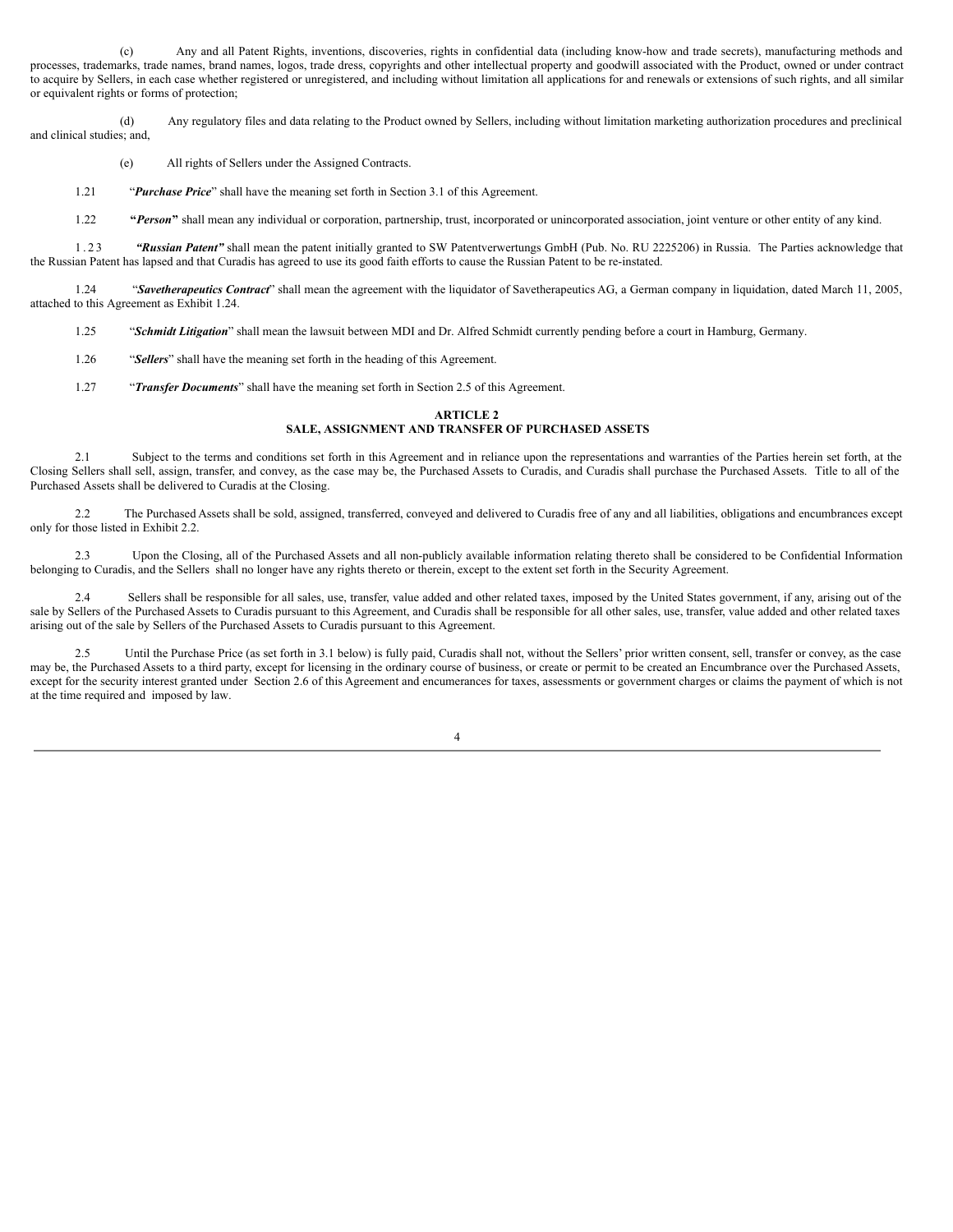(c) Any and all Patent Rights, inventions, discoveries, rights in confidential data (including know-how and trade secrets), manufacturing methods and processes, trademarks, trade names, brand names, logos, trade dress, copyrights and other intellectual property and goodwill associated with the Product, owned or under contract to acquire by Sellers, in each case whether registered or unregistered, and including without limitation all applications for and renewals or extensions of such rights, and all similar or equivalent rights or forms of protection;

(d) Any regulatory files and data relating to the Product owned by Sellers, including without limitation marketing authorization procedures and preclinical and clinical studies; and,

- (e) All rights of Sellers under the Assigned Contracts.
- 1.21 "*Purchase Price*" shall have the meaning set forth in Section 3.1 of this Agreement.
- 1.22 **"***Person***"** shall mean any individual or corporation, partnership, trust, incorporated or unincorporated association, joint venture or other entity of any kind.

1 . 2 3 *"Russian Patent"* shall mean the patent initially granted to SW Patentverwertungs GmbH (Pub. No. RU 2225206) in Russia. The Parties acknowledge that the Russian Patent has lapsed and that Curadis has agreed to use its good faith efforts to cause the Russian Patent to be re-instated.

1.24 "*Savetherapeutics Contract*" shall mean the agreement with the liquidator of Savetherapeutics AG, a German company in liquidation, dated March 11, 2005, attached to this Agreement as Exhibit 1.24.

- 1.25 "*Schmidt Litigation*" shall mean the lawsuit between MDI and Dr. Alfred Schmidt currently pending before a court in Hamburg, Germany.
- 1.26 "*Sellers*" shall have the meaning set forth in the heading of this Agreement.
- 1.27 "*Transfer Documents*" shall have the meaning set forth in Section 2.5 of this Agreement.

#### **ARTICLE 2 SALE, ASSIGNMENT AND TRANSFER OF PURCHASED ASSETS**

2.1 Subject to the terms and conditions set forth in this Agreement and in reliance upon the representations and warranties of the Parties herein set forth, at the Closing Sellers shall sell, assign, transfer, and convey, as the case may be, the Purchased Assets to Curadis, and Curadis shall purchase the Purchased Assets. Title to all of the Purchased Assets shall be delivered to Curadis at the Closing.

2.2 The Purchased Assets shall be sold, assigned, transferred, conveyed and delivered to Curadis free of any and all liabilities, obligations and encumbrances except only for those listed in Exhibit 2.2.

2.3 Upon the Closing, all of the Purchased Assets and all non-publicly available information relating thereto shall be considered to be Confidential Information belonging to Curadis, and the Sellers shall no longer have any rights thereto or therein, except to the extent set forth in the Security Agreement.

2.4 Sellers shall be responsible for all sales, use, transfer, value added and other related taxes, imposed by the United States government, if any, arising out of the sale by Sellers of the Purchased Assets to Curadis pursuant to this Agreement, and Curadis shall be responsible for all other sales, use, transfer, value added and other related taxes arising out of the sale by Sellers of the Purchased Assets to Curadis pursuant to this Agreement.

2.5 Until the Purchase Price (as set forth in 3.1 below) is fully paid, Curadis shall not, without the Sellers' prior written consent, sell, transfer or convey, as the case may be, the Purchased Assets to a third party, except for licensing in the ordinary course of business, or create or permit to be created an Encumbrance over the Purchased Assets, except for the security interest granted under Section 2.6 of this Agreement and encumerances for taxes, assessments or government charges or claims the payment of which is not at the time required and imposed by law.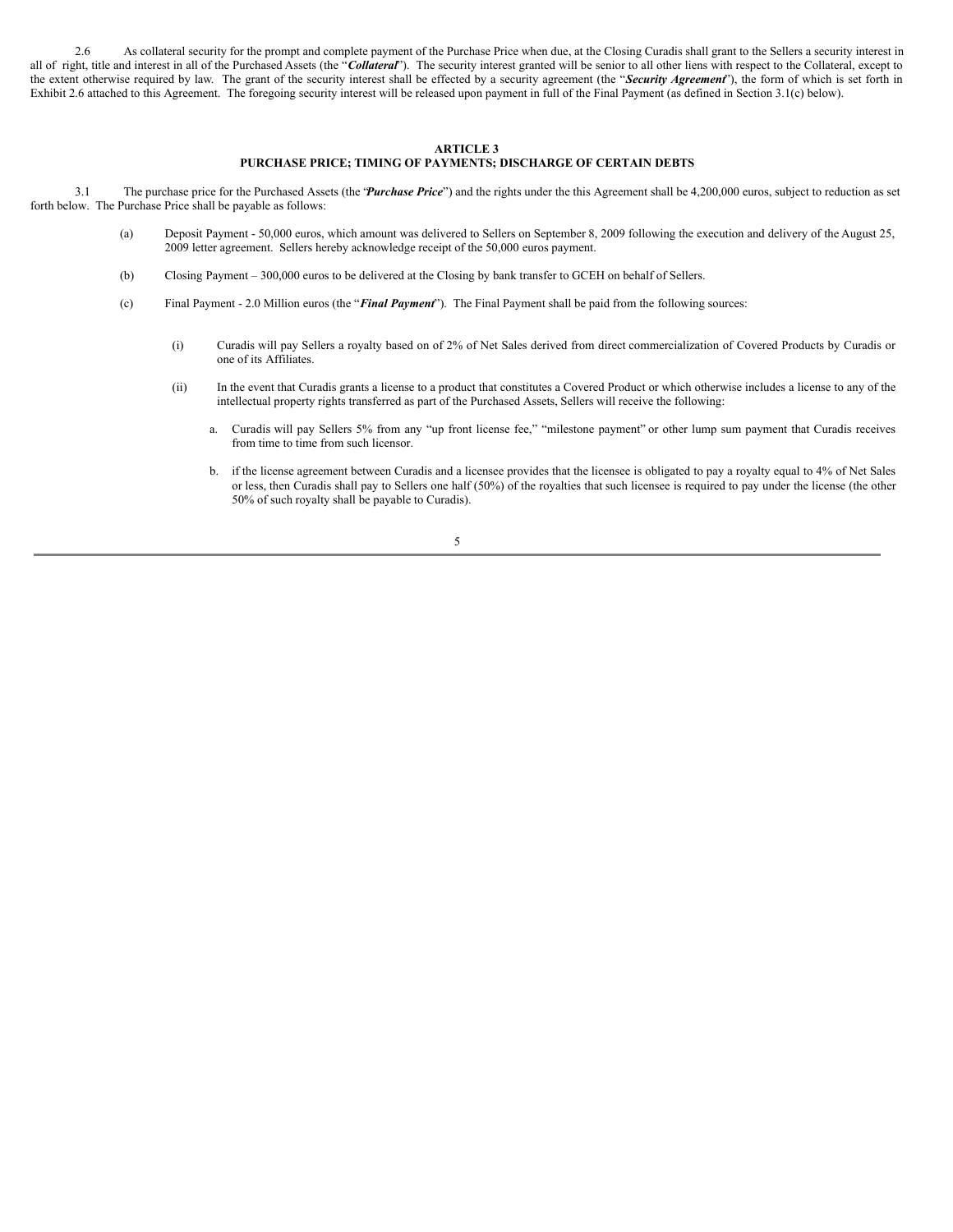2.6 As collateral security for the prompt and complete payment of the Purchase Price when due, at the Closing Curadis shall grant to the Sellers a security interest in all of right, title and interest in all of the Purchased Assets (the "Collateral"). The security interest granted will be senior to all other liens with respect to the Collateral, except to the extent otherwise required by law. The grant of the security interest shall be effected by a security agreement (the "*Security Agreement*"), the form of which is set forth in Exhibit 2.6 attached to this Agreement. The foregoing security interest will be released upon payment in full of the Final Payment (as defined in Section 3.1(c) below).

## **ARTICLE 3**

## **PURCHASE PRICE; TIMING OF PAYMENTS; DISCHARGE OF CERTAIN DEBTS**

3.1 The purchase price for the Purchased Assets (the "*Purchase Price*") and the rights under the this Agreement shall be 4,200,000 euros, subject to reduction as set forth below. The Purchase Price shall be payable as follows:

- (a) Deposit Payment 50,000 euros, which amount was delivered to Sellers on September 8, 2009 following the execution and delivery of the August 25, 2009 letter agreement. Sellers hereby acknowledge receipt of the 50,000 euros payment.
- (b) Closing Payment 300,000 euros to be delivered at the Closing by bank transfer to GCEH on behalf of Sellers.
- (c) Final Payment 2.0 Million euros (the "*Final Payment*"). The Final Payment shall be paid from the following sources:
	- (i) Curadis will pay Sellers a royalty based on of 2% of Net Sales derived from direct commercialization of Covered Products by Curadis or one of its Affiliates.
	- (ii) In the event that Curadis grants a license to a product that constitutes a Covered Product or which otherwise includes a license to any of the intellectual property rights transferred as part of the Purchased Assets, Sellers will receive the following:
		- a. Curadis will pay Sellers 5% from any "up front license fee," "milestone payment" or other lump sum payment that Curadis receives from time to time from such licensor.
		- b. if the license agreement between Curadis and a licensee provides that the licensee is obligated to pay a royalty equal to 4% of Net Sales or less, then Curadis shall pay to Sellers one half (50%) of the royalties that such licensee is required to pay under the license (the other 50% of such royalty shall be payable to Curadis).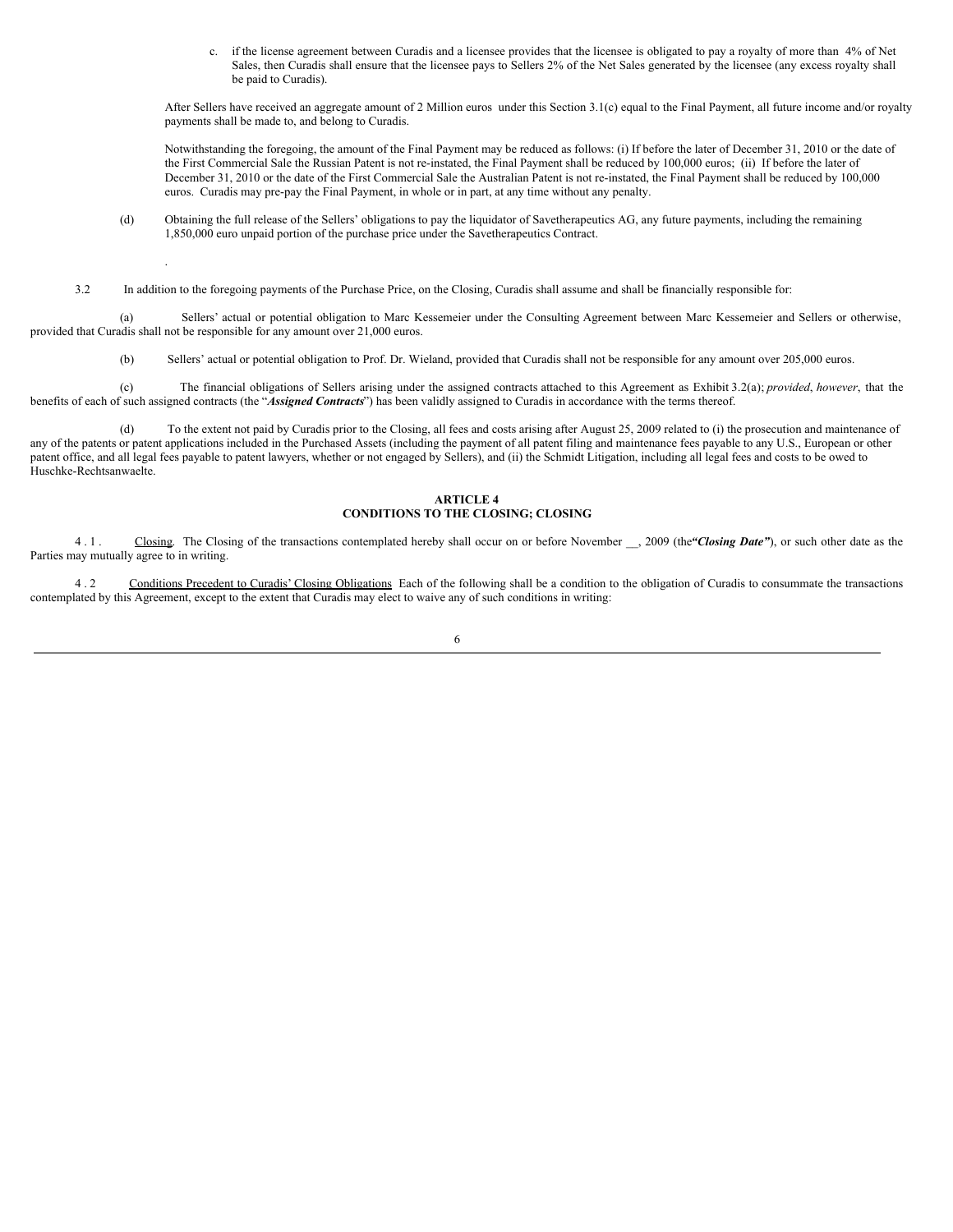c. if the license agreement between Curadis and a licensee provides that the licensee is obligated to pay a royalty of more than 4% of Net Sales, then Curadis shall ensure that the licensee pays to Sellers 2% of the Net Sales generated by the licensee (any excess royalty shall be paid to Curadis).

After Sellers have received an aggregate amount of 2 Million euros under this Section 3.1(c) equal to the Final Payment, all future income and/or royalty payments shall be made to, and belong to Curadis.

Notwithstanding the foregoing, the amount of the Final Payment may be reduced as follows: (i) If before the later of December 31, 2010 or the date of the First Commercial Sale the Russian Patent is not re-instated, the Final Payment shall be reduced by 100,000 euros; (ii) If before the later of December 31, 2010 or the date of the First Commercial Sale the Australian Patent is not re-instated, the Final Payment shall be reduced by 100,000 euros. Curadis may pre-pay the Final Payment, in whole or in part, at any time without any penalty.

(d) Obtaining the full release of the Sellers' obligations to pay the liquidator of Savetherapeutics AG, any future payments, including the remaining 1,850,000 euro unpaid portion of the purchase price under the Savetherapeutics Contract.

3.2 In addition to the foregoing payments of the Purchase Price, on the Closing, Curadis shall assume and shall be financially responsible for:

.

(a) Sellers' actual or potential obligation to Marc Kessemeier under the Consulting Agreement between Marc Kessemeier and Sellers or otherwise, provided that Curadis shall not be responsible for any amount over 21,000 euros.

(b) Sellers' actual or potential obligation to Prof. Dr. Wieland, provided that Curadis shall not be responsible for any amount over 205,000 euros.

(c) The financial obligations of Sellers arising under the assigned contracts attached to this Agreement as Exhibit 3.2(a); *provided*, *however*, that the benefits of each of such assigned contracts (the "*Assigned Contracts*") has been validly assigned to Curadis in accordance with the terms thereof.

(d) To the extent not paid by Curadis prior to the Closing, all fees and costs arising after August 25, 2009 related to (i) the prosecution and maintenance of any of the patents or patent applications included in the Purchased Assets (including the payment of all patent filing and maintenance fees payable to any U.S., European or other patent office, and all legal fees payable to patent lawyers, whether or not engaged by Sellers), and (ii) the Schmidt Litigation, including all legal fees and costs to be owed to Huschke-Rechtsanwaelte.

## **ARTICLE 4 CONDITIONS TO THE CLOSING; CLOSING**

4.1. Closing. The Closing of the transactions contemplated hereby shall occur on or before November, 2009 (the "Closing Date"), or such other date as the Parties may mutually agree to in writing.

4 . 2 Conditions Precedent to Curadis' Closing Obligations Each of the following shall be a condition to the obligation of Curadis to consummate the transactions contemplated by this Agreement, except to the extent that Curadis may elect to waive any of such conditions in writing: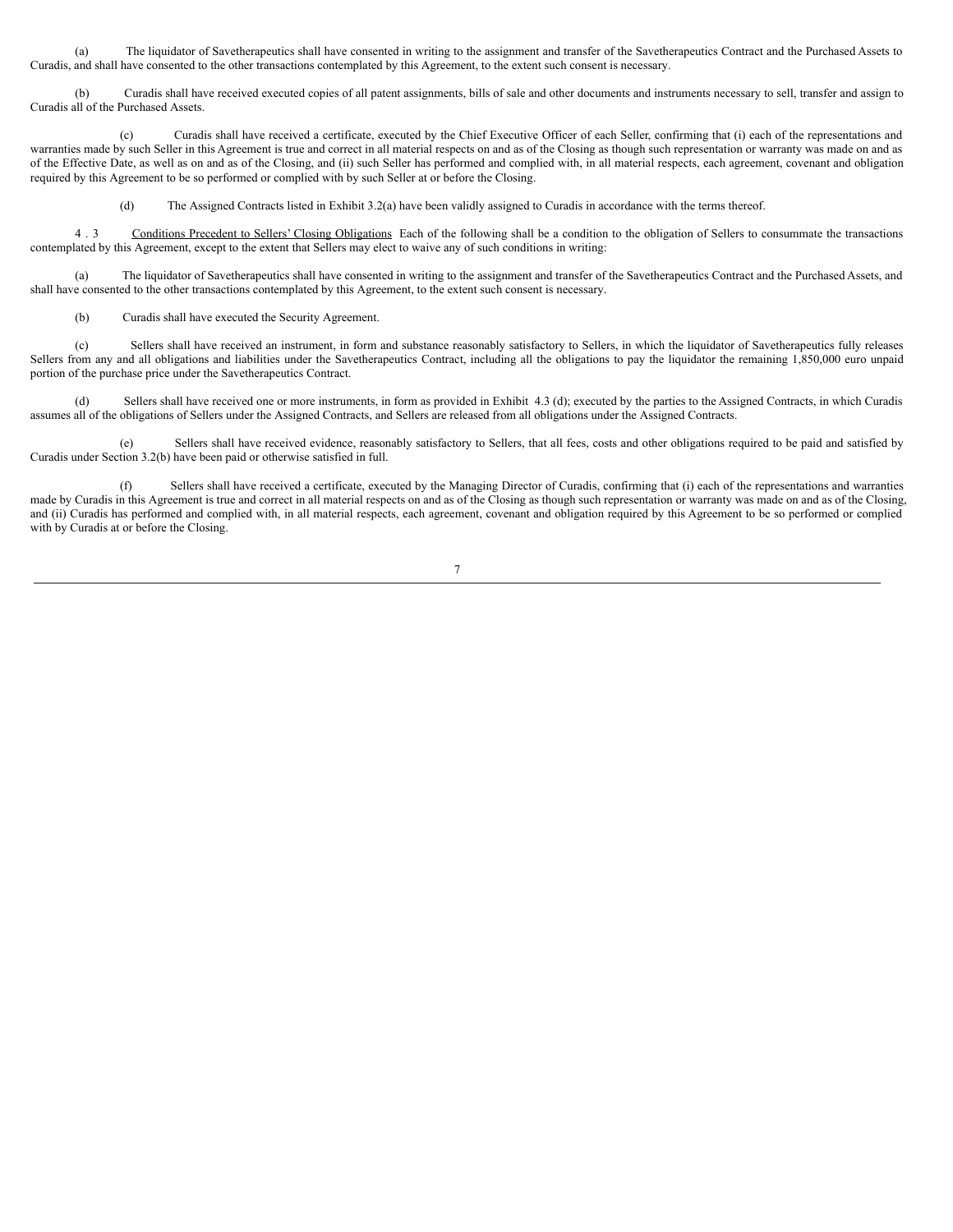(a) The liquidator of Savetherapeutics shall have consented in writing to the assignment and transfer of the Savetherapeutics Contract and the Purchased Assets to Curadis, and shall have consented to the other transactions contemplated by this Agreement, to the extent such consent is necessary.

(b) Curadis shall have received executed copies of all patent assignments, bills of sale and other documents and instruments necessary to sell, transfer and assign to Curadis all of the Purchased Assets.

(c) Curadis shall have received a certificate, executed by the Chief Executive Officer of each Seller, confirming that (i) each of the representations and warranties made by such Seller in this Agreement is true and correct in all material respects on and as of the Closing as though such representation or warranty was made on and as of the Effective Date, as well as on and as of the Closing, and (ii) such Seller has performed and complied with, in all material respects, each agreement, covenant and obligation required by this Agreement to be so performed or complied with by such Seller at or before the Closing.

(d) The Assigned Contracts listed in Exhibit 3.2(a) have been validly assigned to Curadis in accordance with the terms thereof.

4 . 3 Conditions Precedent to Sellers' Closing Obligations Each of the following shall be a condition to the obligation of Sellers to consummate the transactions contemplated by this Agreement, except to the extent that Sellers may elect to waive any of such conditions in writing:

(a) The liquidator of Savetherapeutics shall have consented in writing to the assignment and transfer of the Savetherapeutics Contract and the Purchased Assets, and shall have consented to the other transactions contemplated by this Agreement, to the extent such consent is necessary.

(b) Curadis shall have executed the Security Agreement.

(c) Sellers shall have received an instrument, in form and substance reasonably satisfactory to Sellers, in which the liquidator of Savetherapeutics fully releases Sellers from any and all obligations and liabilities under the Savetherapeutics Contract, including all the obligations to pay the liquidator the remaining 1,850,000 euro unpaid portion of the purchase price under the Savetherapeutics Contract.

(d) Sellers shall have received one or more instruments, in form as provided in Exhibit 4.3 (d); executed by the parties to the Assigned Contracts, in which Curadis assumes all of the obligations of Sellers under the Assigned Contracts, and Sellers are released from all obligations under the Assigned Contracts.

(e) Sellers shall have received evidence, reasonably satisfactory to Sellers, that all fees, costs and other obligations required to be paid and satisfied by Curadis under Section 3.2(b) have been paid or otherwise satisfied in full.

(f) Sellers shall have received a certificate, executed by the Managing Director of Curadis, confirming that (i) each of the representations and warranties made by Curadis in this Agreement is true and correct in all material respects on and as of the Closing as though such representation or warranty was made on and as of the Closing, and (ii) Curadis has performed and complied with, in all material respects, each agreement, covenant and obligation required by this Agreement to be so performed or complied with by Curadis at or before the Closing.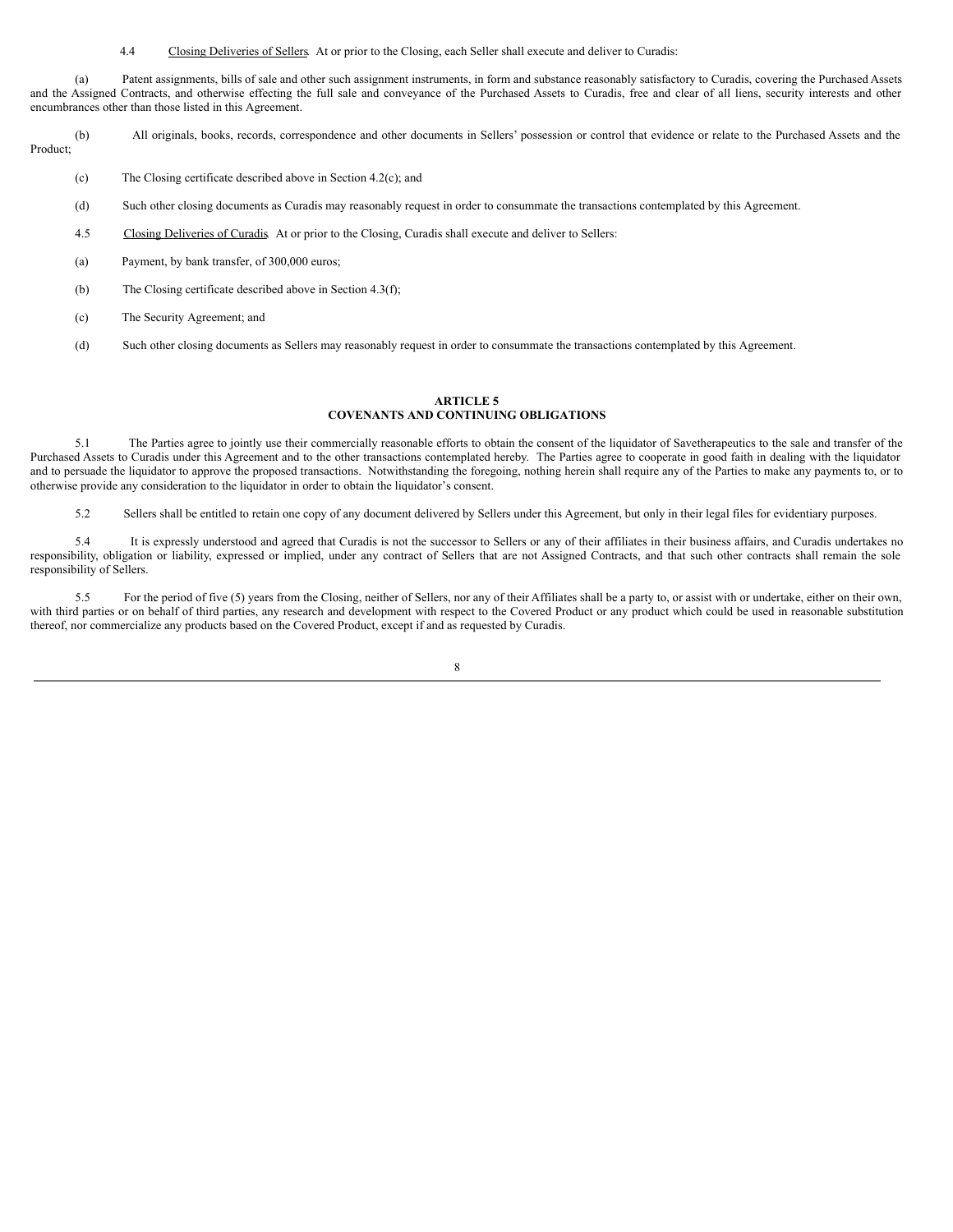4.4 Closing Deliveries of Sellers. At or prior to the Closing, each Seller shall execute and deliver to Curadis:

(a) Patent assignments, bills of sale and other such assignment instruments, in form and substance reasonably satisfactory to Curadis, covering the Purchased Assets and the Assigned Contracts, and otherwise effecting the full sale and conveyance of the Purchased Assets to Curadis, free and clear of all liens, security interests and other encumbrances other than those listed in this Agreement.

(b) All originals, books, records, correspondence and other documents in Sellers' possession or control that evidence or relate to the Purchased Assets and the Product;

- (c) The Closing certificate described above in Section 4.2(c); and
- (d) Such other closing documents as Curadis may reasonably request in order to consummate the transactions contemplated by this Agreement.
- 4.5 Closing Deliveries of Curadis. At or prior to the Closing, Curadis shall execute and deliver to Sellers:
- (a) Payment, by bank transfer, of 300,000 euros;
- (b) The Closing certificate described above in Section 4.3(f);
- (c) The Security Agreement; and
- (d) Such other closing documents as Sellers may reasonably request in order to consummate the transactions contemplated by this Agreement.

## **ARTICLE 5 COVENANTS AND CONTINUING OBLIGATIONS**

5.1 The Parties agree to jointly use their commercially reasonable efforts to obtain the consent of the liquidator of Savetherapeutics to the sale and transfer of the Purchased Assets to Curadis under this Agreement and to the other transactions contemplated hereby. The Parties agree to cooperate in good faith in dealing with the liquidator and to persuade the liquidator to approve the proposed transactions. Notwithstanding the foregoing, nothing herein shall require any of the Parties to make any payments to, or to otherwise provide any consideration to the liquidator in order to obtain the liquidator's consent.

5.2 Sellers shall be entitled to retain one copy of any document delivered by Sellers under this Agreement, but only in their legal files for evidentiary purposes.

5.4 It is expressly understood and agreed that Curadis is not the successor to Sellers or any of their affiliates in their business affairs, and Curadis undertakes no responsibility, obligation or liability, expressed or implied, under any contract of Sellers that are not Assigned Contracts, and that such other contracts shall remain the sole responsibility of Sellers.

5.5 For the period of five (5) years from the Closing, neither of Sellers, nor any of their Affiliates shall be a party to, or assist with or undertake, either on their own, with third parties or on behalf of third parties, any research and development with respect to the Covered Product or any product which could be used in reasonable substitution thereof, nor commercialize any products based on the Covered Product, except if and as requested by Curadis.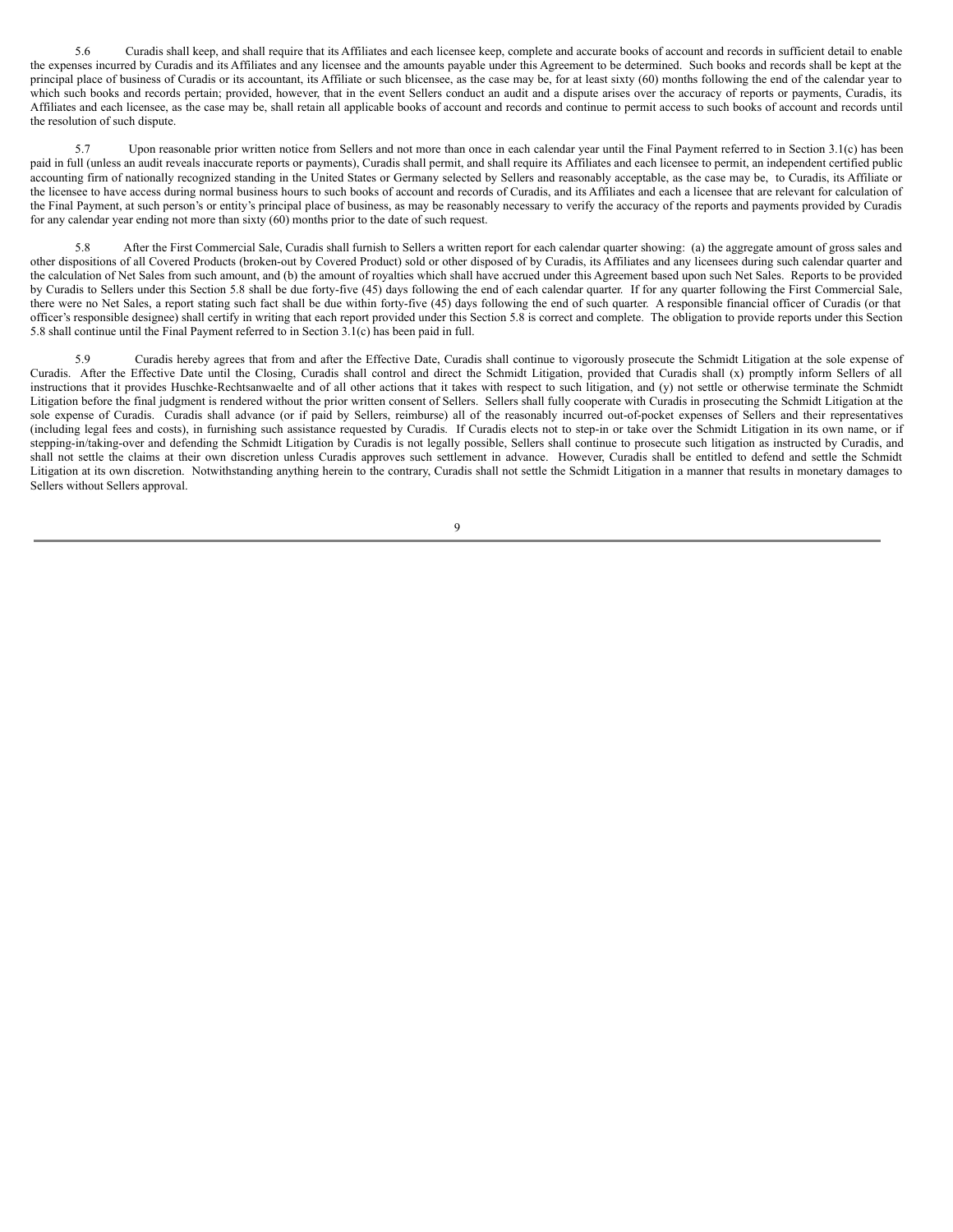5.6 Curadis shall keep, and shall require that its Affiliates and each licensee keep, complete and accurate books of account and records in sufficient detail to enable the expenses incurred by Curadis and its Affiliates and any licensee and the amounts payable under this Agreement to be determined. Such books and records shall be kept at the principal place of business of Curadis or its accountant, its Affiliate or such blicensee, as the case may be, for at least sixty (60) months following the end of the calendar year to which such books and records pertain; provided, however, that in the event Sellers conduct an audit and a dispute arises over the accuracy of reports or payments, Curadis, its Affiliates and each licensee, as the case may be, shall retain all applicable books of account and records and continue to permit access to such books of account and records until the resolution of such dispute.

5.7 Upon reasonable prior written notice from Sellers and not more than once in each calendar year until the Final Payment referred to in Section 3.1(c) has been paid in full (unless an audit reveals inaccurate reports or payments), Curadis shall permit, and shall require its Affiliates and each licensee to permit, an independent certified public accounting firm of nationally recognized standing in the United States or Germany selected by Sellers and reasonably acceptable, as the case may be, to Curadis, its Affiliate or the licensee to have access during normal business hours to such books of account and records of Curadis, and its Affiliates and each a licensee that are relevant for calculation of the Final Payment, at such person's or entity's principal place of business, as may be reasonably necessary to verify the accuracy of the reports and payments provided by Curadis for any calendar year ending not more than sixty (60) months prior to the date of such request.

5.8 After the First Commercial Sale, Curadis shall furnish to Sellers a written report for each calendar quarter showing: (a) the aggregate amount of gross sales and other dispositions of all Covered Products (broken-out by Covered Product) sold or other disposed of by Curadis, its Affiliates and any licensees during such calendar quarter and the calculation of Net Sales from such amount, and (b) the amount of royalties which shall have accrued under this Agreement based upon such Net Sales. Reports to be provided by Curadis to Sellers under this Section 5.8 shall be due forty-five (45) days following the end of each calendar quarter. If for any quarter following the First Commercial Sale, there were no Net Sales, a report stating such fact shall be due within forty-five (45) days following the end of such quarter. A responsible financial officer of Curadis (or that officer's responsible designee) shall certify in writing that each report provided under this Section 5.8 is correct and complete. The obligation to provide reports under this Section 5.8 shall continue until the Final Payment referred to in Section 3.1(c) has been paid in full.

5.9 Curadis hereby agrees that from and after the Effective Date, Curadis shall continue to vigorously prosecute the Schmidt Litigation at the sole expense of Curadis. After the Effective Date until the Closing, Curadis shall control and direct the Schmidt Litigation, provided that Curadis shall (x) promptly inform Sellers of all instructions that it provides Huschke-Rechtsanwaelte and of all other actions that it takes with respect to such litigation, and (y) not settle or otherwise terminate the Schmidt Litigation before the final judgment is rendered without the prior written consent of Sellers. Sellers shall fully cooperate with Curadis in prosecuting the Schmidt Litigation at the sole expense of Curadis. Curadis shall advance (or if paid by Sellers, reimburse) all of the reasonably incurred out-of-pocket expenses of Sellers and their representatives (including legal fees and costs), in furnishing such assistance requested by Curadis. If Curadis elects not to step-in or take over the Schmidt Litigation in its own name, or if stepping-in/taking-over and defending the Schmidt Litigation by Curadis is not legally possible, Sellers shall continue to prosecute such litigation as instructed by Curadis, and shall not settle the claims at their own discretion unless Curadis approves such settlement in advance. However, Curadis shall be entitled to defend and settle the Schmidt Litigation at its own discretion. Notwithstanding anything herein to the contrary, Curadis shall not settle the Schmidt Litigation in a manner that results in monetary damages to Sellers without Sellers approval.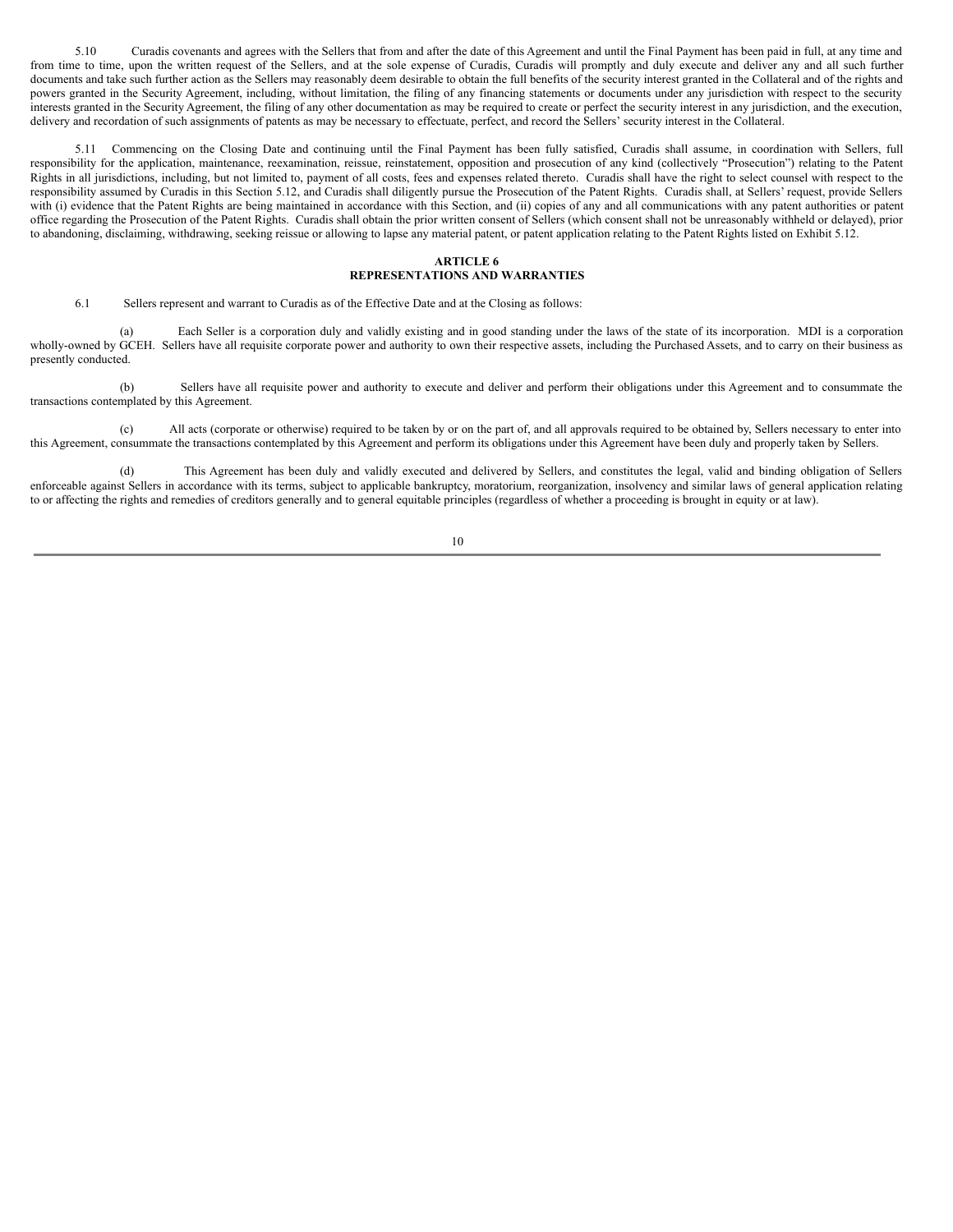5.10 Curadis covenants and agrees with the Sellers that from and after the date of this Agreement and until the Final Payment has been paid in full, at any time and from time to time, upon the written request of the Sellers, and at the sole expense of Curadis, Curadis will promptly and duly execute and deliver any and all such further documents and take such further action as the Sellers may reasonably deem desirable to obtain the full benefits of the security interest granted in the Collateral and of the rights and powers granted in the Security Agreement, including, without limitation, the filing of any financing statements or documents under any jurisdiction with respect to the security interests granted in the Security Agreement, the filing of any other documentation as may be required to create or perfect the security interest in any jurisdiction, and the execution, delivery and recordation of such assignments of patents as may be necessary to effectuate, perfect, and record the Sellers' security interest in the Collateral.

5.11 Commencing on the Closing Date and continuing until the Final Payment has been fully satisfied, Curadis shall assume, in coordination with Sellers, full responsibility for the application, maintenance, reexamination, reissue, reinstatement, opposition and prosecution of any kind (collectively "Prosecution") relating to the Patent Rights in all jurisdictions, including, but not limited to, payment of all costs, fees and expenses related thereto. Curadis shall have the right to select counsel with respect to the responsibility assumed by Curadis in this Section 5.12, and Curadis shall diligently pursue the Prosecution of the Patent Rights. Curadis shall, at Sellers' request, provide Sellers with (i) evidence that the Patent Rights are being maintained in accordance with this Section, and (ii) copies of any and all communications with any patent authorities or patent office regarding the Prosecution of the Patent Rights. Curadis shall obtain the prior written consent of Sellers (which consent shall not be unreasonably withheld or delayed), prior to abandoning, disclaiming, withdrawing, seeking reissue or allowing to lapse any material patent, or patent application relating to the Patent Rights listed on Exhibit 5.12.

## **ARTICLE 6 REPRESENTATIONS AND WARRANTIES**

6.1 Sellers represent and warrant to Curadis as of the Effective Date and at the Closing as follows:

(a) Each Seller is a corporation duly and validly existing and in good standing under the laws of the state of its incorporation. MDI is a corporation wholly-owned by GCEH. Sellers have all requisite corporate power and authority to own their respective assets, including the Purchased Assets, and to carry on their business as presently conducted.

(b) Sellers have all requisite power and authority to execute and deliver and perform their obligations under this Agreement and to consummate the transactions contemplated by this Agreement.

(c) All acts (corporate or otherwise) required to be taken by or on the part of, and all approvals required to be obtained by, Sellers necessary to enter into this Agreement, consummate the transactions contemplated by this Agreement and perform its obligations under this Agreement have been duly and properly taken by Sellers.

(d) This Agreement has been duly and validly executed and delivered by Sellers, and constitutes the legal, valid and binding obligation of Sellers enforceable against Sellers in accordance with its terms, subject to applicable bankruptcy, moratorium, reorganization, insolvency and similar laws of general application relating to or affecting the rights and remedies of creditors generally and to general equitable principles (regardless of whether a proceeding is brought in equity or at law).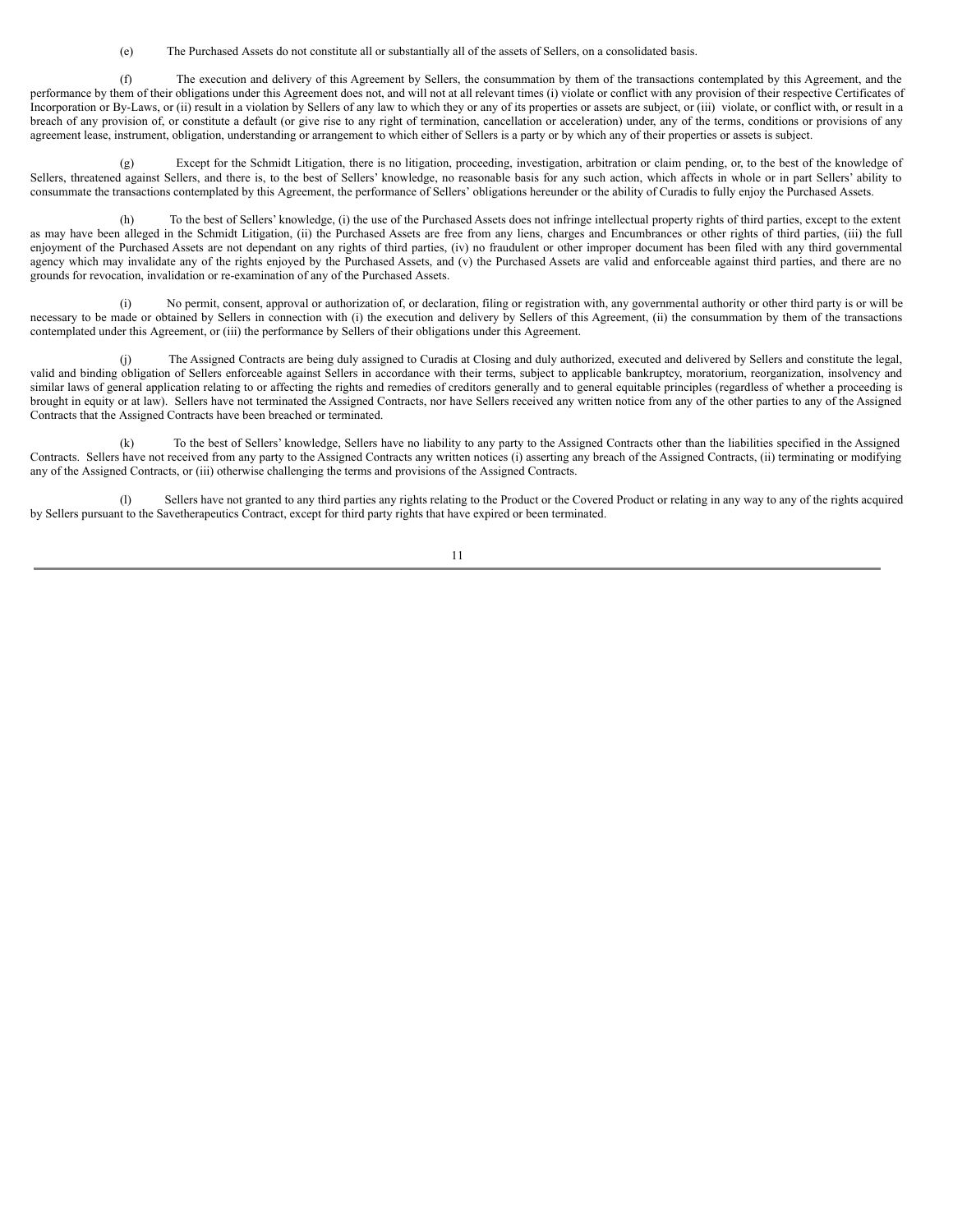(e) The Purchased Assets do not constitute all or substantially all of the assets of Sellers, on a consolidated basis.

(f) The execution and delivery of this Agreement by Sellers, the consummation by them of the transactions contemplated by this Agreement, and the performance by them of their obligations under this Agreement does not, and will not at all relevant times (i) violate or conflict with any provision of their respective Certificates of Incorporation or By-Laws, or (ii) result in a violation by Sellers of any law to which they or any of its properties or assets are subject, or (iii) violate, or conflict with, or result in a breach of any provision of, or constitute a default (or give rise to any right of termination, cancellation or acceleration) under, any of the terms, conditions or provisions of any agreement lease, instrument, obligation, understanding or arrangement to which either of Sellers is a party or by which any of their properties or assets is subject.

(g) Except for the Schmidt Litigation, there is no litigation, proceeding, investigation, arbitration or claim pending, or, to the best of the knowledge of Sellers, threatened against Sellers, and there is, to the best of Sellers' knowledge, no reasonable basis for any such action, which affects in whole or in part Sellers' ability to consummate the transactions contemplated by this Agreement, the performance of Sellers' obligations hereunder or the ability of Curadis to fully enjoy the Purchased Assets.

To the best of Sellers' knowledge, (i) the use of the Purchased Assets does not infringe intellectual property rights of third parties, except to the extent as may have been alleged in the Schmidt Litigation, (ii) the Purchased Assets are free from any liens, charges and Encumbrances or other rights of third parties, (iii) the full enjoyment of the Purchased Assets are not dependant on any rights of third parties, (iv) no fraudulent or other improper document has been filed with any third governmental agency which may invalidate any of the rights enjoyed by the Purchased Assets, and (v) the Purchased Assets are valid and enforceable against third parties, and there are no grounds for revocation, invalidation or re-examination of any of the Purchased Assets.

(i) No permit, consent, approval or authorization of, or declaration, filing or registration with, any governmental authority or other third party is or will be necessary to be made or obtained by Sellers in connection with (i) the execution and delivery by Sellers of this Agreement, (ii) the consummation by them of the transactions contemplated under this Agreement, or (iii) the performance by Sellers of their obligations under this Agreement.

The Assigned Contracts are being duly assigned to Curadis at Closing and duly authorized, executed and delivered by Sellers and constitute the legal, valid and binding obligation of Sellers enforceable against Sellers in accordance with their terms, subject to applicable bankruptcy, moratorium, reorganization, insolvency and similar laws of general application relating to or affecting the rights and remedies of creditors generally and to general equitable principles (regardless of whether a proceeding is brought in equity or at law). Sellers have not terminated the Assigned Contracts, nor have Sellers received any written notice from any of the other parties to any of the Assigned Contracts that the Assigned Contracts have been breached or terminated.

(k) To the best of Sellers' knowledge, Sellers have no liability to any party to the Assigned Contracts other than the liabilities specified in the Assigned Contracts. Sellers have not received from any party to the Assigned Contracts any written notices (i) asserting any breach of the Assigned Contracts, (ii) terminating or modifying any of the Assigned Contracts, or (iii) otherwise challenging the terms and provisions of the Assigned Contracts.

(l) Sellers have not granted to any third parties any rights relating to the Product or the Covered Product or relating in any way to any of the rights acquired by Sellers pursuant to the Savetherapeutics Contract, except for third party rights that have expired or been terminated.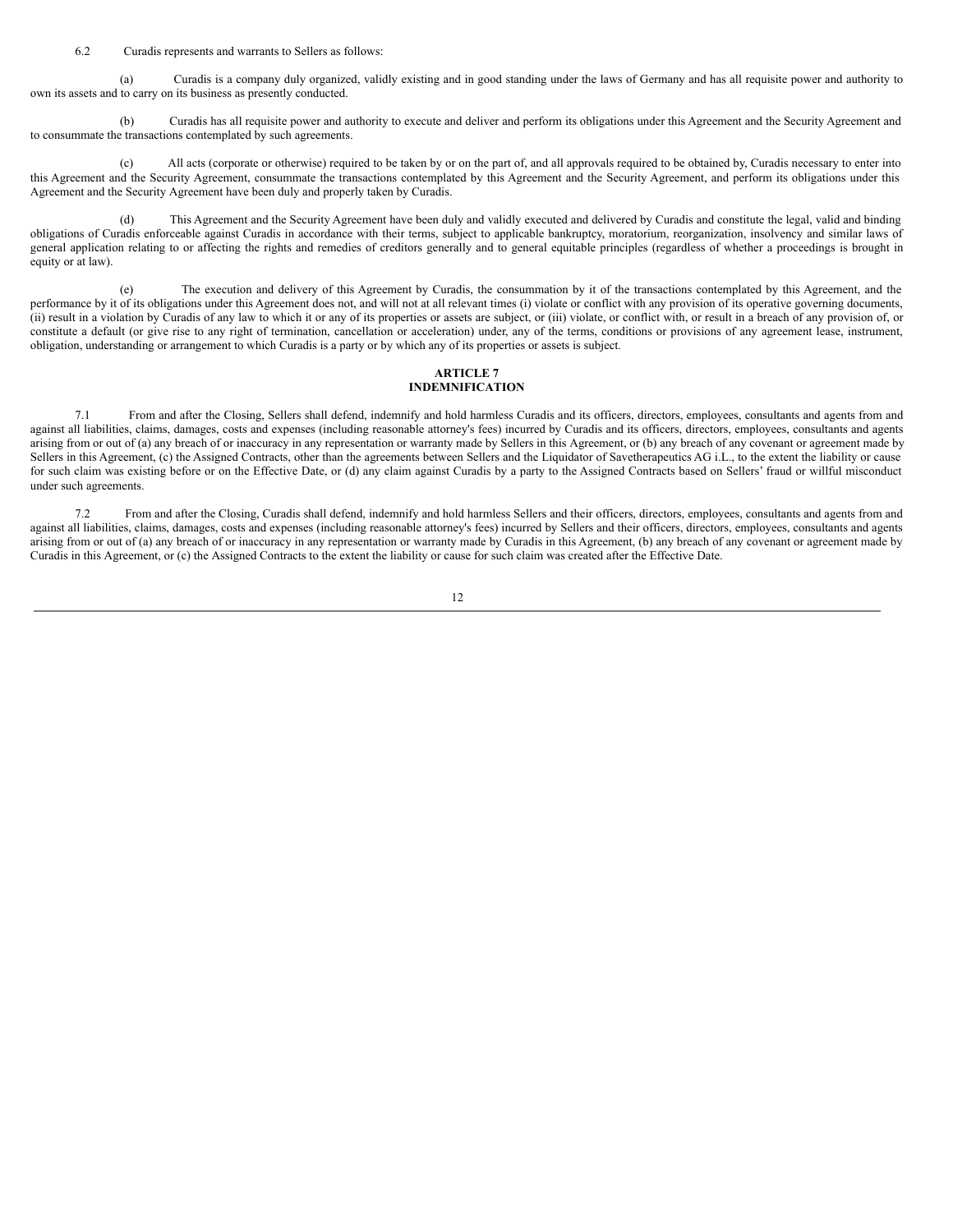6.2 Curadis represents and warrants to Sellers as follows:

(a) Curadis is a company duly organized, validly existing and in good standing under the laws of Germany and has all requisite power and authority to own its assets and to carry on its business as presently conducted.

(b) Curadis has all requisite power and authority to execute and deliver and perform its obligations under this Agreement and the Security Agreement and to consummate the transactions contemplated by such agreements.

(c) All acts (corporate or otherwise) required to be taken by or on the part of, and all approvals required to be obtained by, Curadis necessary to enter into this Agreement and the Security Agreement, consummate the transactions contemplated by this Agreement and the Security Agreement, and perform its obligations under this Agreement and the Security Agreement have been duly and properly taken by Curadis.

(d) This Agreement and the Security Agreement have been duly and validly executed and delivered by Curadis and constitute the legal, valid and binding obligations of Curadis enforceable against Curadis in accordance with their terms, subject to applicable bankruptcy, moratorium, reorganization, insolvency and similar laws of general application relating to or affecting the rights and remedies of creditors generally and to general equitable principles (regardless of whether a proceedings is brought in equity or at law).

(e) The execution and delivery of this Agreement by Curadis, the consummation by it of the transactions contemplated by this Agreement, and the performance by it of its obligations under this Agreement does not, and will not at all relevant times (i) violate or conflict with any provision of its operative governing documents, (ii) result in a violation by Curadis of any law to which it or any of its properties or assets are subject, or (iii) violate, or conflict with, or result in a breach of any provision of, or constitute a default (or give rise to any right of termination, cancellation or acceleration) under, any of the terms, conditions or provisions of any agreement lease, instrument, obligation, understanding or arrangement to which Curadis is a party or by which any of its properties or assets is subject.

## **ARTICLE 7 INDEMNIFICATION**

7.1 From and after the Closing, Sellers shall defend, indemnify and hold harmless Curadis and its officers, directors, employees, consultants and agents from and against all liabilities, claims, damages, costs and expenses (including reasonable attorney's fees) incurred by Curadis and its officers, directors, employees, consultants and agents arising from or out of (a) any breach of or inaccuracy in any representation or warranty made by Sellers in this Agreement, or (b) any breach of any covenant or agreement made by Sellers in this Agreement, (c) the Assigned Contracts, other than the agreements between Sellers and the Liquidator of Savetherapeutics AG i.L., to the extent the liability or cause for such claim was existing before or on the Effective Date, or (d) any claim against Curadis by a party to the Assigned Contracts based on Sellers' fraud or willful misconduct under such agreements.

7.2 From and after the Closing, Curadis shall defend, indemnify and hold harmless Sellers and their officers, directors, employees, consultants and agents from and against all liabilities, claims, damages, costs and expenses (including reasonable attorney's fees) incurred by Sellers and their officers, directors, employees, consultants and agents arising from or out of (a) any breach of or inaccuracy in any representation or warranty made by Curadis in this Agreement, (b) any breach of any covenant or agreement made by Curadis in this Agreement, or (c) the Assigned Contracts to the extent the liability or cause for such claim was created after the Effective Date.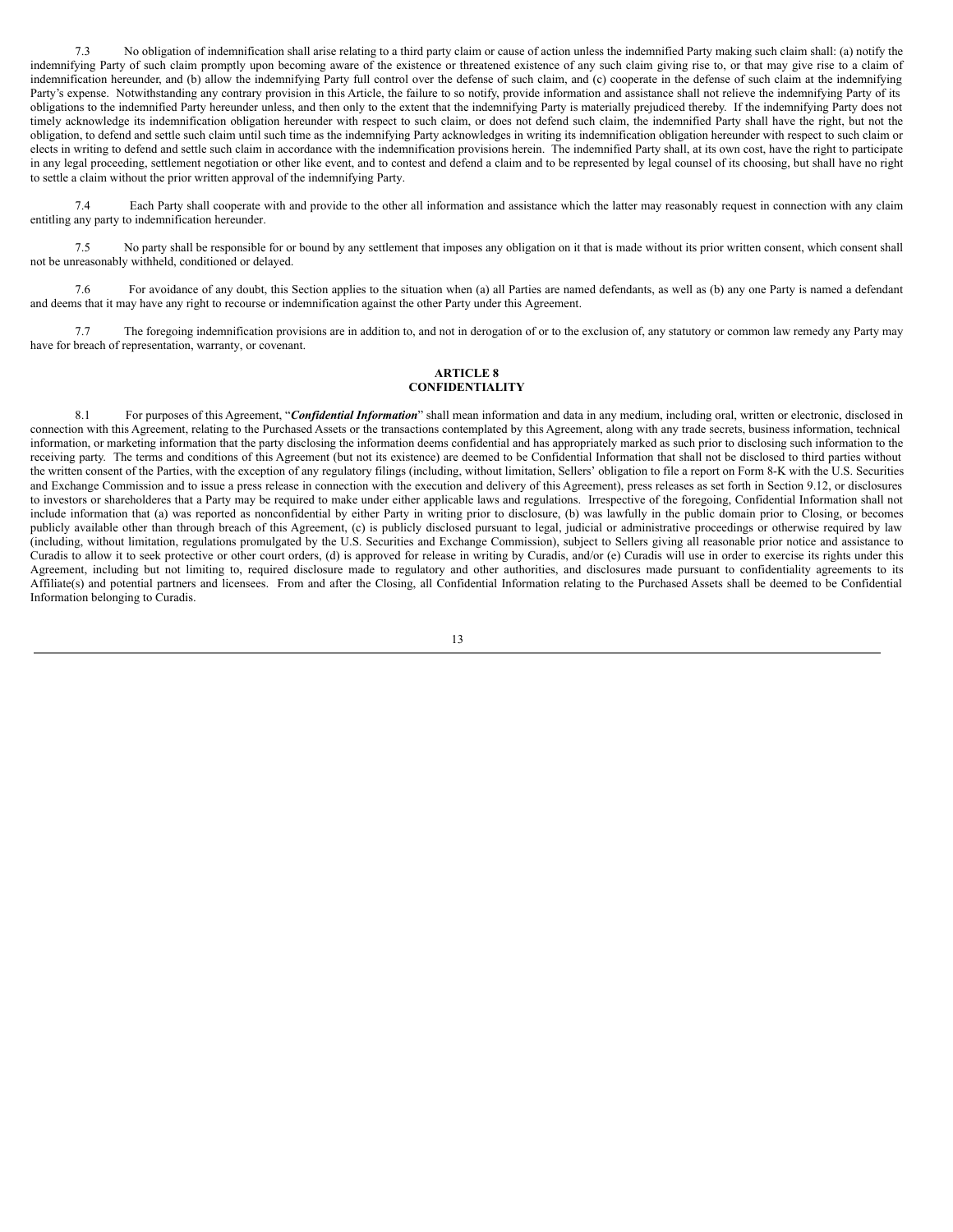7.3 No obligation of indemnification shall arise relating to a third party claim or cause of action unless the indemnified Party making such claim shall: (a) notify the indemnifying Party of such claim promptly upon becoming aware of the existence or threatened existence of any such claim giving rise to, or that may give rise to a claim of indemnification hereunder, and (b) allow the indemnifying Party full control over the defense of such claim, and (c) cooperate in the defense of such claim at the indemnifying Party's expense. Notwithstanding any contrary provision in this Article, the failure to so notify, provide information and assistance shall not relieve the indemnifying Party of its obligations to the indemnified Party hereunder unless, and then only to the extent that the indemnifying Party is materially prejudiced thereby. If the indemnifying Party does not timely acknowledge its indemnification obligation hereunder with respect to such claim, or does not defend such claim, the indemnified Party shall have the right, but not the obligation, to defend and settle such claim until such time as the indemnifying Party acknowledges in writing its indemnification obligation hereunder with respect to such claim or elects in writing to defend and settle such claim in accordance with the indemnification provisions herein. The indemnified Party shall, at its own cost, have the right to participate in any legal proceeding, settlement negotiation or other like event, and to contest and defend a claim and to be represented by legal counsel of its choosing, but shall have no right to settle a claim without the prior written approval of the indemnifying Party.

7.4 Each Party shall cooperate with and provide to the other all information and assistance which the latter may reasonably request in connection with any claim entitling any party to indemnification hereunder.

7.5 No party shall be responsible for or bound by any settlement that imposes any obligation on it that is made without its prior written consent, which consent shall not be unreasonably withheld, conditioned or delayed.

7.6 For avoidance of any doubt, this Section applies to the situation when (a) all Parties are named defendants, as well as (b) any one Party is named a defendant and deems that it may have any right to recourse or indemnification against the other Party under this Agreement.

7.7 The foregoing indemnification provisions are in addition to, and not in derogation of or to the exclusion of, any statutory or common law remedy any Party may have for breach of representation, warranty, or covenant.

## **ARTICLE 8 CONFIDENTIALITY**

8.1 For purposes of this Agreement, "*Confidential Information*" shall mean information and data in any medium, including oral, written or electronic, disclosed in connection with this Agreement, relating to the Purchased Assets or the transactions contemplated by this Agreement, along with any trade secrets, business information, technical information, or marketing information that the party disclosing the information deems confidential and has appropriately marked as such prior to disclosing such information to the receiving party. The terms and conditions of this Agreement (but not its existence) are deemed to be Confidential Information that shall not be disclosed to third parties without the written consent of the Parties, with the exception of any regulatory filings (including, without limitation, Sellers' obligation to file a report on Form 8-K with the U.S. Securities and Exchange Commission and to issue a press release in connection with the execution and delivery of this Agreement), press releases as set forth in Section 9.12, or disclosures to investors or shareholderes that a Party may be required to make under either applicable laws and regulations. Irrespective of the foregoing, Confidential Information shall not include information that (a) was reported as nonconfidential by either Party in writing prior to disclosure, (b) was lawfully in the public domain prior to Closing, or becomes publicly available other than through breach of this Agreement, (c) is publicly disclosed pursuant to legal, judicial or administrative proceedings or otherwise required by law (including, without limitation, regulations promulgated by the U.S. Securities and Exchange Commission), subject to Sellers giving all reasonable prior notice and assistance to Curadis to allow it to seek protective or other court orders, (d) is approved for release in writing by Curadis, and/or (e) Curadis will use in order to exercise its rights under this Agreement, including but not limiting to, required disclosure made to regulatory and other authorities, and disclosures made pursuant to confidentiality agreements to its Affiliate(s) and potential partners and licensees. From and after the Closing, all Confidential Information relating to the Purchased Assets shall be deemed to be Confidential Information belonging to Curadis.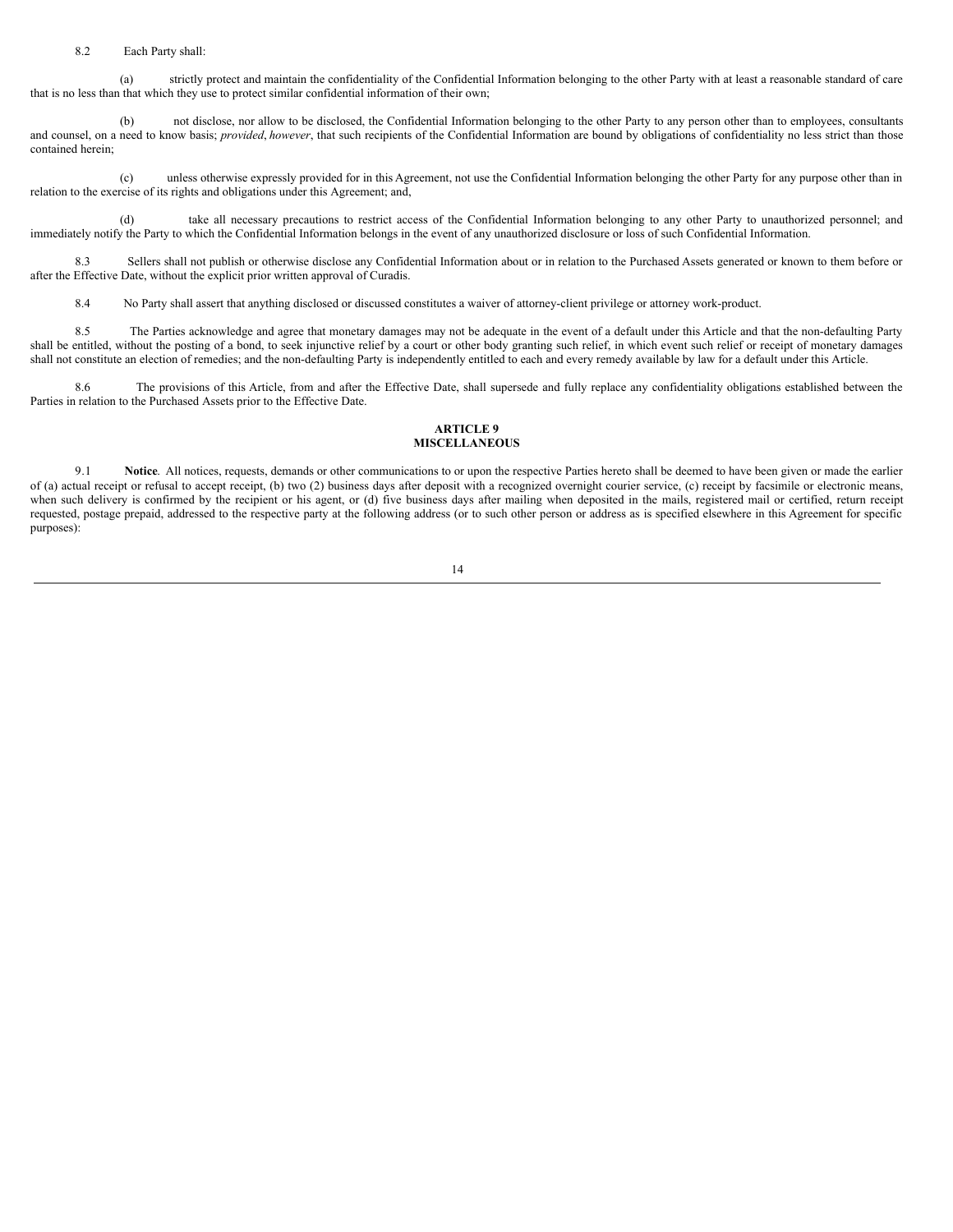#### 8.2 Each Party shall:

(a) strictly protect and maintain the confidentiality of the Confidential Information belonging to the other Party with at least a reasonable standard of care that is no less than that which they use to protect similar confidential information of their own;

(b) not disclose, nor allow to be disclosed, the Confidential Information belonging to the other Party to any person other than to employees, consultants and counsel, on a need to know basis; *provided, however*, that such recipients of the Confidential Information are bound by obligations of confidentiality no less strict than those contained herein;

(c) unless otherwise expressly provided for in this Agreement, not use the Confidential Information belonging the other Party for any purpose other than in relation to the exercise of its rights and obligations under this Agreement; and,

(d) take all necessary precautions to restrict access of the Confidential Information belonging to any other Party to unauthorized personnel; and immediately notify the Party to which the Confidential Information belongs in the event of any unauthorized disclosure or loss of such Confidential Information.

8.3 Sellers shall not publish or otherwise disclose any Confidential Information about or in relation to the Purchased Assets generated or known to them before or after the Effective Date, without the explicit prior written approval of Curadis.

8.4 No Party shall assert that anything disclosed or discussed constitutes a waiver of attorney-client privilege or attorney work-product.

8.5 The Parties acknowledge and agree that monetary damages may not be adequate in the event of a default under this Article and that the non-defaulting Party shall be entitled, without the posting of a bond, to seek injunctive relief by a court or other body granting such relief, in which event such relief or receipt of monetary damages shall not constitute an election of remedies; and the non-defaulting Party is independently entitled to each and every remedy available by law for a default under this Article.

8.6 The provisions of this Article, from and after the Effective Date, shall supersede and fully replace any confidentiality obligations established between the Parties in relation to the Purchased Assets prior to the Effective Date.

## **ARTICLE 9 MISCELLANEOUS**

9.1 **Notice**. All notices, requests, demands or other communications to or upon the respective Parties hereto shall be deemed to have been given or made the earlier of (a) actual receipt or refusal to accept receipt, (b) two (2) business days after deposit with a recognized overnight courier service, (c) receipt by facsimile or electronic means, when such delivery is confirmed by the recipient or his agent, or (d) five business days after mailing when deposited in the mails, registered mail or certified, return receipt requested, postage prepaid, addressed to the respective party at the following address (or to such other person or address as is specified elsewhere in this Agreement for specific purposes):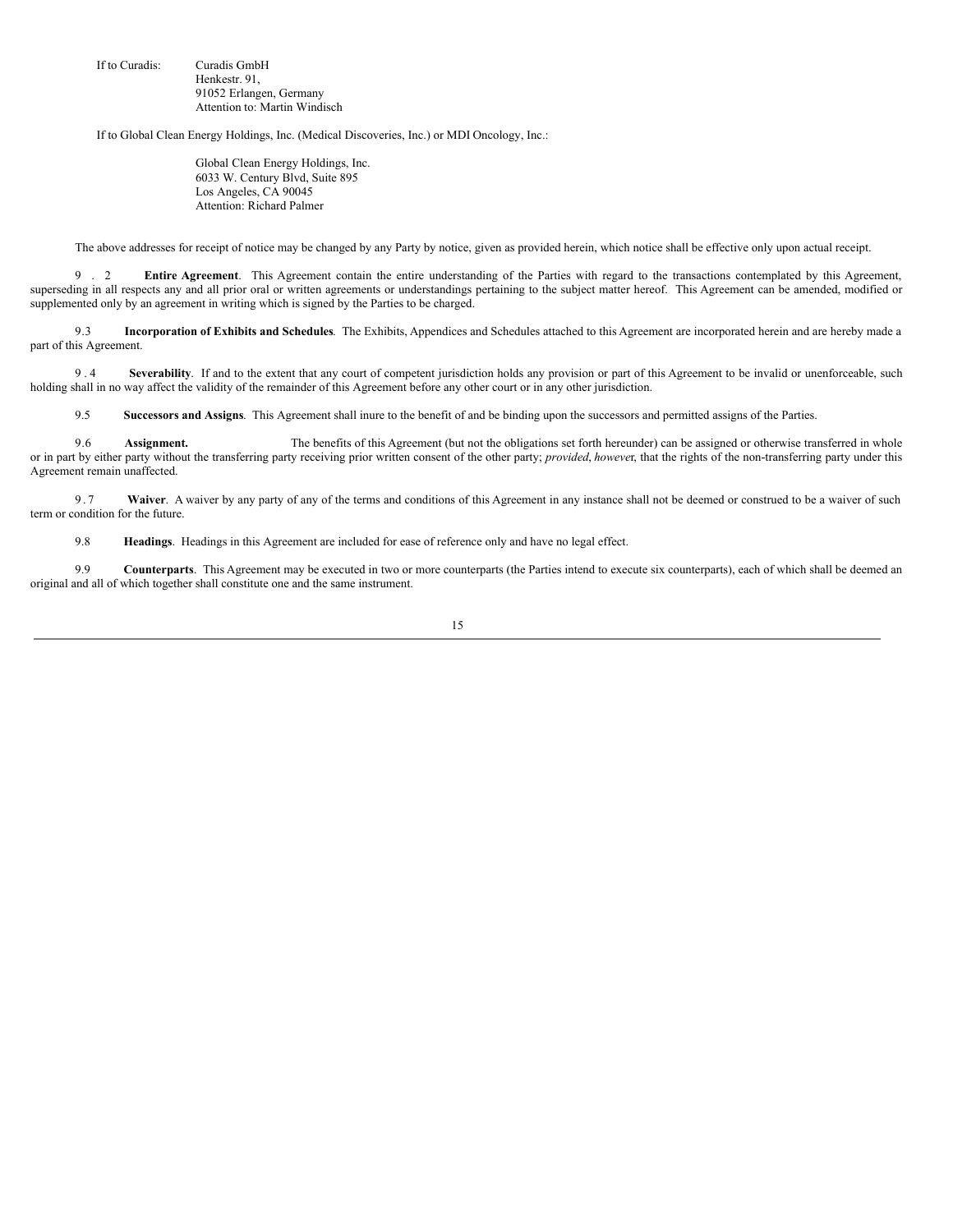If to Curadis: Curadis GmbH

Henkestr. 91, 91052 Erlangen, Germany Attention to: Martin Windisch

If to Global Clean Energy Holdings, Inc. (Medical Discoveries, Inc.) or MDI Oncology, Inc.:

Global Clean Energy Holdings, Inc. 6033 W. Century Blvd, Suite 895 Los Angeles, CA 90045 Attention: Richard Palmer

The above addresses for receipt of notice may be changed by any Party by notice, given as provided herein, which notice shall be effective only upon actual receipt.

9 . 2 **Entire Agreement**. This Agreement contain the entire understanding of the Parties with regard to the transactions contemplated by this Agreement, superseding in all respects any and all prior oral or written agreements or understandings pertaining to the subject matter hereof. This Agreement can be amended, modified or supplemented only by an agreement in writing which is signed by the Parties to be charged.

9.3 **Incorporation of Exhibits and Schedules**. The Exhibits, Appendices and Schedules attached to this Agreement are incorporated herein and are hereby made a part of this Agreement.

9 . 4 **Severability**. If and to the extent that any court of competent jurisdiction holds any provision or part of this Agreement to be invalid or unenforceable, such holding shall in no way affect the validity of the remainder of this Agreement before any other court or in any other jurisdiction.

9.5 **Successors and Assigns**. This Agreement shall inure to the benefit of and be binding upon the successors and permitted assigns of the Parties.

9.6 **Assignment.** The benefits of this Agreement (but not the obligations set forth hereunder) can be assigned or otherwise transferred in whole or in part by either party without the transferring party receiving prior written consent of the other party; *provided*, *howeve*r, that the rights of the non-transferring party under this Agreement remain unaffected.

9.7 Waiver. A waiver by any party of any of the terms and conditions of this Agreement in any instance shall not be deemed or construed to be a waiver of such term or condition for the future.

9.8 **Headings**. Headings in this Agreement are included for ease of reference only and have no legal effect.

9.9 **Counterparts**. This Agreement may be executed in two or more counterparts (the Parties intend to execute six counterparts), each of which shall be deemed an original and all of which together shall constitute one and the same instrument.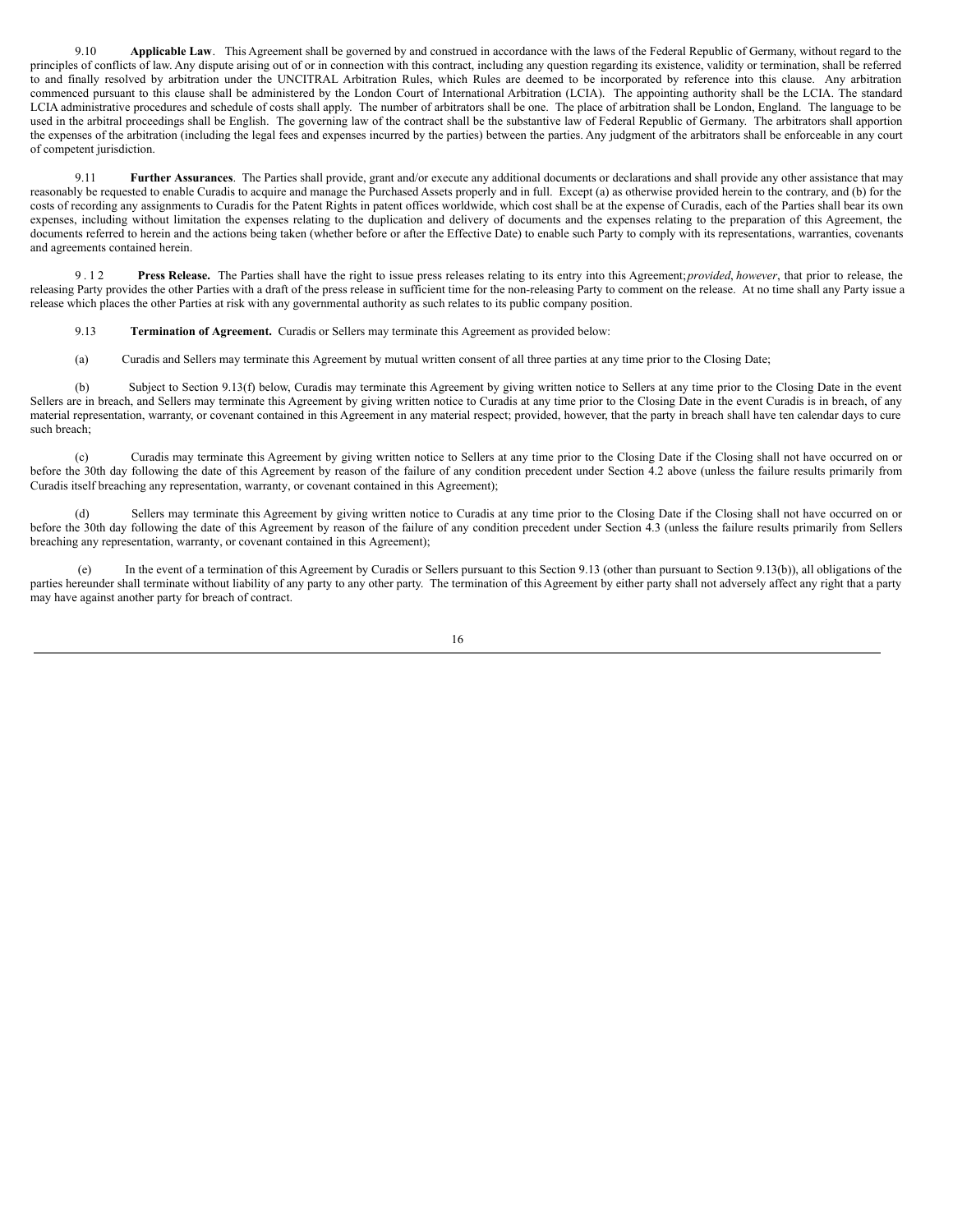9.10 **Applicable Law**. This Agreement shall be governed by and construed in accordance with the laws of the Federal Republic of Germany, without regard to the principles of conflicts of law. Any dispute arising out of or in connection with this contract, including any question regarding its existence, validity or termination, shall be referred to and finally resolved by arbitration under the UNCITRAL Arbitration Rules, which Rules are deemed to be incorporated by reference into this clause. Any arbitration commenced pursuant to this clause shall be administered by the London Court of International Arbitration (LCIA). The appointing authority shall be the LCIA. The standard LCIA administrative procedures and schedule of costs shall apply. The number of arbitrators shall be one. The place of arbitration shall be London, England. The language to be used in the arbitral proceedings shall be English. The governing law of the contract shall be the substantive law of Federal Republic of Germany. The arbitrators shall apportion the expenses of the arbitration (including the legal fees and expenses incurred by the parties) between the parties. Any judgment of the arbitrators shall be enforceable in any court of competent jurisdiction.

9.11 **Further Assurances**. The Parties shall provide, grant and/or execute any additional documents or declarations and shall provide any other assistance that may reasonably be requested to enable Curadis to acquire and manage the Purchased Assets properly and in full. Except (a) as otherwise provided herein to the contrary, and (b) for the costs of recording any assignments to Curadis for the Patent Rights in patent offices worldwide, which cost shall be at the expense of Curadis, each of the Parties shall bear its own expenses, including without limitation the expenses relating to the duplication and delivery of documents and the expenses relating to the preparation of this Agreement, the documents referred to herein and the actions being taken (whether before or after the Effective Date) to enable such Party to comply with its representations, warranties, covenants and agreements contained herein.

9 . 1 2 **Press Release.** The Parties shall have the right to issue press releases relating to its entry into this Agreement;*provided*, *however*, that prior to release, the releasing Party provides the other Parties with a draft of the press release in sufficient time for the non-releasing Party to comment on the release. At no time shall any Party issue a release which places the other Parties at risk with any governmental authority as such relates to its public company position.

- 9.13 **Termination of Agreement.** Curadis or Sellers may terminate this Agreement as provided below:
- (a) Curadis and Sellers may terminate this Agreement by mutual written consent of all three parties at any time prior to the Closing Date;

(b) Subject to Section 9.13(f) below, Curadis may terminate this Agreement by giving written notice to Sellers at any time prior to the Closing Date in the event Sellers are in breach, and Sellers may terminate this Agreement by giving written notice to Curadis at any time prior to the Closing Date in the event Curadis is in breach, of any material representation, warranty, or covenant contained in this Agreement in any material respect; provided, however, that the party in breach shall have ten calendar days to cure such breach;

(c) Curadis may terminate this Agreement by giving written notice to Sellers at any time prior to the Closing Date if the Closing shall not have occurred on or before the 30th day following the date of this Agreement by reason of the failure of any condition precedent under Section 4.2 above (unless the failure results primarily from Curadis itself breaching any representation, warranty, or covenant contained in this Agreement);

(d) Sellers may terminate this Agreement by giving written notice to Curadis at any time prior to the Closing Date if the Closing shall not have occurred on or before the 30th day following the date of this Agreement by reason of the failure of any condition precedent under Section 4.3 (unless the failure results primarily from Sellers breaching any representation, warranty, or covenant contained in this Agreement);

(e) In the event of a termination of this Agreement by Curadis or Sellers pursuant to this Section 9.13 (other than pursuant to Section 9.13(b)), all obligations of the parties hereunder shall terminate without liability of any party to any other party. The termination of this Agreement by either party shall not adversely affect any right that a party may have against another party for breach of contract.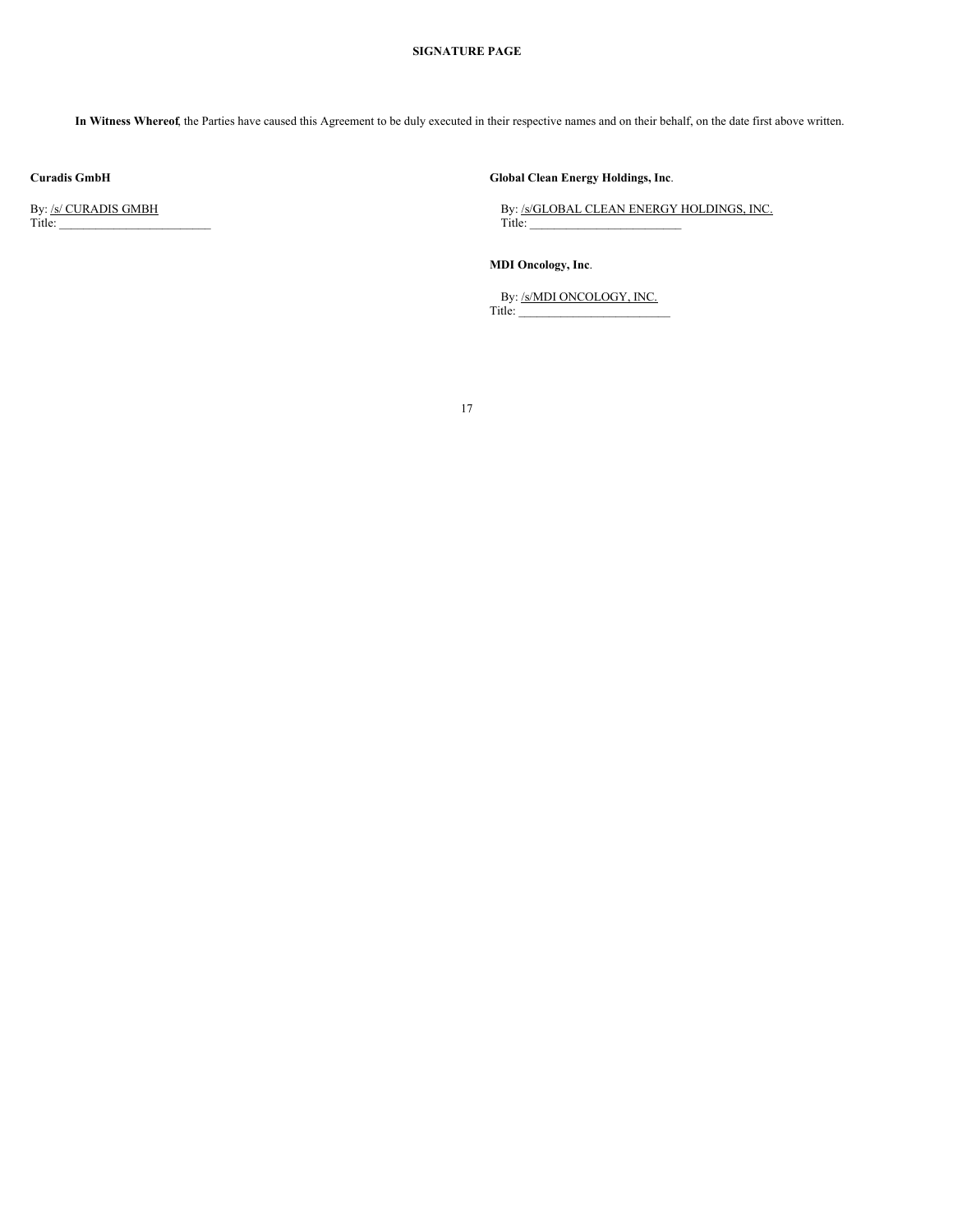**In Witness Whereof**, the Parties have caused this Agreement to be duly executed in their respective names and on their behalf, on the date first above written.

**Curadis GmbH**

By: /s/ CURADIS GMBH  $Title:$ 

# **Global Clean Energy Holdings, Inc**.

By: /s/GLOBAL CLEAN ENERGY HOLDINGS, INC.  $Title:$ 

# **MDI Oncology, Inc**.

By: /s/MDI ONCOLOGY, INC. Title: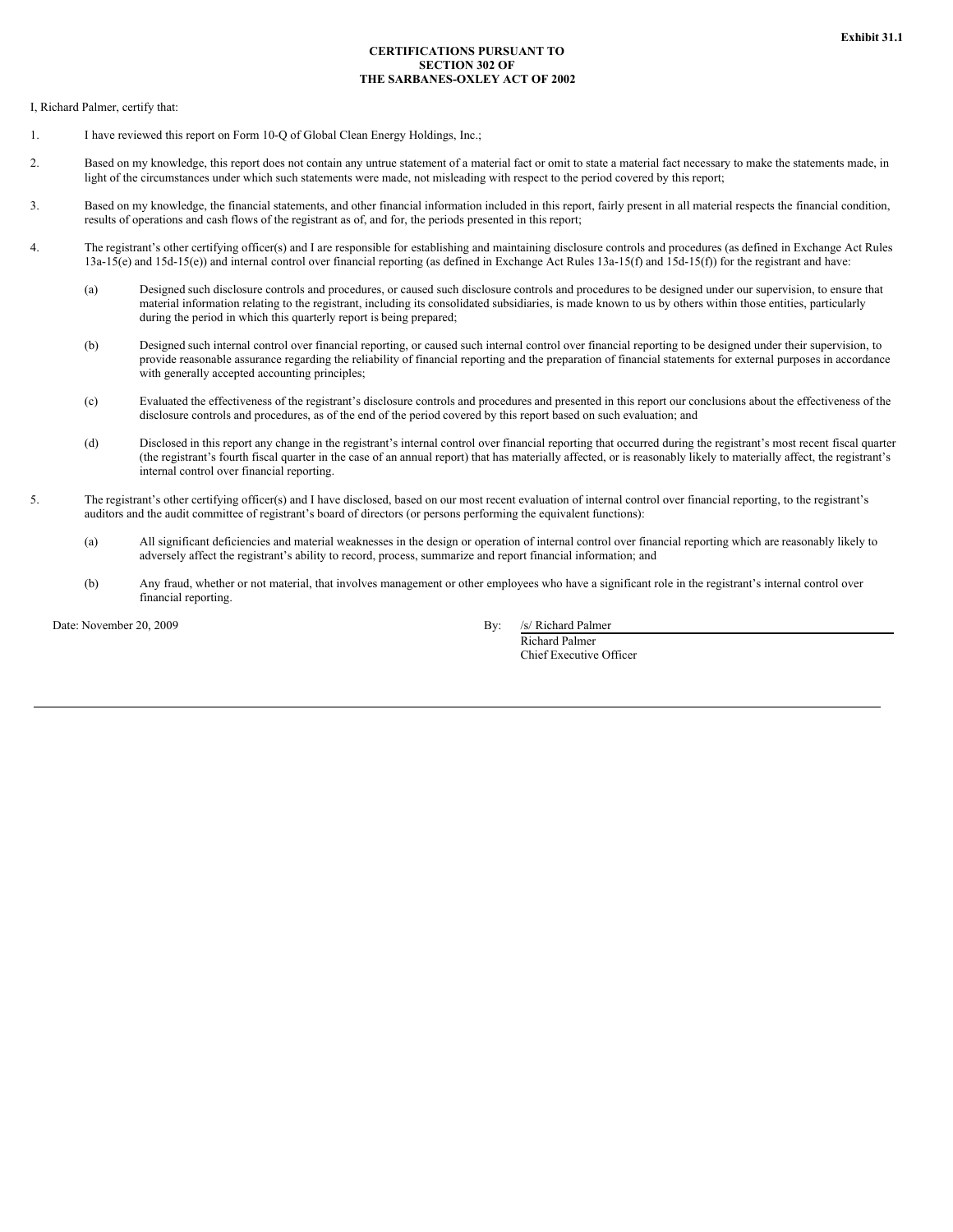## **CERTIFICATIONS PURSUANT TO SECTION 302 OF THE SARBANES-OXLEY ACT OF 2002**

I, Richard Palmer, certify that:

- 1. I have reviewed this report on Form 10-Q of Global Clean Energy Holdings, Inc.;
- 2. Based on my knowledge, this report does not contain any untrue statement of a material fact or omit to state a material fact necessary to make the statements made, in light of the circumstances under which such statements were made, not misleading with respect to the period covered by this report;
- 3. Based on my knowledge, the financial statements, and other financial information included in this report, fairly present in all material respects the financial condition, results of operations and cash flows of the registrant as of, and for, the periods presented in this report;
- 4. The registrant's other certifying officer(s) and I are responsible for establishing and maintaining disclosure controls and procedures (as defined in Exchange Act Rules 13a-15(e) and 15d-15(e)) and internal control over financial reporting (as defined in Exchange Act Rules 13a-15(f) and 15d-15(f)) for the registrant and have:
	- (a) Designed such disclosure controls and procedures, or caused such disclosure controls and procedures to be designed under our supervision, to ensure that material information relating to the registrant, including its consolidated subsidiaries, is made known to us by others within those entities, particularly during the period in which this quarterly report is being prepared;
	- (b) Designed such internal control over financial reporting, or caused such internal control over financial reporting to be designed under their supervision, to provide reasonable assurance regarding the reliability of financial reporting and the preparation of financial statements for external purposes in accordance with generally accepted accounting principles;
	- (c) Evaluated the effectiveness of the registrant's disclosure controls and procedures and presented in this report our conclusions about the effectiveness of the disclosure controls and procedures, as of the end of the period covered by this report based on such evaluation; and
	- (d) Disclosed in this report any change in the registrant's internal control over financial reporting that occurred during the registrant's most recent fiscal quarter (the registrant's fourth fiscal quarter in the case of an annual report) that has materially affected, or is reasonably likely to materially affect, the registrant's internal control over financial reporting.
- 5. The registrant's other certifying officer(s) and I have disclosed, based on our most recent evaluation of internal control over financial reporting, to the registrant's auditors and the audit committee of registrant's board of directors (or persons performing the equivalent functions):
	- (a) All significant deficiencies and material weaknesses in the design or operation of internal control over financial reporting which are reasonably likely to adversely affect the registrant's ability to record, process, summarize and report financial information; and
	- (b) Any fraud, whether or not material, that involves management or other employees who have a significant role in the registrant's internal control over financial reporting.

Date: November 20, 2009 By: /s/ Richard Palmer

Richard Palmer Chief Executive Officer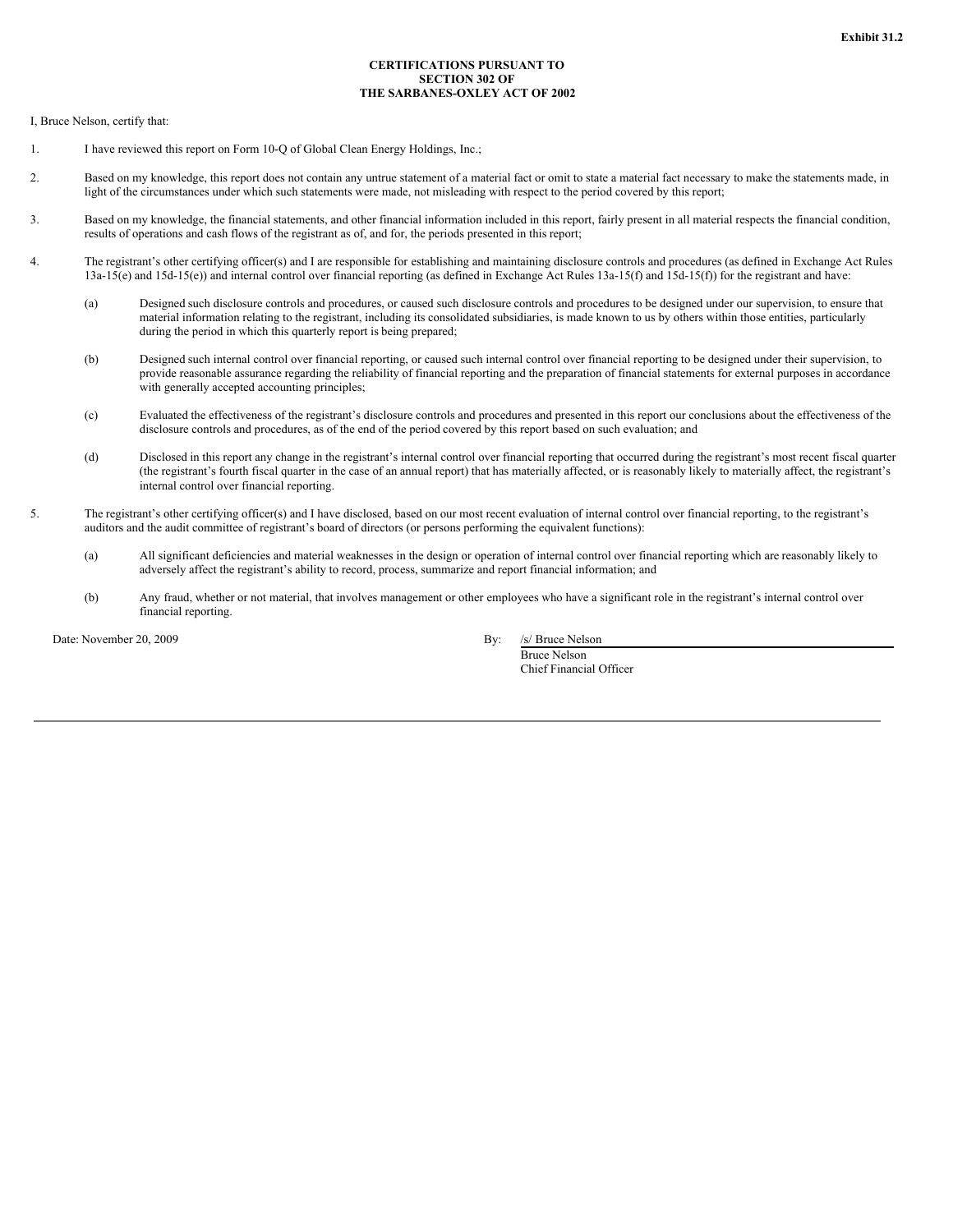## **CERTIFICATIONS PURSUANT TO SECTION 302 OF THE SARBANES-OXLEY ACT OF 2002**

I, Bruce Nelson, certify that:

- 1. I have reviewed this report on Form 10-Q of Global Clean Energy Holdings, Inc.;
- 2. Based on my knowledge, this report does not contain any untrue statement of a material fact or omit to state a material fact necessary to make the statements made, in light of the circumstances under which such statements were made, not misleading with respect to the period covered by this report;
- 3. Based on my knowledge, the financial statements, and other financial information included in this report, fairly present in all material respects the financial condition, results of operations and cash flows of the registrant as of, and for, the periods presented in this report;
- 4. The registrant's other certifying officer(s) and I are responsible for establishing and maintaining disclosure controls and procedures (as defined in Exchange Act Rules 13a-15(e) and 15d-15(e)) and internal control over financial reporting (as defined in Exchange Act Rules 13a-15(f) and 15d-15(f)) for the registrant and have:
	- (a) Designed such disclosure controls and procedures, or caused such disclosure controls and procedures to be designed under our supervision, to ensure that material information relating to the registrant, including its consolidated subsidiaries, is made known to us by others within those entities, particularly during the period in which this quarterly report is being prepared;
	- (b) Designed such internal control over financial reporting, or caused such internal control over financial reporting to be designed under their supervision, to provide reasonable assurance regarding the reliability of financial reporting and the preparation of financial statements for external purposes in accordance with generally accepted accounting principles;
	- (c) Evaluated the effectiveness of the registrant's disclosure controls and procedures and presented in this report our conclusions about the effectiveness of the disclosure controls and procedures, as of the end of the period covered by this report based on such evaluation; and
	- (d) Disclosed in this report any change in the registrant's internal control over financial reporting that occurred during the registrant's most recent fiscal quarter (the registrant's fourth fiscal quarter in the case of an annual report) that has materially affected, or is reasonably likely to materially affect, the registrant's internal control over financial reporting.
- 5. The registrant's other certifying officer(s) and I have disclosed, based on our most recent evaluation of internal control over financial reporting, to the registrant's auditors and the audit committee of registrant's board of directors (or persons performing the equivalent functions):
	- (a) All significant deficiencies and material weaknesses in the design or operation of internal control over financial reporting which are reasonably likely to adversely affect the registrant's ability to record, process, summarize and report financial information; and
	- (b) Any fraud, whether or not material, that involves management or other employees who have a significant role in the registrant's internal control over financial reporting.

Date: November 20, 2009 By: /s/ Bruce Nelson

Bruce Nelson Chief Financial Officer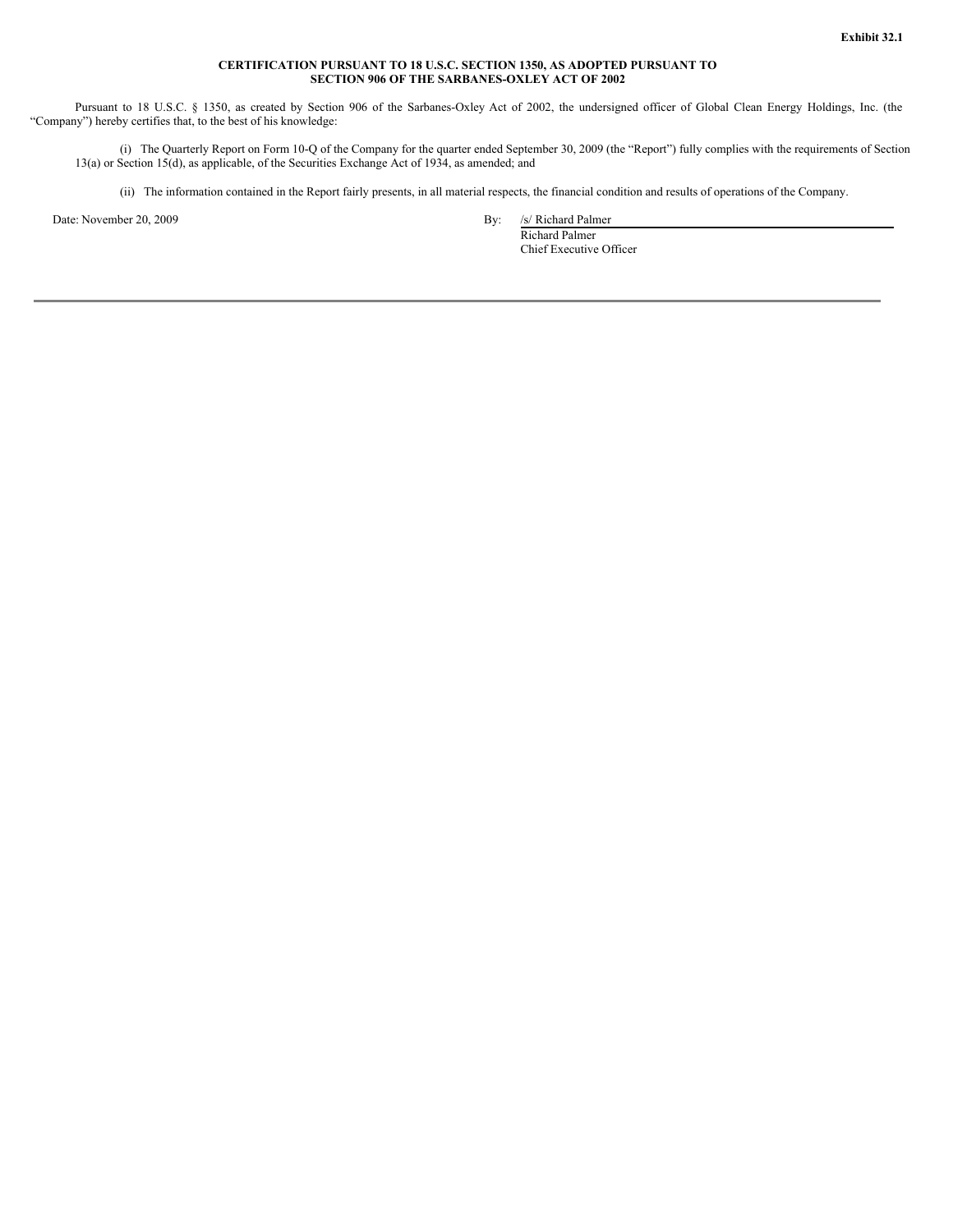## **CERTIFICATION PURSUANT TO 18 U.S.C. SECTION 1350, AS ADOPTED PURSUANT TO SECTION 906 OF THE SARBANES-OXLEY ACT OF 2002**

Pursuant to 18 U.S.C. § 1350, as created by Section 906 of the Sarbanes-Oxley Act of 2002, the undersigned officer of Global Clean Energy Holdings, Inc. (the "Company") hereby certifies that, to the best of his knowledge:

(i) The Quarterly Report on Form 10-Q of the Company for the quarter ended September 30, 2009 (the "Report") fully complies with the requirements of Section 13(a) or Section 15(d), as applicable, of the Securities Exchange Act of 1934, as amended; and

(ii) The information contained in the Report fairly presents, in all material respects, the financial condition and results of operations of the Company.

Date: November 20, 2009 By:

/s/ Richard Palmer<br>Richard Palmer Chief Executive Officer